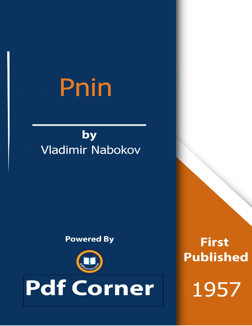# Pnin

### by **Vladimir Nabokov**

#### **Powered By**



## Pdf Corner

**First Published** 

1957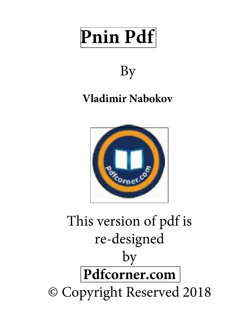## **[Pnin Pdf](http://pdfcorner.com/download-pnin-pdf-book-by-vladimir-nabokov/)**

By

#### **Vladimir Nabokov**



## This version of pdf is re-designed by **[Pdfcorner.com](http://pdfcorner.com)**  © Copyright Reserved 2018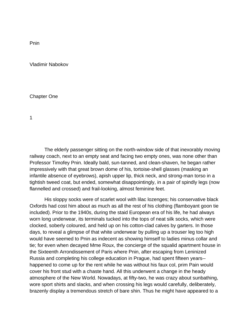Pnin

Vladimir Nabokov

Chapter One

1

The elderly passenger sitting on the north-window side of that inexorably moving railway coach, next to an empty seat and facing two empty ones, was none other than Professor Timofey Pnin. Ideally bald, sun-tanned, and clean-shaven, he began rather impressively with that great brown dome of his, tortoise-shell glasses (masking an infantile absence of eyebrows), apish upper lip, thick neck, and strong-man torso in a tightish tweed coat, but ended, somewhat disappointingly, in a pair of spindly legs (now flannelled and crossed) and frail-looking, almost feminine feet.

His sloppy socks were of scarlet wool with lilac lozenges; his conservative black Oxfords had cost him about as much as all the rest of his clothing (flamboyant goon tie included). Prior to the 1940s, during the staid European era of his life, he had always worn long underwear, its terminals tucked into the tops of neat silk socks, which were clocked, soberly coloured, and held up on his cotton-clad calves by garters. In those days, to reveal a glimpse of that white underwear by pulling up a trouser leg too high would have seemed to Pnin as indecent as showing himself to ladies minus collar and tie; for even when decayed Mme Roux, the concierge of the squalid apartment house in the Sixteenth Arrondissement of Paris where Pnin, after escaping from Leninized Russia and completing his college education in Prague, had spent fifteen years- happened to come up for the rent while he was without his faux col, prim Pain would cover his front stud with a chaste hand. All this underwent a change in the heady atmosphere of the New World. Nowadays, at fifty-two, he was crazy about sunbathing, wore sport shirts and slacks, and when crossing his legs would carefully, deliberately, brazenly display a tremendous stretch of bare shin. Thus he might have appeared to a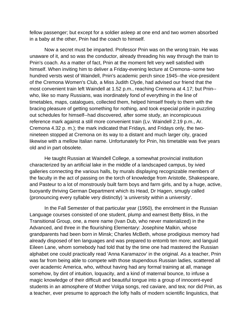fellow passenger; but except for a soldier asleep at one end and two women absorbed in a baby at the other, Pnin had the coach to himself.

Now a secret must be imparted. Professor Pnin was on the wrong train. He was unaware of it, and so was the conductor, already threading his way through the train to Pnin's coach. As a matter of fact, Pnin at the moment felt very well satisfied with himself. When inviting him to deliver a Friday-evening lecture at Cremona--some two hundred versts west of Waindell, Pnin's academic perch since 1945--the vice-president of the Cremona Women's Club, a Miss Judith Clyde, had advised our friend that the most convenient train left Waindell at 1.52 p.m., reaching Cremona at 4.17; but Pnin- who, like so many Russians, was inordinately fond of everything in the line of timetables, maps, catalogues, collected them, helped himself freely to them with the bracing pleasure of getting something for nothing, and took especial pride in puzzling out schedules for himself--had discovered, after some study, an inconspicuous reference mark against a still more convenient train (Lv. Waindell 2.19 p.m., Ar. Cremona 4.32 p. m.); the mark indicated that Fridays, and Fridays only, the twonineteen stopped at Cremona on its way to a distant and much larger city, graced likewise with a mellow Italian name. Unfortunately for Pnin, his timetable was five years old and in part obsolete.

He taught Russian at Waindell College, a somewhat provincial institution characterized by an artificial lake in the middle of a landscaped campus, by ivied galleries connecting the various halls, by murals displaying recognizable members of the faculty in the act of passing on the torch of knowledge from Aristotle, Shakespeare, and Pasteur to a lot of monstrously built farm boys and farm girls, and by a huge, active, buoyantly thriving German Department which its Head, Dr Hagen, smugly called (pronouncing every syllable very distinctly) 'a university within a university'.

In the Fall Semester of that particular year (1950), the enrolment in the Russian Language courses consisted of one student, plump and earnest Betty Bliss, in the Transitional Group, one, a mere name (Ivan Dub, who never materialized) in the Advanced, and three in the flourishing Elementary: Josephine Malkin, whose grandparents had been born in Minsk; Charles McBeth, whose prodigious memory had already disposed of ten languages and was prepared to entomb ten more; and languid Eileen Lane, whom somebody had told that by the time one had mastered the Russian alphabet one could practically read 'Anna Karamazov' in the original. As a teacher, Pnin was far from being able to compete with those stupendous Russian ladies, scattered all over academic America, who, without having had any formal training at all, manage somehow, by dint of intuition, loquacity, and a kind of maternal bounce, to infuse a magic knowledge of their difficult and beautiful tongue into a group of innocent-eyed students in an atmosphere of Mother Volga songs, red caviare, and tea; nor did Pnin, as a teacher, ever presume to approach the lofty halls of modern scientific linguistics, that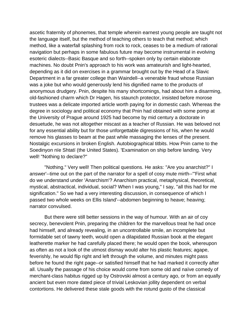ascetic fraternity of phonemes, that temple wherein earnest young people are taught not the language itself, but the method of teaching others to teach that method; which method, like a waterfall splashing from rock to rock, ceases to be a medium of rational navigation but perhaps in some fabulous future may become instrumental in evolving esoteric dialects--Basic Basque and so forth--spoken only by certain elaborate machines. No doubt Pnin's approach to his work was amateurish and light-hearted, depending as it did on exercises in a grammar brought out by the Head of a Slavic Department in a far greater college than Waindell--a venerable fraud whose Russian was a joke but who would generously lend his dignified name to the products of anonymous drudgery. Pnin, despite his many shortcomings, had about him a disarming, old-fashioned charm which Dr Hagen, his staunch protector, insisted before morose trustees was a delicate imported article worth paying for in domestic cash. Whereas the degree in sociology and political economy that Pnin had obtained with some pomp at the University of Prague around 1925 had become by mid century a doctorate in desuetude, he was not altogether miscast as a teacher of Russian. He was beloved not for any essential ability but for those unforgettable digressions of his, when he would remove his glasses to beam at the past while massaging the lenses of the present. Nostalgic excursions in broken English. Autobiographical titbits. How Pnin came to the Soedinyon nïe Shtatï (the United States). 'Examination on ship before landing. Very well! "Nothing to declare?"

"Nothing." Very well! Then political questions. He asks: "Are you anarchist?" I answer'--time out on the part of the narrator for a spell of cosy mute mirth--'"First what do we understand under 'Anarchism'? Anarchism practical, metaphysical, theoretical, mystical, abstractical, individual, social? When I was young," I say, "all this had for me signification." So we had a very interesting discussion, in consequence of which I passed two whole weeks on Ellis Island'--abdomen beginning to heave; heaving; narrator convulsed.

But there were still better sessions in the way of humour. With an air of coy secrecy, benevolent Pnin, preparing the children for the marvellous treat he had once had himself, and already revealing, in an uncontrollable smile, an incomplete but formidable set of tawny teeth, would open a dilapidated Russian book at the elegant leatherette marker he had carefully placed there; he would open the book, whereupon as often as not a look of the utmost dismay would alter his plastic features; agape, feverishly, he would flip right and left through the volume, and minutes might pass before he found the right page--or satisfied himself that he had marked it correctly after all. Usually the passage of his choice would come from some old and naïve comedy of merchant-class habitus rigged up by Ostrovski almost a century ago, or from an equally ancient but even more dated piece of trivial Leskovian jollity dependent on verbal contortions. He delivered these stale goods with the rotund gusto of the classical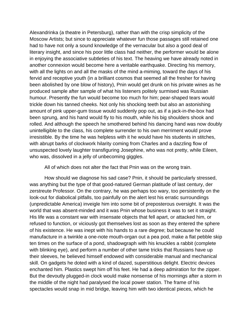Alexandrinka (a theatre in Petersburg), rather than with the crisp simplicity of the Moscow Artists; but since to appreciate whatever fun those passages still retained one had to have not only a sound knowledge of the vernacular but also a good deal of literary insight, and since his poor little class had neither, the performer would be alone in enjoying the associative subtleties of his text. The heaving we have already noted in another connexion would become here a veritable earthquake. Directing his memory, with all the lights on and all the masks of the mind a-miming, toward the days of his fervid and receptive youth (in a brilliant cosmos that seemed all the fresher for having been abolished by one blow of history), Pnin would get drunk on his private wines as he produced sample after sample of what his listeners politely surmised was Russian humour. Presently the fun would become too much for him; pear-shaped tears would trickle down his tanned cheeks. Not only his shocking teeth but also an astonishing amount of pink upper-gum tissue would suddenly pop out, as if a jack-in-the-box had been sprung, and his hand would fly to his mouth, while his big shoulders shook and rolled. And although the speech he smothered behind his dancing hand was now doubly unintelligible to the class, his complete surrender to his own merriment would prove irresistible. By the time he was helpless with it he would have his students in stitches, with abrupt barks of clockwork hilarity coming from Charles and a dazzling flow of unsuspected lovely laughter transfiguring Josephine, who was not pretty, while Eileen, who was, dissolved in a jelly of unbecoming giggles.

All of which does not alter the fact that Pnin was on the wrong train.

How should we diagnose his sad case? Pnin, it should be particularly stressed, was anything but the type of that good-natured German platitude of last century, der zerstreute Professor. On the contrary, he was perhaps too wary, too persistently on the look-out for diabolical pitfalls, too painfully on the alert lest his erratic surroundings (unpredictable America) inveigle him into some bit of preposterous oversight. It was the world that was absent-minded and it was Pnin whose business it was to set it straight. His life was a constant war with insensate objects that fell apart, or attacked him, or refused to function, or viciously got themselves lost as soon as they entered the sphere of his existence. He was inept with his hands to a rare degree; but because he could manufacture in a twinkle a one-note mouth-organ out a pea pod, make a flat pebble skip ten times on the surface of a pond, shadowgraph with his knuckles a rabbit (complete with blinking eye), and perform a number of other tame tricks that Russians have up their sleeves, he believed himself endowed with considerable manual and mechanical skill. On gadgets he doted with a kind of dazed, superstitious delight. Electric devices enchanted him. Plastics swept him off his feet. He had a deep admiration for the zipper. But the devoutly plugged-in clock would make nonsense of his mornings after a storm in the middle of the night had paralysed the local power station. The frame of his spectacles would snap in mid bridge, leaving him with two identical pieces, which he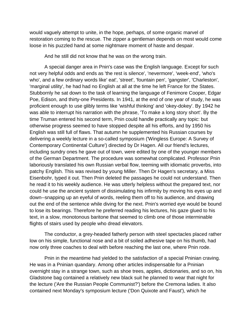would vaguely attempt to unite, in the hope, perhaps, of some organic marvel of restoration coming to the rescue. The zipper a gentleman depends on most would come loose in his puzzled hand at some nightmare moment of haste and despair.

And he still did not know that he was on the wrong train.

A special danger area in Pnin's case was the English language. Except for such not very helpful odds and ends as 'the rest is silence', 'nevermore', 'week-end', 'who's who', and a few ordinary words like' eat', 'street', 'fountain pen', 'gangster', 'Charleston', 'marginal utility', he had had no English at all at the time he left France for the States. Stubbornly he sat down to the task of learning the language of Fenimore Cooper, Edgar Poe, Edison, and thirty-one Presidents. In 1941, at the end of one year of study, he was proficient enough to use glibly terms like 'wishful thinking' and 'okey-dokey'. By 1942 he was able to interrupt his narration with the phrase, 'To make a long story short'. By the time Truman entered his second term, Pnin could handle practically any topic: but otherwise progress seemed to have stopped despite all his efforts, and by 1950 his English was still full of flaws. That autumn he supplemented his Russian courses by delivering a weekly lecture in a so-called symposium ('Wingless Europe: A Survey of Contemporary Continental Culture') directed by Dr Hagen. All our friend's lectures, including sundry ones he gave out of town, were edited by one of the younger members of the German Department. The procedure was somewhat complicated. Professor Pnin laboriously translated his own Russian verbal flow, teeming with idiomatic proverbs, into patchy English. This was revised by young Miller. Then Dr Hagen's secretary, a Miss Eisenbohr, typed it out. Then Pnin deleted the passages he could not understand. Then he read it to his weekly audience. He was utterly helpless without the prepared text, nor could he use the ancient system of dissimulating his infirmity by moving his eyes up and down--snapping up an eyeful of words, reeling them off to his audience, and drawing out the end of the sentence while diving for the next. Pnin's worried eye would be bound to lose its bearings. Therefore he preferred reading his lectures, his gaze glued to his text, in a slow, monotonous baritone that seemed to climb one of those interminable flights of stairs used by people who dread elevators.

The conductor, a grey-headed fatherly person with steel spectacles placed rather low on his simple, functional nose and a bit of soiled adhesive tape on his thumb, had now only three coaches to deal with before reaching the last one, where Pnin rode.

Pnin in the meantime had yielded to the satisfaction of a special Pninian craving. He was in a Pninian quandary. Among other articles indispensable for a Pninian overnight stay in a strange town, such as shoe trees, apples, dictionaries, and so on, his Gladstone bag contained a relatively new black suit he planned to wear that night for the lecture ('Are the Russian People Communist?') before the Cremona ladies. It also contained next Monday's symposium lecture ('Don Quixote and Faust'), which he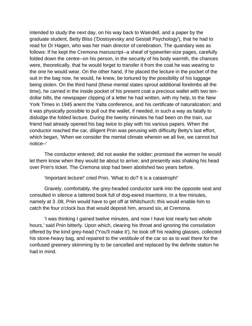intended to study the next day, on his way back to Waindell, and a paper by the graduate student, Betty Bliss ('Dostoyevsky and Gestalt Psychology'), that he had to read for Dr Hagen, who was her main director of cerebration. The quandary was as follows: If he kept the Cremona manuscript--a sheaf of typewriter-size pages, carefully folded down the centre--on his person, in the security of his body warmth, the chances were, theoretically, that he would forget to transfer it from the coat he was wearing to the one he would wear. On the other hand, if he placed the lecture in the pocket of the suit in the bag now, he would, he knew, be tortured by the possibility of his luggage being stolen. On the third hand (these mental states sprout additional forelimbs all the time), he carried in the inside pocket of his present coat a precious wallet with two tendollar bills, the newspaper clipping of a letter he had written, with my help, to the New York Times in 1945 anent the Yalta conference, and his certificate of naturalization; and it was physically possible to pull out the wallet, if needed, in such a way as fatally to dislodge the folded lecture. During the twenty minutes he had been on the train, our friend had already opened his bag twice to play with his various papers. When the conductor reached the car, diligent Pnin was perusing with difficulty Betty's last effort, which began, 'When we consider the mental climate wherein we all live, we cannot but notice--'

The conductor entered; did not awake the soldier; promised the women he would let them know when they would be about to arrive; and presently was shaking his head over Pnin's ticket. The Cremona stop had been abolished two years before.

'Important lecture!' cried Pnin. 'What to do? It is a catastroph!'

Gravely, comfortably, the grey-headed conductor sank into the opposite seat and consulted in silence a tattered book full of dog-eared insertions. In a few minutes, namely at 3 .08, Pnin would have to get off at Whitchurch; this would enable him to catch the four o'clock bus that would deposit him, around six, at Cremona.

'I was thinking I gained twelve minutes, and now I have lost nearly two whole hours,' said Pnin bitterly. Upon which, clearing his throat and ignoring the consolation offered by the kind grey-head ('You'll make it'), he took off his reading glasses, collected his stone-heavy bag, and repaired to the vestibule of the car so as to wait there for the confused greenery skimming by to be cancelled and replaced by the definite station he had in mind.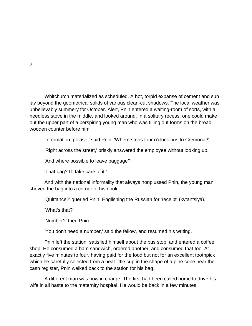Whitchurch materialized as scheduled. A hot, torpid expanse of cement and sun lay beyond the geometrical solids of various clean-cut shadows. The local weather was unbelievably summery for October. Alert, Pnin entered a waiting-room of sorts, with a needless stove in the middle, and looked around. In a solitary recess, one could make out the upper part of a perspiring young man who was filling out forms on the broad wooden counter before him.

'Information, please,' said Pnin. 'Where stops four o'clock bus to Cremona?'

'Right across the street,' briskly answered the employee without looking up.

'And where possible to leave baggage?'

'That bag? I'll take care of it.'

And with the national informality that always nonplussed Pnin, the young man shoved the bag into a corner of his nook.

'Quittance?' queried Pnin, Englishing the Russian for 'receipt' (kvtantsiya).

'What's that?'

'Number?' tried Pnin.

'You don't need a number,' said the fellow, and resumed his writing.

Pnin left the station, satisfied himself about the bus stop, and entered a coffee shop. He consumed a ham sandwich, ordered another, and consumed that too. At exactly five minutes to four, having paid for the food but not for an excellent toothpick which he carefully selected from a neat little cup in the shape of a pine cone near the cash register, Pnin walked back to the station for his bag.

A different man was now in charge. The first had been called home to drive his wife in all haste to the maternity hospital. He would be back in a few minutes.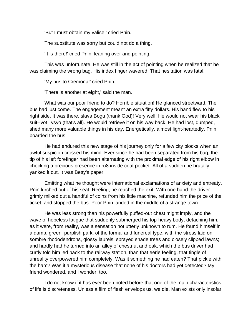'But I must obtain my valise!' cried Pnin.

The substitute was sorry but could not do a thing.

'It is there!' cried Pnin, leaning over and pointing.

This was unfortunate. He was still in the act of pointing when he realized that he was claiming the wrong bag. His index finger wavered. That hesitation was fatal.

'My bus to Cremona!' cried Pnin.

'There is another at eight,' said the man.

What was our poor friend to do? Horrible situation! He glanced streetward. The bus had just come. The engagement meant an extra fifty dollars. His hand flew to his right side. It was there, slava Bogu (thank God)! Very well! He would not wear his black suit--vot i vsyo (that's all). He would retrieve it on his way back. He had lost, dumped, shed many more valuable things in his day. Energetically, almost light-heartedly, Pnin boarded the bus.

He had endured this new stage of his journey only for a few city blocks when an awful suspicion crossed his mind. Ever since he had been separated from his bag, the tip of his left forefinger had been alternating with the proximal edge of his right elbow in checking a precious presence in ru8 inside coat pocket. All of a sudden he brutally yanked it out. It was Betty's paper.

Emitting what he thought were international exclamations of anxiety and entreaty, Pnin lurched out of his seat. Reeling, he reached the exit. With one hand the driver grimly milked out a handful of coins from his little machine, refunded him the price of the ticket, and stopped the bus. Poor Pnin landed in the middle of a strange town.

He was less strong than his powerfully puffed-out chest might imply, and the wave of hopeless fatigue that suddenly submerged his top-heavy body, detaching him, as it were, from reality, was a sensation not utterly unknown to rum. He found himself in a damp, green, purplish park, of the formal and funereal type, with the stress laid on sombre rhododendrons, glossy laurels, sprayed shade trees and closely clipped lawns; and hardly had he turned into an alley of chestnut and oak, which the bus driver had curtly told him led back to the railway station, than that eerie feeling, that tingle of unreality overpowered him completely. Was it something he had eaten? That pickle with the ham? Was it a mysterious disease that none of his doctors had yet detected? My friend wondered, and I wonder, too.

I do not know if it has ever been noted before that one of the main characteristics of life is discreteness. Unless a film of flesh envelops us, we die. Man exists only insofar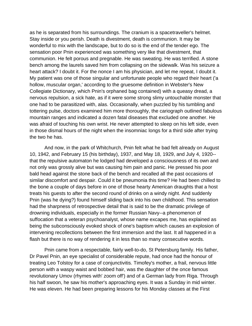as he is separated from his surroundings. The cranium is a spacetraveller's helmet. Stay inside or you perish. Death is divestment, death is communion. It may be wonderful to mix with the landscape, but to do so is the end of the tender ego. The sensation poor Pnin experienced was something very like that divestment, that communion. He felt porous and pregnable. He was sweating. He was terrified. A stone bench among the laurels saved him from collapsing on the sidewalk. Was his seizure a heart attack? I doubt it. For the nonce I am his physician, and let me repeat, I doubt it. My patient was one of those singular and unfortunate people who regard their heart ('a hollow, muscular organ,' according to the gruesome definition in Webster's New Collegiate Dictionary, which Pnin's orphaned bag contained) with a queasy dread, a nervous repulsion, a sick hate, as if it were some strong slimy untouchable monster that one had to be parasitized with, alas. Occasionally, when puzzled by his tumbling and tottering pulse, doctors examined him more thoroughly, the cariograph outlined fabulous mountain ranges and indicated a dozen fatal diseases that excluded one another. He was afraid of touching his own wrist. He never attempted to sleep on his left side, even in those dismal hours of the night when the insomniac longs for a third side after trying the two he has.

And now, in the park of Whitchurch, Pnin felt what he bad felt already on August 10, 1942, and February 15 (his birthday), 1937, and May 18, 1929, and July 4, 1920- that the repulsive automaton he lodged had developed a consciousness of its own and not only was grossly alive but was causing him pain and panic. He pressed his poor bald head against the stone back of the bench and recalled all the past occasions of similar discomfort and despair. Could it be pneumonia this time? He had been chilled to the bone a couple of days before in one of those hearty American draughts that a host treats his guests to after the second round of drinks on a windy night. And suddenly Pnin (was he dying?) found himself sliding back into his own childhood. This sensation had the sharpness of retrospective detail that is said to be the dramatic privilege of drowning individuals, especially in the former Russian Navy--a phenomenon of suffocation that a veteran psychoanalyst, whose name excapes me, has explained as being the subconsciously evoked shock of one's baptism which causes an explosion of intervening recollections between the first immersion and the last. It all happened in a flash but there is no way of rendering it in less than so many consecutive words.

Pnin came from a respectable, fairly well-to-do, St Petersburg family. His father, Dr Pavel Pnin, an eye specialist of considerable repute, had once had the honour of treating Leo Tolstoy for a case of conjunctivitis. Timofey's mother, a frail, nervous little person with a waspy waist and bobbed hair, was the daughter of the once famous revolutionary Umov (rhymes with' zoom off') and of a German lady from Riga. Through his half swoon, he saw his mother's approaching eyes. It was a Sunday in mid winter. He was eleven. He had been preparing lessons for his Monday classes at the First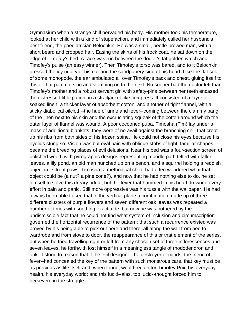Gymnasium when a strange chill pervaded his body. His mother took his temperature, looked at her child with a kind of stupefaction, and immediately called her husband's best friend, the paediatrician Belochkin. He was a small, beetle-browed man, with a short beard and cropped hair. Easing the skirts of his frock coat, he sat down on the edge of Timofey's bed. A race was run between the doctor's fat golden watch and Timofey's pulse (an easy winner). Then Timofey's torso was bared, and to it Belochkin pressed the icy nudity of his ear and the sandpapery side of his head. Like the flat sole of some monopode, the ear ambulated all over Timofey's back and chest, gluing itself to this or that patch of skin and stomping on to the next. No sooner had the doctor left than Timofey's mother and a robust servant girl with safety-pins between her teeth encased the distressed little patient in a straitjacket-like compress. It consisted of a layer of soaked linen, a thicker layer of absorbent cotton, and another of tight flannel, with a sticky diabolical oilcloth--the hue of urine and fever--coming between the clammy pang of the linen next to his skin and the excruciating squeak of the cotton around which the outer layer of flannel was wound. A poor cocooned pupa, Timosha (Tim) lay under a mass of additional blankets; they were of no avail against the branching chill that crept up his ribs from both sides of his frozen spine. He could not close his eyes because his eyelids stung so. Vision was but oval pain with oblique stabs of light; familiar shapes became the breeding places of evil delusions. Near his bed was a four-section screen of polished wood, with pyrographic designs representing a bridle path felted with fallen leaves, a lily pond, an old man hunched up on a bench, and a squirrel holding a reddish object in its front paws. Timosha, a methodical child, had often wondered what that object could be (a nut? a pine cone?), and now that he had nothing else to do, he set himself to solve this dreary riddle, but the fever that hummed in his head drowned every effort in pain and panic. Still more oppressive was his tussle with the wallpaper. He had always been able to see that in the vertical plane a combination made up of three different clusters of purple flowers and seven different oak leaves was repeated a number of times with soothing exactitude; but now he was bothered by the undismissible fact that he could not find what system of inclusion and circumscription governed the horizontal recurrence of the pattern; that such a recurrence existed was proved by his being able to pick out here and there, all along the wall from bed to wardrobe and from stove to door, the reappearance of this or that element of the series, but when he tried travelling right or left from any chosen set of three inflorescences and seven leaves, he forthwith lost himself in a meaningless tangle of rhododendron and oak. It stood to reason that if the evil designer--the destroyer of minds, the friend of fever--had concealed the key of the pattern with such monstrous care, that key must be as precious as life itself and, when found, would regain for Timofey Pnin his everyday health, his everyday world; and this lucid--alas, too lucid--thought forced him to persevere in the struggle.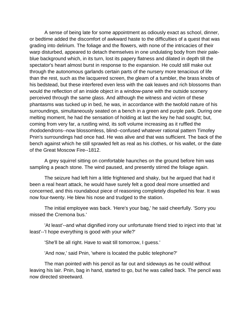A sense of being late for some appointment as odiously exact as school, dinner, or bedtime added the discomfort of awkward haste to the difficulties of a quest that was grading into delirium. The foliage and the flowers, with none of the intricacies of their warp disturbed, appeared to detach themselves in one undulating body from their paleblue background which, in its turn, lost its papery flatness and dilated in depth till the spectator's heart almost burst in response to the expansion. He could still make out through the autonomous garlands certain parts of the nursery more tenacious of life than the rest, such as the lacquered screen, the gleam of a tumbler, the brass knobs of his bedstead, but these interfered even less with the oak leaves and rich blossoms than would the reflection of an inside object in a window-pane with the outside scenery perceived through the same glass. And although the witness and victim of these phantasms was tucked up in bed, he was, in accordance with the twofold nature of his surroundings, simultaneously seated on a bench in a green and purple park. During one melting moment, he had the sensation of holding at last the key he had sought; but, coming from very far, a rustling wind, its soft volume increasing as it ruffled the rhododendrons--now blossomless, blind--confused whatever rational pattern Timofey Pnin's surroundings had once had. He was alive and that was sufficient. The back of the bench against which he still sprawled felt as real as his clothes, or his wallet, or the date of the Great Moscow Fire--1812.

A grey squirrel sitting on comfortable haunches on the ground before him was sampling a peach stone. The wind paused, and presently stirred the foliage again.

The seizure had left him a little frightened and shaky, but he argued that had it been a real heart attack, he would have surely felt a good deal more unsettled and concerned, and this roundabout piece of reasoning completely dispelled his fear. It was now four-twenty. He blew his nose and trudged to the station.

The initial employee was back. 'Here's your bag,' he said cheerfully. 'Sorry you missed the Cremona bus.'

'At least'--and what dignified irony our unfortunate friend tried to inject into that 'at least'--'I hope everything is good with your wife?'

'She'll be all right. Have to wait till tomorrow, I guess.'

'And now,' said Pnin, 'where is located the public telephone?'

The man pointed with his pencil as far out and sideways as he could without leaving his lair. Pnin, bag in hand, started to go, but he was called back. The pencil was now directed streetward.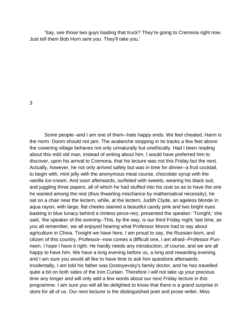'Say, see those two guys loading that truck? They're going to Cremona right now. Just tell them Bob Horn sent you. They'll take you.'

#### 3

Some people--and I am one of them--hate happy ends. We feel cheated. Harm is the norm. Doom should not jam. The avalanche stopping in its tracks a few feet above the cowering village behaves not only unnaturally but unethically. Had I been reading about this mild old man, instead of writing about him, I would have preferred him to discover, upon his arrival to Cremona, that his lecture was not this Friday but the next. Actually, however, he not only arrived safely but was in time for dinner--a fruit cocktail, to begin with, mint jelly with the anonymous meat course, chocolate syrup with the vanilla ice-cream. And soon afterwards, surfeited with sweets, wearing his black suit, and juggling three papers, all of which he had stuffed into his coat so as to have the one he wanted among the rest (thus thwarting mischance by mathematical necessity), he sat on a chair near the lectern, while, at the lectern, Judith Clyde, an ageless blonde in aqua rayon, with large, flat cheeks stained a beautiful candy pink and two bright eyes basking in blue lunacy behind a rimless pince-nez, presented the speaker: 'Tonight,' she said, 'the speaker of the evening--This, by the way, is our third Friday night; last time, as you all remember, we all enjoyed hearing what Professor Moore had to say about agriculture in China. Tonight we have here, I am proud to say, the Russian-born, and citizen of this country, Professor--now comes a difficult one, I am afraid--Professor Punneen. I hope I have it right. He hardly needs any introduction, of course, and we are all happy to have him. We have a long evening before us, a long and rewarding evening, and I am sure you would all like to have time to ask him questions afterwards. Incidentally, I am told his father was Dostoyevsky's family doctor, and he has travelled quite a bit on both sides of the Iron Curtain. Therefore I will not take up your precious time any longer and will only add a few words about our next Friday lecture in this programme. I am sure you will all be delighted to know that there is a grand surprise in store for all of us. Our next lecturer is the distinguished poet and prose writer, Miss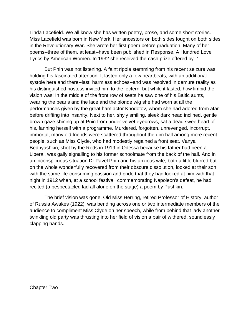Linda Lacefield. We all know she has written poetry, prose, and some short stories. Miss Lacefield was born in New York. Her ancestors on both sides fought on both sides in the Revolutionary War. She wrote her first poem before graduation. Many of her poems--three of them, at least--have been published in Response, A Hundred Love Lyrics by American Women. In 1932 she received the cash prize offered by--'

But Pnin was not listening. A faint ripple stemming from his recent seizure was holding his fascinated attention. It lasted only a few heartbeats, with an additional systole here and there--last, harmless echoes--and was resolved in demure reality as his distinguished hostess invited him to the lectern; but while it lasted, how limpid the vision was! In the middle of the front row of seats he saw one of his Baltic aunts, wearing the pearls and the lace and the blonde wig she had worn at all the performances given by the great ham actor Khodotov, whom she had adored from afar before drifting into insanity. Next to her, shyly smiling, sleek dark head inclined, gentle brown gaze shining up at Pnin from under velvet eyebrows, sat a dead sweetheart of his, fanning herself with a programme. Murdered, forgotten, unrevenged, incorrupt, immortal, many old friends were scattered throughout the dim hall among more recent people, such as Miss Clyde, who had modestly regained a front seat. Vanya Bednyashkin, shot by the Reds in 1919 in Odessa because his father had been a Liberal, was gaily signalling to his former schoolmate from the back of the hall. And in an inconspicuous situation Dr Pavel Pnin and his anxious wife, both a little blurred but on the whole wonderfully recovered from their obscure dissolution, looked at their son with the same life-consuming passion and pride that they had looked at him with that night in 1912 when, at a school festival, commemorating Napoleon's defeat, he had recited (a bespectacled lad all alone on the stage) a poem by Pushkin.

The brief vision was gone. Old Miss Herring, retired Professor of History, author of Russia Awakes (1922), was bending across one or two intermediate members of the audience to compliment Miss Clyde on her speech, while from behind that lady another twinkling old party was thrusting into her field of vision a pair of withered, soundlessly clapping hands.

Chapter Two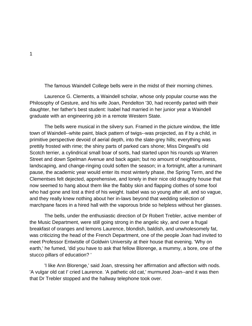The famous Waindell College bells were in the midst of their morning chimes.

Laurence G. Clements, a Waindell scholar, whose only popular course was the Philosophy of Gesture, and his wife Joan, Pendelton '30, had recently parted with their daughter, her father's best student: Isabel had married in her junior year a Waindell graduate with an engineering job in a remote Western State.

The bells were musical in the silvery sun. Framed in the picture window, the little town of Waindell--white paint, black pattern of twigs--was projected, as if by a child, in primitive perspective devoid of aerial depth, into the slate-grey hills; everything was prettily frosted with rime; the shiny parts of parked cars shone; Miss Dingwall's old Scotch terrier, a cylindrical small boar of sorts, had started upon his rounds up Warren Street and down Spelman Avenue and back again; but no amount of neighbourliness, landscaping, and change-ringing could soften the season; in a fortnight, after a ruminant pause, the academic year would enter its most winterly phase, the Spring Term, and the Clementses felt dejected, apprehensive, and lonely in their nice old draughty house that now seemed to hang about them like the flabby skin and flapping clothes of some fool who had gone and lost a third of his weight. Isabel was so young after all, and so vague, and they really knew nothing about her in-laws beyond that wedding selection of marchpane faces in a hired hall with the vaporous bride so helpless without her glasses.

The bells, under the enthusiastic direction of Dr Robert Trebler, active member of the Music Department, were still going strong in the angelic sky, and over a frugal breakfast of oranges and lemons Laurence, blondish, baldish, and unwholesomely fat, was criticizing the head of the French Department, one of the people Joan had invited to meet Professor Entwistle of Goldwin University at their house that evening. 'Why on earth,' he fumed, 'did you have to ask that fellow Blorenge, a mummy, a bore, one of the stucco pillars of education? '

'I like Ann Blorenge,' said Joan, stressing her affirmation and affection with nods. 'A vulgar old cat I' cried Laurence. 'A pathetic old cat,' murmured Joan--and it was then that Dr Trebler stopped and the hallway telephone took over.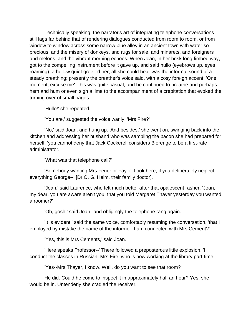Technically speaking, the narrator's art of integrating telephone conversations still lags far behind that of rendering dialogues conducted from room to room, or from window to window across some narrow blue alley in an ancient town with water so precious, and the misery of donkeys, and rugs for sale, and minarets, and foreigners and melons, and the vibrant morning echoes. When Joan, in her brisk long-limbed way, got to the compelling instrument before it gave up, and said hullo (eyebrows up, eyes roaming), a hollow quiet greeted her; all she could hear was the informal sound of a steady breathing; presently the breather's voice said, with a cosy foreign accent: 'One moment, excuse me'--this was quite casual, and he continued to breathe and perhaps hem and hum or even sigh a lime to the accompaniment of a crepitation that evoked the turning over of small pages.

'Hullo!' she repeated.

'You are,' suggested the voice warily, 'Mrs Fire?'

'No,' said Joan, and hung up. 'And besides,' she went on, swinging back into the kitchen and addressing her husband who was sampling the bacon she had prepared for herself, 'you cannot deny that Jack Cockerell considers Blorenge to be a first-rate administrator.'

'What was that telephone call?'

'Somebody wanting Mrs Feuer or Fayer. Look here, if you deliberately neglect everything George--' [Dr O. G. Helm, their family doctor].

'Joan,' said Laurence, who felt much better after that opalescent rasher, 'Joan, my dear, you are aware aren't you, that you told Margaret Thayer yesterday you wanted a roomer?'

'Oh, gosh,' said Joan--and obligingly the telephone rang again.

'It is evident,' said the same voice, comfortably resuming the conversation, 'that I employed by mistake the name of the informer. I am connected with Mrs Cement?'

'Yes, this is Mrs Cements,' said Joan.

'Here speaks Professor--' There followed a preposterous little explosion. 'I conduct the classes in Russian. Mrs Fire, who is now working at the library part-time--'

'Yes--Mrs Thayer, I know. Well, do you want to see that room?'

He did. Could he come to inspect it in approximately half an hour? Yes, she would be in. Untenderly she cradled the receiver.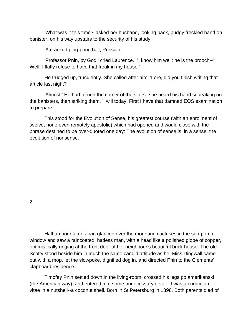'What was it this time?' asked her husband, looking back, pudgy freckled hand on banister, on his way upstairs to the security of his study.

'A cracked ping-pong ball, Russian.'

'Professor Pnin, by God!' cried Laurence. "'I know him well: he is the brooch--" Well, I flatly refuse to have that freak in my house.'

He trudged up, truculently. She called after him: 'Lore, did you finish writing that article last night?'

'Almost.' He had turned the comer of the stairs--she heard his hand squeaking on the banisters, then striking them. 'I will today. First I have that damned EOS examination to prepare.'

This stood for the Evolution of Sense, his greatest course (with an enrolment of twelve, none even remotely apostolic) which had opened and would close with the phrase destined to be over-quoted one day: The evolution of sense is, in a sense, the evolution of nonsense.

2

Half an hour later, Joan glanced over the moribund cactuses in the sun-porch window and saw a raincoated, hatless man, with a head like a polished globe of copper, optimistically ringing at the front door of her neighbour's beautiful brick house. The old Scotty stood beside him in much the same candid attitude as he. Miss Dingwall came out with a mop, let the slowpoke, dignified dog in, and directed Pnin to the Clements' clapboard residence.

Timofey Pnin settled down in the living-room, crossed his legs po amerikanski (the American way), and entered into some unnecessary detail. It was a curriculum vitae in a nutshell--a coconut shell. Born in St Petersburg in 1898. Both parents died of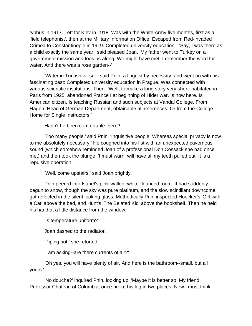typhus in 1917. Left for Kiev in 1918. Was with the White Army five months, first as a 'field telephonist', then at the Military Information Office. Escaped from Red-invaded Crimea to Constantinople in 1919. Completed university education-- 'Say, I was there as a child exactly the same year,' said pleased Joan. 'My father went to Turkey on a government mission and took us along. We might have met! I remember the word for water. And there was a rose garden--'

'Water in Turkish is "su",' said Pnin, a linguist by necessity, and went on with his fascinating past: Completed university education in Prague. Was connected with various scientific institutions. Then--'Well, to make a long story very short: habitated in Paris from 1925, abandoned France I at beginning of Hider war. Is now here. Is American citizen. Is teaching Russian and such subjects at Vandal College. From Hagen, Head of German Department, obtainable all references. Or from the College Home for Single Instructors.'

Hadn't he been comfortable there?

'Too many people,' said Pnin. 'Inquisitive people. Whereas special privacy is now to me absolutely necessary.' He coughed into his fist with an unexpected cavernous sound (which somehow reminded Joan of a professional Don Cossack she had once met) and then took the plunge: 'I must warn: will have all my teeth pulled out. It is a repulsive operation.'

'Well, come upstairs,' said Joan brightly.

Pnin peered into Isabel's pink-walled, white-flounced room. It had suddenly begun to snow, though the sky was pure platinum, and the slow scintillant downcome got reflected in the silent looking glass. Methodically Pnin inspected Hoecker's 'Girl with a Cat' above the bed, and Hunt's 'The Belated Kid' above the bookshelf. Then he held his hand at a little distance from the window.

'Is temperature uniform?'

Joan dashed to the radiator.

'Piping hot,' she retorted.

'I am asking--are there currents of air?'

'Oh yes, you will have plenty of air. And here is the bathroom--small, but all yours.'

'No douche?' inquired Pnin, looking up. 'Maybe it is better so. My friend, Professor Chateau of Columbia, once broke his leg in two places. Now I must think.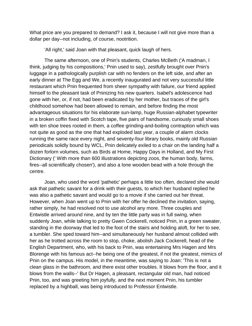What price are you prepared to demand? I ask it, because I will not give more than a dollar per day--not including, of course, nootrition.

'All right,' said Joan with that pleasant, quick laugh of hers.

The same afternoon, one of Pnin's students, Charles McBeth ('A madman, I think, judging by his compositions,' Pnin used to say), zestfully brought over Pnin's luggage in a pathologically purplish car with no fenders on the left side, and after an early dinner at The Egg and We, a recently inaugurated and not very successful little restaurant which Pnin frequented from sheer sympathy with failure, our friend applied himself to the pleasant task of Pninizing his new quarters. Isabel's adolescence had gone with her, or, if not, had been eradicated by her mother, but traces of the girl's childhood somehow had been allowed to remain, and before finding the most advantageous situations for his elaborate sun-lamp, huge Russian-alphabet typewriter in a broken coffin fixed with Scotch tape, five pairs of handsome, curiously small shoes with ten shoe trees rooted in them, a coffee grinding-and-boiling contraption which was not quite as good as the one that had exploded last year, a couple of alarm clocks running the same race every night, and seventy-four library books, mainly old Russian periodicals solidly bound by WCL, Pnin delicately exiled to a chair on the landing half a dozen forlorn volumes, such as Birds at Home, Happy Days in Holland, and My First Dictionary (' With more than 600 illustrations depicting zoos, the human body, farms, fires--all scientifically chosen'), and also a lone wooden bead with a hole through the centre.

Joan, who used the word 'pathetic' perhaps a little too often, declared she would ask that pathetic savant for a drink with their guests, to which her husband replied he was also a pathetic savant and would go to a movie if she carried out her threat. However, when Joan went up to Pnin with her offer he declined the invitation, saying, rather simply, he had resolved not to use alcohol any more. Three couples and Entwistle arrived around nine, and by ten the little party was in full swing, when suddenly Joan, while talking to pretty Gwen Cockerell, noticed Pnin, in a green sweater, standing in the doorway that led to the foot of the stairs and holding aloft, for her to see, a tumbler. She sped toward him--and simultaneously her husband almost collided with her as he trotted across the room to stop, choke, abolish Jack Cockerell, head of the English Department, who, with his back to Pnin, was entertaining Mrs Hagen and Mrs Blorenge with his famous act--he being one of the greatest, if not the greatest, mimics of Pnin on the campus. His model, in the meantime, was saying to Joan: 'This is not a clean glass in the bathroom, and there exist other troubles. It blows from the floor, and it blows from the walls--' But Dr Hagen, a pleasant, rectangular old man, had noticed Pnin, too, and was greeting him joyfully, and the next moment Pnin, his tumbler replaced by a highball, was being introduced to Professor Entwistle.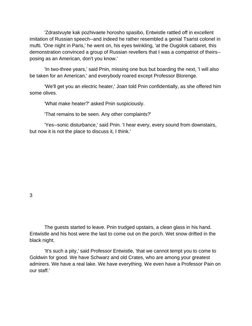'Zdrastvuyte kak pozhivaete horosho spasibo, Entwistle rattled off in excellent imitation of Russian speech--and indeed he rather resembled a genial Tsarist colonel in mufti. 'One night in Paris,' he went on, his eyes twinkling, 'at the Ougolok cabaret, this demonstration convinced a group of Russian revellers that I was a compatriot of theirs- posing as an American, don't you know.'

'In two-three years,' said Pnin, missing one bus but boarding the next, 'I will also be taken for an American,' and everybody roared except Professor Blorenge.

'We'll get you an electric heater,' Joan told Pnin confidentially, as she offered him some olives.

'What make heater?' asked Pnin suspiciously.

'That remains to be seen. Any other complaints?'

'Yes--sonic disturbance,' said Pnin. 'I hear every, every sound from downstairs, but now it is not the place to discuss it, I think.'

3

The guests started to leave. Pnin trudged upstairs, a clean glass in his hand. Entwistle and his host were the last to come out on the porch. Wet snow drifted in the black night.

'It's such a pity,' said Professor Entwistle, 'that we cannot tempt you to come to Goldwin for good. We have Schwarz and old Crates, who are among your greatest admirers. We have a real lake. We have everything. We even have a Professor Pain on our staff.'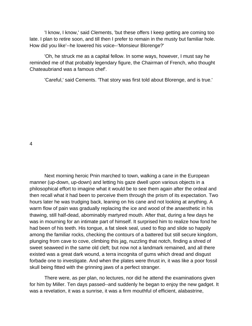'I know, I know,' said Clements, 'but these offers I keep getting are coming too late. I plan to retire soon, and till then I prefer to remain in the musty but familiar hole. How did you like'--he lowered his voice--'Monsieur Blorenge?'

'Oh, he struck me as a capital fellow. In some ways, however, I must say he reminded me of that probably legendary figure, the Chairman of French, who thought Chateaubriand was a famous chef'.

'Careful,' said Cements. 'That story was first told about Blorenge, and is true.'

Next morning heroic Pnin marched to town, walking a cane in the European manner (up-down, up-down) and letting his gaze dwell upon various objects in a philosophical effort to imagine what it would be to see them again after the ordeal and then recall what it had been to perceive them through the prism of its expectation. Two hours later he was trudging back, leaning on his cane and not looking at anything. A warm flow of pain was gradually replacing the ice and wood of the anaesthetic in his thawing, still half-dead, abominably martyred mouth. After that, during a few days he was in mourning for an intimate part of himself. It surprised him to realize how fond he had been of his teeth. His tongue, a fat sleek seal, used to flop and slide so happily among the familiar rocks, checking the contours of a battered but still secure kingdom, plunging from cave to cove, climbing this jag, nuzzling that notch, finding a shred of sweet seaweed in the same old cleft; but now not a landmark remained, and all there existed was a great dark wound, a terra incognita of gums which dread and disgust forbade one to investigate. And when the plates were thrust in, it was like a poor fossil skull being fitted with the grinning jaws of a perfect stranger.

There were, as per plan, no lectures, nor did he attend the examinations given for him by Miller. Ten days passed--and suddenly he began to enjoy the new gadget. It was a revelation, it was a sunrise, it was a firm mouthful of efficient, alabastrine,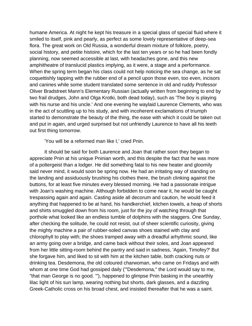humane America. At night he kept his treasure in a special glass of special fluid where it smiled to itself, pink and pearly, as perfect as some lovely representative of deep-sea flora. The great work on Old Russia, a wonderful dream mixture of folklore, poetry, social history, and petite histoire, which for the last ten years or so he had been fondly planning, now seemed accessible at last, with headaches gone, and this new amphitheatre of translucid plastics implying, as it were, a stage and a performance. When the spring term began his class could not help noticing the sea change, as he sat coquettishly tapping with the rubber end of a pencil upon those even, too even, incisors and canines while some student translated some sentence in old and ruddy Professor Oliver Bradstreet Mann's Elementary Russian (actually written from beginning to end by two frail drudges, John and Olga Krotki, both dead today), such as 'The boy is playing with his nurse and his uncle.' And one evening he waylaid Laurence Clements, who was in the act of scuttling up to his study, and with incoherent exclamations of triumph started to demonstrate the beauty of the thing, the ease with which it could be taken out and put in again, and urged surprised but not unfriendly Laurence to have all his teeth out first thing tomorrow.

'You will be a reformed man like I,' cried Pnin.

It should be said for both Laurence and Joan that rather soon they began to appreciate Pnin at his unique Pninian worth, and this despite the fact that he was more of a poltergeist than a lodger. He did something fatal to his new heater and gloomily said never mind, it would soon be spring now. He had an irritating way of standing on the landing and assiduously brushing his clothes there, the brush clinking against the buttons, for at least five minutes every blessed morning. He had a passionate intrigue with Joan's washing machine. Although forbidden to come near it, he would be caught trespassing again and again. Casting aside all decorum and caution, he would feed it anything that happened to be at hand, his handkerchief, kitchen towels, a heap of shorts and shirts smuggled down from his room, just for the joy of watching through that porthole what looked like an endless tumble of dolphins with the staggers. One Sunday, after checking the solitude, he could not resist, out of sheer scientific curiosity, giving the mighty machine a pair of rubber-soled canvas shoes stained with clay and chlorophyll to play with; the shoes tramped away with a dreadful arhythmic sound, like an army going over a bridge, and came back without their soles, and Joan appeared from her little sitting-room behind the pantry and said in sadness, 'Again, Timofey?' But she forgave him, and liked to sit with him at the kitchen table, both cracking nuts or drinking tea. Desdemona, the old coloured charwoman, who came on Fridays and with whom at one time God had gossiped daily ('"Desdemona," the Lord would say to me, "that man George is no good. "'), happened to glimpse Pnin basking in the unearthly lilac light of his sun lamp, wearing nothing but shorts, dark glasses, and a dazzling Greek-Catholic cross on his broad chest, and insisted thereafter that he was a saint.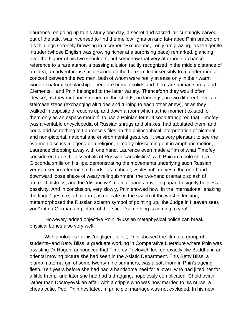Laurence, on going up to his study one day, a secret and sacred lair cunningly carved out of the attic, was incensed to find the mellow lights on and fat-naped Pnin braced on his thin legs serenely browsing in a corner: 'Excuse me, I only am grazing,' as the gentle intruder (whose English was growing richer at a surprising pace) remarked, glancing over the higher of his two shoulders; but somehow that very afternoon a chance reference to a rare author, a passing allusion tacitly recognized in the middle distance of an idea, an adventurous sail descried on the horizon, led insensibly to a tender mental concord between the two men, both of whom were really at ease only in their warm world of natural scholarship. There are human solids and there are human surds, and Clements. I and Pnin belonged to the latter variety. Thenceforth they would often 'devise', as they met and stopped on thresholds, on landings, on two different levels of staircase steps (exchanging altitudes and turning to each other anew), or as they walked in opposite directions up and down a room which at the moment existed for them only as an espace meublé, to use a Pninian term. It soon transpired that Timofey was a veritable encyclopedia of Russian shrugs and shakes, had tabulated them, and could add something to Laurence's files on the philosophical interpretation of pictorial and non-pictorial, national and environmental gestures. It was very pleasant to see the two men discuss a legend or a religion, Timofey blossoming out in amphoric motion, Laurence chopping away with one hand. Laurence even made a film of what Timofey considered to be the essentials of Russian 'carpalistics', with Pnin in a polo shirt, a Gioconda smile on his lips, demonstrating the movements underlying such Russian verbs--used in reference to hands--as mahnut', vsplesnut', razvesti: the one-hand downward loose shake of weary relinquishment; the two-hand dramatic splash of amazed distress; and the 'disjunctive' motion--hands travelling apart to signify helpless passivity. And in conclusion, very slowly, Pnin showed how, in the international' shaking the finger' gesture, a half turn, as delicate as the switch of the wrist in fencing, metamorphosed the Russian solemn symbol of pointing up, 'the Judge in Heaven sees you!' into a German air picture of the; stick--'something is coming to you!'

'However,' added objective Pnin, 'Russian metaphysical police can break physical bones also very well.'

With apologies for his 'negligent toilet', Pnin showed the film to a group of students--and Betty Bliss, a graduate working in Comparative Literature where Pnin was assisting Dr Hagen, announced that Timofey Pavlovich looked exactly like Buddha in an oriental moving picture she had seen in the Asiatic Department. This Betty Bliss, a plump maternal girl of some twenty-nine summers, was a soft thorn in Pnin's ageing flesh. Ten years before she had had a handsome heel for a lover, who had jilted her for a little tramp, and later she had had a dragging, hopelessly complicated, Chekhovian rather than Dostoyevskian affair with a cripple who was now married to his nurse, a cheap cutie. Poor Pnin hesitated. In principle, marriage was not excluded. In his new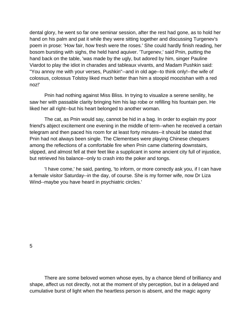dental glory, he went so far one seminar session, after the rest had gone, as to hold her hand on his palm and pat it while they were sitting together and discussing Turgenev's poem in prose: 'How fair, how fresh were the roses.' She could hardly finish reading, her bosom bursting with sighs, the held hand aquiver. 'Turgenev,' said Pnin, putting the hand back on the table, 'was made by the ugly, but adored by him, singer Pauline Viardot to play the idiot in charades and tableaux vivants, and Madam Pushkin said: "You annoy me with your verses, Pushkin"--and in old age--to think only!--the wife of colossus, colossus Tolstoy liked much better than him a stoopid moozishan with a red noz!'

Pnin had nothing against Miss Bliss. In trying to visualize a serene senility, he saw her with passable clarity bringing him his lap robe or refilling his fountain pen. He liked her all right--but his heart belonged to another woman.

The cat, as Pnin would say, cannot be hid in a bag. In order to explain my poor friend's abject excitement one evening in the middle of term--when he received a certain telegram and then paced his room for at least forty minutes--it should be stated that Pnin had not always been single. The Clementses were playing Chinese chequers among the reflections of a comfortable fire when Pnin came clattering downstairs, slipped, and almost fell at their feet like a supplicant in some ancient city full of injustice, but retrieved his balance--only to crash into the poker and tongs.

'I have come,' he said, panting, 'to inform, or more correctly ask you, if I can have a female visitor Saturday--in the day, of course. She is my former wife, now Dr Liza Wind--maybe you have heard in psychiatric circles.'

5

There are some beloved women whose eyes, by a chance blend of brilliancy and shape, affect us not directly, not at the moment of shy perception, but in a delayed and cumulative burst of light when the heartless person is absent, and the magic agony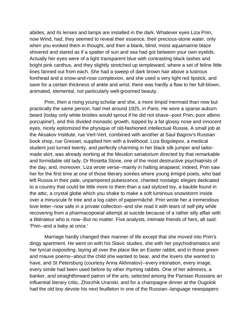abides, and its lenses and lamps are installed in the dark. Whatever eyes Liza Pnin, now Wind, had, they seemed to reveal their essence, their precious-stone water, only when you evoked them in thought, and then a blank, blind, moist aquamarine blaze shivered and stared as if a spatter of sun and sea had got between your own eyelids. Actually her eyes were of a light transparent blue with contrasting black lashes and bright pink canthus, and they slightly stretched up templeward, where a set of feline little lines fanned out from each. She had a sweep of dark brown hair above a lustrous forehead and a snow-and-rose complexion, and she used a very light red lipstick, and save for a certain thickness of ankle and wrist, there was hardly a flaw to her full-blown, animated, elemental, not particularly well-groomed beauty.

Pnin, then a rising young scholar and she, a more limpid mermaid than now but practically the same person, had met around 1925, in Paris. He wore a sparse auburn beard (today only white bristles would sprout if he did not shave--poor Pnin, poor albino porcupine!), and this divided monastic growth, topped by a fat glossy nose and innocent eyes, nicely epitomized the physique of old-fashioned intellectual Russia. A small job at the Aksakov Institute, rue Vert-Vert, combined with another at Saul Bagrov's Russian book shop, rue Gresset, supplied him with a livelihood. Liza Bogolepov, a medical student just turned twenty, and perfectly charming in her black silk jumper and tailormade skirt, was already working at the Meudon sanatorium directed by that remarkable and formidable old lady, Dr Rosetta Stone, one of the most destructive psychiatrists of the day; and, moreover, Liza wrote verse--mainly in halting anapaest; indeed, Pnin saw her for the first time at one of those literary soirées where young émigré poets, who bad left Russia in their pale, unpampered pubescence, chanted nostalgic elegies dedicated to a country that could be little more to them than a sad stylized toy, a bauble found in the attic, a crystal globe which you shake to make a soft luminous snowstorm inside over a minuscule fir tree and a log cabin of papiermâché. Pnin wrote her a tremendous love letter--now safe in a private collection--and she read it with tears of self-pity while recovering from a pharmacopoeial attempt at suicide because of a rather silly affair with a littérateur who is now--But no matter. Five analysts, intimate friends of hers, all said: 'Pnin--and a baby at once.'

Marriage hardly changed their manner of life except that she moved into Pnin's dingy apartment. He went on with his Slavic studies, she with her psychodramatics and her lyrical ovipositing, laying all over the place like an Easter rabbit, and in those green and mauve poems--about the child she wanted to bear, and the lovers she wanted to have, and St Petersburg (courtesy Anna Akhmatov)--every intonation, every image, every simile had been used before by other rhyming rabbits. One of her admirers, a banker, and straightforward patron of the arts, selected among the Parisian Russians an influential literary critic, Zhorzhik Uranski, and for a champagne dinner at the Ougolok had the old boy devote his next feuilleton in one of the Russian--language newspapers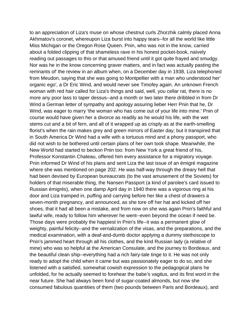to an appreciation of Liza's muse on whose chestnut curls Zhorzhik calmly placed Anna Akhmatov's coronet, whereupon Liza burst into happy tears--for all the world like little Miss Michigan or the Oregon Rose Queen. Pnin, who was not in the know, carried about a folded clipping of that shameless rave in his honest pocket-book, naïvely reading out passages to this or that amused friend until it got quite frayed and smudgy. Nor was he in the know concerning graver matters, and in fact was actually pasting the remnants of' the review in an album when, on a December day in 1938, Liza telephoned from Meudon, saying that she was going to Montpellier with a man who understood her' organic ego', a Dr Eric Wind, and would never see Timofey again. An unknown French woman with red hair called for Liza's things and said, well, you cellar rat, there is no more any poor lass to taper dessus--and a month or two later there dribbled in from Dr Wind a German letter of sympathy and apology assuring lieber Herr Pnin that he, Dr Wind, was eager to marry 'the woman who has come out of your life into mine.' Pnin of course would have given her a divorce as readily as he would his life, with the wet stems cut and a bit of fern, and all of it wrapped up as crisply as at the earth-smelling florist's when the rain makes grey and green mirrors of Easter day; but it transpired that in South America Dr Wind had a wife with a tortuous mind and a phony passport, who did not wish to be bothered until certain plans of her own took shape. Meanwhile, the New World had started to beckon Pnin too: from New York a great friend of his, Professor Konstantin Chateau, offered him every assistance for a migratory voyage. Pnin informed Dr Wind of his plans and sent Liza the last issue of an émigré magazine where she was mentioned on page 202. He was half-way through the dreary hell that had been devised by European bureaucrats (to the vast amusement of the Soviets) for holders of that miserable thing, the Nansen Passport (a kind of parolee's card issued to Russian émigrés), when one damp April day in 1940 there was a vigorous ring at his door and Liza tramped in, puffing and carrying before her like a chest of drawers a seven-month pregnancy, and announced, as she tore off her hat and kicked off her shoes, that it had all been a mistake, and from now on she was again Pnin's faithful and lawful wife, ready to follow him wherever he went--even beyond the ocean if need be. Those days were probably the happiest in Pnin's life--it was a permanent glow of weighty, painful felicity--and the vernalization of the visas, and the preparations, and the medical examination, with a deaf-and-dumb doctor applying a dummy stethoscope to Pnin's jammed heart through all his clothes, and the kind Russian lady (a relative of mine) who was so helpful at the American Consulate, and the journey to Bordeaux, and the beautiful clean ship--everything had a rich fairy-tale tinge to it. He was not only ready to adopt the child when it came but was passionately eager to do so, and she listened with a satisfied, somewhat cowish expression to the pedagogical plans he unfolded, for he actually seemed to forehear the babe's vagitus, and its first word in the near future. She had always been fond of sugar-coated almonds, but now she consumed fabulous quantities of them (two pounds between Paris and Bordeaux), and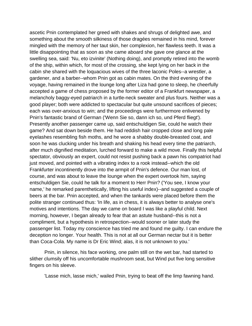ascetic Pnin contemplated her greed with shakes and shrugs of delighted awe, and something about the smooth silkiness of those dragées remained in his mind, forever mingled with the memory of her taut skin, her complexion, her flawless teeth. It was a little disappointing that as soon as she came aboard she gave one glance at the swelling sea, said: 'Nu, eto izvinite' (Nothing doing), and promptly retired into the womb of the ship, within which, for most of the crossing, she kept lying on her back in the cabin she shared with the loquacious wives of the three laconic Poles--a wrestler, a gardener, and a barber--whom Pnin got as cabin mates. On the third evening of the voyage, having remained in the lounge long after Liza had gone to sleep, he cheerfully accepted a game of chess proposed by the former editor of a Frankfurt newspaper, a melancholy baggy-eyed patriarch in a turtle-neck sweater and plus fours. Neither was a good player; both were addicted to spectacular but quite unsound sacrifices of pieces; each was over-anxious to win; and the proceedings were furthermore enlivened by Pnin's fantastic brand of German ('Wenn Sie so, dann ich so, und Pferd fliegt'). Presently another passenger came up, said entschuldigen Sie, could he watch their game? And sat down beside them. He had reddish hair cropped close and long pale eyelashes resembling fish moths, and he wore a shabby double-breasted coat, and soon he was clucking under his breath and shaking his head every time the patriarch, after much dignified meditation, lurched forward to make a wild move. Finally this helpful spectator, obviously an expert, could not resist pushing back a pawn his compatriot had just moved, and pointed with a vibrating index to a rook instead--which the old Frankfurter incontinently drove into the armpit of Pnin's defence. Our man lost, of course, and was about to leave the lounge when the expert overtook him, saying entschuldigen Sie, could he talk for a moment to Herr Pnin? ('You see, I know your name,' he remarked parenthetically, lifting his useful index)--and suggested a couple of beers at the bar. Pnin accepted, and when the tankards were placed before them the polite stranger continued thus: 'In life, as in chess, it is always better to analyse one's motives and intentions. The day we came on board I was like a playful child. Next morning, however, I began already to fear that an astute husband--this is not a compliment, but a hypothesis in retrospection--would sooner or later study the passenger list. Today my conscience has tried me and found me guilty. I can endure the deception no longer. Your health. This is not at all our German nectar but it is better than Coca-Cola. My name is Dr Eric Wind; alas, it is not unknown to you.'

Pnin, in silence, his face working, one palm still on the wet bar, had started to slither clumsily off his uncomfortable mushroom seat, but Wind put five long sensitive fingers on his sleeve.

'Lasse mich, lasse mich,' wailed Pnin, trying to beat off the limp fawning hand.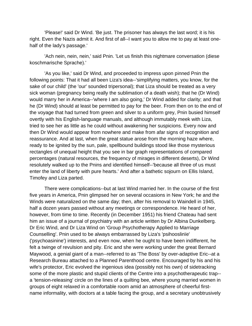'Please!' said Dr Wind. 'Be just. The prisoner has always the last word; it is his right. Even the Nazis admit it. And first of all--I want you to allow me to pay at least onehalf of the lady's passage.'

'Ach nein, nein, nein,' said Pnin. 'Let us finish this nightmare conversation (diese koschmarische Sprache).'

'As you like,' said Dr Wind, and proceeded to impress upon pinned Pnin the following points: That it had all been Liza's idea--'simplifying matters, you know, for the sake of our child' (the 'our' sounded tripersonal); that Liza should be treated as a very sick woman (pregnancy being really the sublimation of a death wish); that he (Dr Wind) would marry her in America--'where I am also going,' Dr Wind added for clarity; and that he (Dr Wind) should at least be permitted to pay for the beer. From then on to the end of the voyage that had turned from green and silver to a uniform grey, Pnin busied himself overtly with his English-language manuals, and although immutably meek with Liza, tried to see her as little as he could without awakening her suspicions. Every now and then Dr Wind would appear from nowhere and make from afar signs of recognition and reassurance. And at last, when the great statue arose from the morning haze where, ready to be ignited by the sun, pale, spellbound buildings stood like those mysterious rectangles of unequal height that you see in bar graph representations of compared percentages (natural resources, the frequency of mirages in different deserts), Dr Wind resolutely walked up to the Pnins and identified himself--'because all three of us must enter the land of liberty with pure hearts.' And after a bathetic sojourn on Ellis Island, Timofey and Liza parted.

There were complications--but at last Wind married her. In the course of the first five years in America, Pnin glimpsed her on several occasions in New York; he and the Winds were naturalized on the same day; then, after his removal to Waindell in 1945, half a dozen years passed without any meetings or correspondence. He heard of her, however, from time to time. Recently (in December 1951) his friend Chateau had sent him an issue of a journal of psychiatry with an article written by Dr Albina Dunkelberg. Dr Eric Wind, and Dr Liza Wind on 'Group Psychotherapy Applied to Marriage Counselling'. Pnin used to be always embarrassed by Liza's 'psihooslinïe' ('psychoasinine') interests, and even now, when he ought to have been indifferent, he felt a twinge of revulsion and pity. Eric and she were working under the great Bernard Maywood, a genial giant of a man--referred to as 'The Boss' by over-adaptive Eric--at a Research Bureau attached to a Planned Parenthood centre. Encouraged by his and his wife's protector, Eric evolved the ingenious idea (possibly not his own) of sidetracking some of the more plastic and stupid clients of the Centre into a psychotherapeutic trap- a 'tension-releasing' circle on the lines of a quilting bee, where young married women in groups of eight relaxed in a comfortable room amid an atmosphere of cheerful firstname informality, with doctors at a table facing the group, and a secretary unobtrusively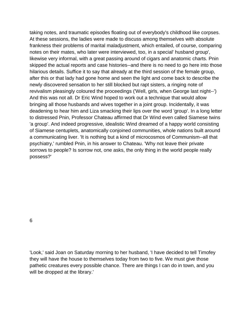taking notes, and traumatic episodes floating out of everybody's childhood like corpses. At these sessions, the ladies were made to discuss among themselves with absolute frankness their problems of marital maladjustment, which entailed, of course, comparing notes on their mates, who later were interviewed, too, in a special' husband group', likewise very informal, with a great passing around of cigars and anatomic charts. Pnin skipped the actual reports and case histories--and there is no need to go here into those hilarious details. Suffice it to say that already at the third session of the female group, after this or that lady had gone home and seen the light and come back to describe the newly discovered sensation to her still blocked but rapt sisters, a ringing note of revivalism pleasingly coloured the proceedings ('Well, girls, when George last night--') And this was not all. Dr Eric Wind hoped to work out a technique that would allow bringing all those husbands and wives together in a joint group. Incidentally, it was deadening to hear him and Liza smacking their lips over the word 'group'. In a long letter to distressed Pnin, Professor Chateau affirmed that Dr Wind even called Siamese twins 'a group'. And indeed progressive, idealistic Wind dreamed of a happy world consisting of Siamese centuplets, anatomically conjoined communities, whole nations built around a communicating liver. 'It is nothing but a kind of microcosmos of Communism--all that psychiatry,' rumbled Pnin, in his answer to Chateau. 'Why not leave their private sorrows to people? Is sorrow not, one asks, the only thing in the world people really possess?'

6

'Look,' said Joan on Saturday morning to her husband, 'I have decided to tell Timofey they will have the house to themselves today from two to five. We must give those pathetic creatures every possible chance. There are things I can do in town, and you will be dropped at the library.'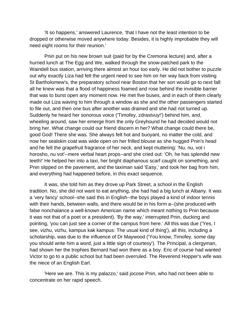'It so happens,' answered Laurence, 'that I have not the least intention to be dropped or otherwise moved anywhere today. Besides, it is highly improbable they will need eight rooms for their reunion.'

Pnin put on his new brown suit (paid for by the Cremona lecture) and, after a hurried lunch at The Egg and We, walked through the snow-patched park to the Waindell bus station, arriving there almost an hour too early. He did not bother to puzzle out why exactly Liza had felt the urgent need to see him on her way back from visiting St Bartholomew's, the preparatory school near Boston that her son would go to next fall: all he knew was that a flood of happiness foamed and rose behind the invisible barrier that was to burst open any moment now. He met five buses, and in each of them clearly made out Liza waving to him through a window as she and the other passengers started to file out, and then one bus after another was drained and she had not turned up. Suddenly he heard her sonorous voice ('Timofey, zdrastvuy!') behind him, and, wheeling around, saw her emerge from the only Greyhound he had decided would not bring her. What change could our friend discern in her? What change could there be, good God! There she was. She always felt hot and buoyant, no matter the cold, and now her sealskin coat was wide open on her frilled blouse as she hugged Pnin's head and he felt the grapefruit fragrance of her neck, and kept muttering: 'Nu, nu, vot i horosho, nu vot'--mere verbal heart props--and she cried out: 'Oh, he has splendid new teeth!' He helped her into a taxi, her bright diaphanous scarf caught on something, and Pnin slipped on the pavement, and the taximan said 'Easy,' and took her bag from him, and everything had happened before, in this exact sequence.

It was, she told him as they drove up Park Street, a school in the English tradition. No, she did not want to eat anything, she had had a big lunch at Albany. It was a 'very fancy' school--she said this in English--the boys played a kind of indoor tennis with their hands, between walls, and there would be in his form a--(she produced with false nonchalance a well-known American name which meant nothing to Pnin because it was not that of a poet or a president). 'By the way,' interrupted Pnin, ducking and pointing, 'you can just see a corner of the campus from here.' All this was due ('Yes, I see, vizhu, vizhu, kampus kak kampus: The usual kind of thing'), all this, including a scholarship, was due to the influence of Dr Maywood ('You know, Timofey, some day you should write him a word, just a little sign of courtesy'). The Principal, a clergyman, had shown her the trophies Bernard had won there as a boy. Eric of course had wanted Victor to go to a public school but had been overruled. The Reverend Hopper's wife was the niece of an English Earl.

'Here we are. This is my palazzo,' said jocose Pnin, who had not been able to concentrate on her rapid speech.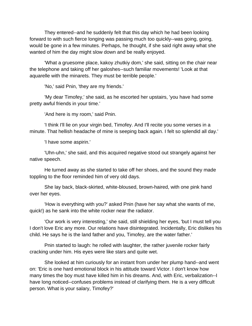They entered--and he suddenly felt that this day which he had been looking forward to with such fierce longing was passing much too quickly--was going, going, would be gone in a few minutes. Perhaps, he thought, if she said right away what she wanted of him the day might slow down and be really enjoyed.

'What a gruesome place, kakoy zhutkiy dom,' she said, sitting on the chair near the telephone and taking off her galoshes--such familiar movements! 'Look at that aquarelle with the minarets. They must be terrible people.'

'No,' said Pnin, 'they are my friends.'

'My dear Timofey,' she said, as he escorted her upstairs, 'you have had some pretty awful friends in your time.'

'And here is my room,' said Pnin.

'I think I'll lie on your virgin bed, Timofey. And I'll recite you some verses in a minute. That hellish headache of mine is seeping back again. I felt so splendid all day.'

'I have some aspirin.'

'Uhn-uhn,' she said, and this acquired negative stood out strangely against her native speech.

He turned away as she started to take off her shoes, and the sound they made toppling to the floor reminded him of very old days.

She lay back, black-skirted, white-bloused, brown-haired, with one pink hand over her eyes.

'How is everything with you?' asked Pnin (have her say what she wants of me, quick!) as he sank into the white rocker near the radiator.

'Our work is very interesting,' she said, still shielding her eyes, 'but I must tell you I don't love Eric any more. Our relations have disintegrated. Incidentally, Eric dislikes his child. He says he is the land father and you, Timofey, are the water father.'

Pnin started to laugh: he rolled with laughter, the rather juvenile rocker fairly cracking under him. His eyes were like stars and quite wet.

She looked at him curiously for an instant from under her plump hand--and went on: 'Eric is one hard emotional block in his attitude toward Victor. I don't know how many times the boy must have killed him in his dreams. And, with Eric, verbalization--I have long noticed--confuses problems instead of clarifying them. He is a very difficult person. What is your salary, Timofey?'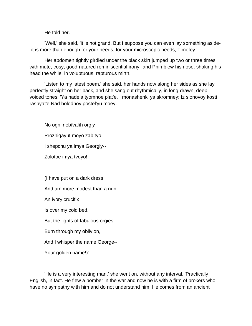He told her.

'Well,' she said, 'it is not grand. But I suppose you can even lay something aside- -it is more than enough for your needs, for your microscopic needs, Timofey.'

Her abdomen tightly girdled under the black skirt jumped up two or three times with mute, cosy, good-natured reminiscential irony--and Pnin blew his nose, shaking his head the while, in voluptuous, rapturous mirth.

'Listen to my latest poem,' she said, her hands now along her sides as she lay perfectly straight on her back, and she sang out rhythmically, in long-drawn, deepvoiced tones: 'Ya nadela tyomnoe plat'e, I monashenki ya skromney; Iz slonovoy kosti raspyat'e Nad holodnoy postel'yu moey.

No ogni nebïvalïh orgiy Prozhigayut moyo zabïtyo I shepchu ya imya Georgiy-- Zolotoe imya tvoyo!

(I have put on a dark dress And am more modest than a nun; An ivory crucifix Is over my cold bed. But the lights of fabulous orgies Burn through my oblivion, And I whisper the name George--

Your golden name!)'

'He is a very interesting man,' she went on, without any interval. 'Practically English, in fact. He flew a bomber in the war and now he is with a firm of brokers who have no sympathy with him and do not understand him. He comes from an ancient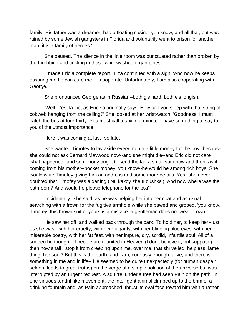family. His father was a dreamer, had a floating casino, you know, and all that, but was ruined by some Jewish gangsters in Florida and voluntarily went to prison for another man; it is a family of heroes.'

She paused. The silence in the little room was punctuated rather than broken by the throbbing and tinkling in those whitewashed organ pipes.

'I made Eric a complete report,' Liza continued with a sigh. 'And now he keeps assuring me he can cure me if I cooperate. Unfortunately, I am also cooperating with George.'

She pronounced George as in Russian--both g's hard, both e's longish.

'Well, c'est la vie, as Eric so originally says. How can you sleep with that string of cobweb hanging from the ceiling?' She looked at her wrist-watch. 'Goodness, I must catch the bus at four-thirty. You must call a taxi in a minute. I have something to say to you of the utmost importance.'

Here it was coming at last--so late.

She wanted Timofey to lay aside every month a little money for the boy--because she could not ask Bernard Maywood now--and she might die--and Eric did not care what happened--and somebody ought to send the lad a small sum now and then, as if coming from his mother--pocket money, you know--he would be among rich boys. She would write Timofey giving him an address and some more details. Yes--she never doubted that Timofey was a darling ('Nu kakoy zhe tï dushka'). And now where was the bathroom? And would he please telephone for the taxi?

'Incidentally,' she said, as he was helping her into her coat and as usual searching with a frown for the fugitive armhole while she pawed and groped, 'you know, Timofey, this brown suit of yours is a mistake: a gentleman does not wear brown.'

He saw her off, and walked back through the park. To hold her, to keep her--just as she was--with her cruelty, with her vulgarity, with her blinding blue eyes, with her miserable poetry, with her fat feet, with her impure, dry, sordid, infantile soul. All of a sudden he thought: If people are reunited in Heaven (I don't believe it, but suppose), then how shall I stop it from creeping upon me, over me, that shrivelled, helpless, lame thing, her soul? But this is the earth, and I am, curiously enough, alive, and there is something in me and in life-- He seemed to be quite unexpectedly (for human despair seldom leads to great truths) on the verge of a simple solution of the universe but was interrupted by an urgent request. A squirrel under a tree had seen Pain on the path. In one sinuous tendril-like movement, the intelligent animal climbed up to the brim of a drinking fountain and, as Pain approached, thrust its oval face toward him with a rather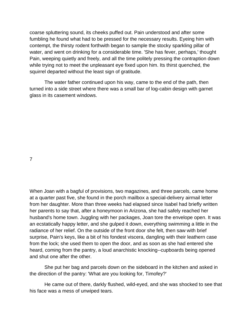coarse spluttering sound, its cheeks puffed out. Pain understood and after some fumbling he found what had to be pressed for the necessary results. Eyeing him with contempt, the thirsty rodent forthwith began to sample the stocky sparkling pillar of water, and went on drinking for a considerable time. 'She has fever, perhaps,' thought Pain, weeping quietly and freely, and all the time politely pressing the contraption down while trying not to meet the unpleasant eye fixed upon him. Its thirst quenched, the squirrel departed without the least sign of gratitude.

The water father continued upon his way, came to the end of the path, then turned into a side street where there was a small bar of log-cabin design with garnet glass in its casement windows.

7

When Joan with a bagful of provisions, two magazines, and three parcels, came home at a quarter past five, she found in the porch mailbox a special-delivery airmail letter from her daughter. More than three weeks had elapsed since Isabel had briefly written her parents to say that, after a honeymoon in Arizona, she had safely reached her husband's home town. Juggling with her packages, Joan tore the envelope open. It was an ecstatically happy letter, and she gulped it down, everything swimming a little in the radiance of her relief. On the outside of the front door she felt, then saw with brief surprise, Pain's keys, like a bit of his fondest viscera, dangling with their leathern case from the lock; she used them to open the door, and as soon as she had entered she heard, coming from the pantry, a loud anarchistic knocking--cupboards being opened and shut one after the other.

She put her bag and parcels down on the sideboard in the kitchen and asked in the direction of the pantry: 'What are you looking for, Timofey?'

He came out of there, darkly flushed, wild-eyed, and she was shocked to see that his face was a mess of unwiped tears.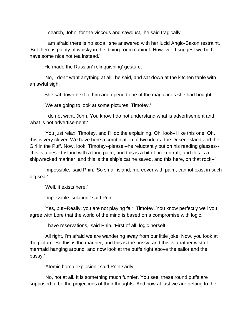'I search, John, for the viscous and sawdust,' he said tragically.

'I am afraid there is no soda,' she answered with her lucid Anglo-Saxon restraint. 'But there is plenty of whisky in the dining-room cabinet. However, I suggest we both have some nice hot tea instead.'

He made the Russian' relinquishing' gesture.

'No, I don't want anything at all,' he said, and sat down at the kitchen table with an awful sigh.

She sat down next to him and opened one of the magazines she had bought.

'We are going to look at some pictures, Timofey.'

'I do not want, John. You know I do not understand what is advertisement and what is not advertisement.'

'You just relax, Timofey, and I'll do the explaining. Oh, look--I like this one. Oh, this is very clever. We have here a combination of two ideas--the Desert Island and the Girl in the Puff. Now, look, Timofey--please'--he reluctantly put on his reading glasses-- 'this is a desert island with a lone palm, and this is a bit of broken raft, and this is a shipwrecked mariner, and this is the ship's cat he saved, and this here, on that rock--'

'Impossible,' said Pnin. 'So small island, moreover with palm, cannot exist in such big sea.'

'Well, it exists here.'

'Impossible isolation,' said Pnin.

'Yes, but--Really, you are not playing fair, Timofey. You know perfectly well you agree with Lore that the world of the mind is based on a compromise with logic.'

'I have reservations,' said Pnin. 'First of all, logic herself--'

'All right, I'm afraid we are wandering away from our little joke. Now, you look at the picture. So this is the mariner, and this is the pussy, and this is a rather wistful mermaid hanging around, and now look at the puffs right above the sailor and the pussy.'

'Atomic bomb explosion,' said Pnin sadly.

'No, not at all. It is something much funnier. You see, these round puffs are supposed to be the projections of their thoughts. And now at last we are getting to the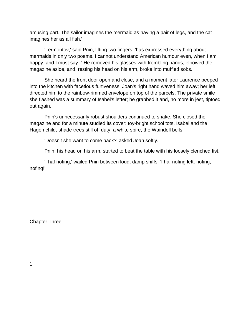amusing part. The sailor imagines the mermaid as having a pair of legs, and the cat imagines her as all fish.'

'Lermontov,' said Pnin, lifting two fingers, 'has expressed everything about mermaids in only two poems. I cannot understand American humour even, when I am happy, and I must say--' He removed his glasses with trembling hands, elbowed the magazine aside, and, resting his head on his arm, broke into muffled sobs.

She heard the front door open and close, and a moment later Laurence peeped into the kitchen with facetious furtiveness. Joan's right hand waved him away; her left directed him to the rainbow-rimmed envelope on top of the parcels. The private smile she flashed was a summary of Isabel's letter; he grabbed it and, no more in jest, tiptoed out again.

Pnin's unnecessarily robust shoulders continued to shake. She closed the magazine and for a minute studied its cover: toy-bright school tots, Isabel and the Hagen child, shade trees still off duty, a white spire, the Waindell bells.

'Doesn't she want to come back?' asked Joan softly.

Pnin, his head on his arm, started to beat the table with his loosely clenched fist.

'I haf nofing,' wailed Pnin between loud, damp sniffs, 'I haf nofing left, nofing, nofing!'

Chapter Three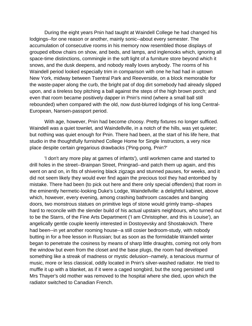During the eight years Pnin had taught at Waindell College he had changed his lodgings--for one reason or another, mainly sonic--about every semester. The accumulation of consecutive rooms in his memory now resembled those displays of grouped elbow chairs on show, and beds, and lamps, and inglenooks which, ignoring all space-time distinctions, commingle in the soft light of a furniture store beyond which it snows, and the dusk deepens, and nobody really loves anybody. The rooms of his Waindell period looked especially trim in comparison with one he had had in uptown New York, midway between Tsentral Park and Reeverside, on a block memorable for the waste-paper along the curb, the bright pat of dog dirt somebody had already slipped upon, and a tireless boy pitching a ball against the steps of the high brown porch; and even that room became positively dapper in Pnin's mind (where a small ball still rebounded) when compared with the old, now dust-blurred lodgings of his long Central-European, Nansen-passport period.

With age, however, Pnin had become choosy. Pretty fixtures no longer sufficed. Waindell was a quiet townlet, and Waindellville, in a notch of the hills, was yet quieter; but nothing was quiet enough for Pnin. There had been, at the start of his life here, that studio in the thoughtfully furnished College Home for Single Instructors, a very nice place despite certain gregarious drawbacks ('Ping-pong, Pnin?'

'I don't any more play at games of infants'), until workmen came and started to drill holes in the street--Brainpan Street, Pningrad--and patch them up again, and this went on and on, in fits of shivering black zigzags and stunned pauses, for weeks, and it did not seem likely they would ever find again the precious tool they had entombed by mistake. There had been (to pick out here and there only special offenders) that room in the eminently hermetic-looking Duke's Lodge, Waindellville: a delightful kabinet, above which, however, every evening, among crashing bathroom cascades and banging doors, two monstrous statues on primitive legs of stone would grimly tramp--shapes hard to reconcile with the slender build of his actual upstairs neighbours, who turned out to be the Starrs, of the Fine Arts Department ('I am Christopher, and this is Louise'), an angelically gentle couple keenly interested in Dostoyevsky and Shostakovich. There had been--in yet another rooming house--a still cosier bedroom-study, with nobody butting in for a free lesson in Russian; but as soon as the formidable Waindell winter began to penetrate the cosiness by means of sharp little draughts, coming not only from the window but even from the closet and the base plugs, the room had developed something like a streak of madness or mystic delusion--namely, a tenacious murmur of music, more or less classical, oddly located in Pnin's silver-washed radiator. He tried to muffle it up with a blanket, as if it were a caged songbird, but the song persisted until Mrs Thayer's old mother was removed to the hospital where she died, upon which the radiator switched to Canadian French.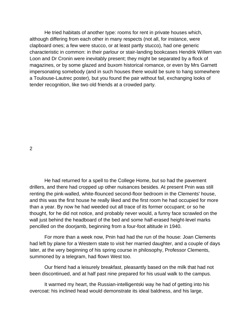He tried habitats of another type: rooms for rent in private houses which, although differing from each other in many respects (not all, for instance, were clapboard ones; a few were stucco, or at least partly stucco), had one generic characteristic in common: in their parlour or stair-landing bookcases Hendrik Willem van Loon and Dr Cronin were inevitably present; they might be separated by a flock of magazines, or by some glazed and buxom historical romance, or even by Mrs Garnett impersonating somebody (and in such houses there would be sure to hang somewhere a Toulouse-Lautrec poster), but you found the pair without fail, exchanging looks of tender recognition, like two old friends at a crowded party.

2

He had returned for a spell to the College Home, but so had the pavement drillers, and there had cropped up other nuisances besides. At present Pnin was still renting the pink-walled, white-flounced second-floor bedroom in the Clements' house, and this was the first house he really liked and the first room he had occupied for more than a year. By now he had weeded out all trace of its former occupant; or so he thought, for he did not notice, and probably never would, a funny face scrawled on the wall just behind the headboard of the bed and some half-erased height-level marks pencilled on the doorjamb, beginning from a four-foot altitude in 1940.

For more than a week now, Pnin had had the run of the house: Joan Clements had left by plane for a Western state to visit her married daughter, and a couple of days later, at the very beginning of his spring course in philosophy, Professor Clements, summoned by a telegram, had flown West too.

Our friend had a leisurely breakfast, pleasantly based on the milk that had not been discontinued, and at half past nine prepared for his usual walk to the campus.

It warmed my heart, the Russian-intelligentski way he had of getting into his overcoat: his inclined head would demonstrate its ideal baldness, and his large,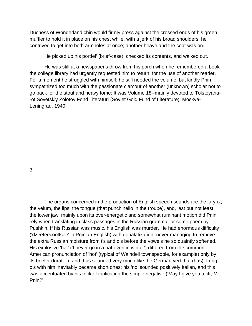Duchess of Wonderland chin would firmly press against the crossed ends of his green muffler to hold it in place on his chest while, with a jerk of his broad shoulders, he contrived to get into both armholes at once; another heave and the coat was on.

He picked up his portfel' (brief-case), checked its contents, and walked out.

He was still at a newspaper's throw from his porch when he remembered a book the college library had urgently requested him to return, for the use of another reader. For a moment he struggled with himself; he still needed the volume; but kindly Pnin sympathized too much with the passionate clamour of another (unknown) scholar not to go back for the stout and heavy tome: It was Volume 18--mainly devoted to Tolstoyana- -of Sovetskiy Zolotoy Fond Literaturï (Soviet Gold Fund of Literature), Moskva-Leningrad, 1940.

3

The organs concerned in the production of English speech sounds are the larynx, the velum, the lips, the tongue {that punchinello in the troupe), and, last but not least, the lower jaw; mainly upon its over-energetic and somewhat ruminant motion did Pnin rely when translating in class passages in the Russian grammar or some poem by Pushkin. If his Russian was music, his English was murder. He had enormous difficulty ('dzeefeecooltsee' in Pninian English) with depalatization, never managing to remove the extra Russian moisture from t's and d's before the vowels he so quaintly softened. His explosive 'hat' ('I never go in a hat even in winter') differed from the common American pronunciation of 'hot' (typical of Waindell townspeople, for example) only by its briefer duration, and thus sounded very much like the German verb hat (has). Long o's with him inevitably became short ones: his 'no' sounded positively Italian, and this was accentuated by his trick of triplicating the simple negative ('May I give you a lift, Mr Pnin?'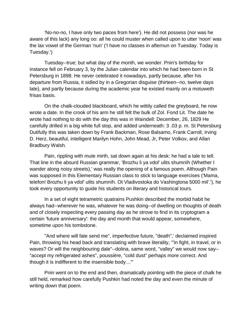'No-no-no, I have only two paces from here'). He did not possess (nor was he aware of this lack) any long oo: all he could muster when called upon to utter 'noon' was the lax vowel of the German 'nun' ('I have no classes in afternun on Tuesday. Today is Tuesday.')

Tuesday--true; but what day of the month, we wonder. Pnin's birthday for instance fell on February 3, by the Julian calendar into which he had been born in St Petersburg in 1898. He never celebrated it nowadays, partly because, after his departure from Russia, it sidled by in a Gregorian disguise (thirteen--no, twelve days late), and partly because during the academic year he existed mainly on a motuweth frisas basis.

On the chalk-clouded blackboard, which he wittily called the greyboard, he now wrote a date. In the crook of his arm he still felt the bulk of Zol. Fond Lit. The date he wrote had nothing to do with the day this was in Waindell: December, 26, 1829 He carefully drilled in a big white full stop, and added underneath: 3 .03 p. m. St Petersburg Dutifully this was taken down by Frank Backman, Rose Balsamo, Frank Carroll, Irving D. Herz, beautiful, intelligent Marilyn Hohn, John Mead, Jr, Peter Volkov, and Allan Bradbury Walsh.

Pain, rippling with mute mirth, sat down again at his desk: he had a tale to tell. That line in the absurd Russian grammar, 'Brozhu li ya vdol' ulits shumnïh (Whether I wander along noisy streets),' was really the opening of a famous poem. Although Pain was supposed in this Elementary Russian class to stick to language exercises ('Mama, telefon! Brozhu li ya vdol' ulits shumnïh. Ot Vladivostoka do Vashingtona 5000 mil'.'), he took every opportunity to guide his students on literary and historical tours.

In a set of eight tetrametric quatrains Pushkin described the morbid habit he always had--wherever he was, whatever he was doing--of dwelling on thoughts of death and of closely inspecting every passing day as he strove to find in its cryptogram a certain 'future anniversary': the day and month that would appear, somewhere, sometime upon his tombstone.

"And where will fate send me", imperfective future, "death",' declaimed inspired Pain, throwing his head back and translating with brave literality, '"in fight, in travel, or in waves? Or will the neighbouring dale"--dolina, same word, "valley" we would now say-- "accept my refrigerated ashes", poussière, "cold dust" perhaps more correct. And though it is indifferent to the insensible body…"'

Pnin went on to the end and then, dramatically pointing with the piece of chalk he still held, remarked how carefully Pushkin had noted the day and even the minute of writing down that poem.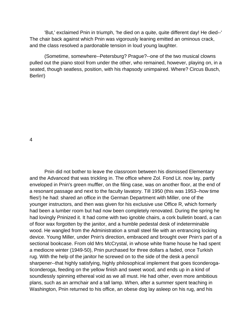'But,' exclaimed Pnin in triumph, 'he died on a quite, quite different day! He died--' The chair back against which Pnin was vigorously leaning emitted an ominous crack, and the class resolved a pardonable tension in loud young laughter.

(Sometime, somewhere--Petersburg? Prague?--one of the two musical clowns pulled out the piano stool from under the other, who remained, however, playing on, in a seated, though seatless, position, with his rhapsody unimpaired. Where? Circus Busch, Berlin!)

4

Pnin did not bother to leave the classroom between his dismissed Elementary and the Advanced that was trickling in. The office where Zol. Fond Lit. now lay, partly enveloped in Pnin's green muffler, on the filing case, was on another floor, at the end of a resonant passage and next to the faculty lavatory. Till 1950 (this was 1953--how time flies!) he had: shared an office in the German Department with Miller, one of the younger instructors, and then was given for his exclusive use Office R, which formerly had been a lumber room but had now been completely renovated. During the spring he had lovingly Pninized it. It had come with two ignoble chairs, a cork bulletin board, a can of floor wax forgotten by the janitor, and a humble pedestal desk of indeterminable wood. He wangled from the Administration a small steel file with an entrancing locking device. Young Miller, under Pnin's direction, embraced and brought over Pnin's part of a sectional bookcase. From old Mrs McCrystal, in whose white frame house he had spent a mediocre winter (1949-50), Pnin purchased for three dollars a faded, once Turkish rug. With the help of the janitor he screwed on to the side of the desk a pencil sharpener--that highly satisfying, highly philosophical implement that goes ticonderogaticonderoga, feeding on the yellow finish and sweet wood, and ends up in a kind of soundlessly spinning ethereal void as we all must. He had other, even more ambitious plans, such as an armchair and a tall lamp. When, after a summer spent teaching in Washington, Pnin returned to his office, an obese dog lay asleep on his rug, and his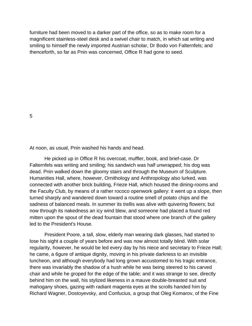furniture had been moved to a darker part of the office, so as to make room for a magnificent stainless-steel desk and a swivel chair to match, in which sat writing and smiling to himself the newly imported Austrian scholar, Dr Bodo von Falternfels; and thenceforth, so far as Pnin was concerned, Office R had gone to seed.

5

At noon, as usual, Pnin washed his hands and head.

He picked up in Office R his overcoat, muffler, book, and brief-case. Dr Falternfels was writing and smiling; his sandwich was half unwrapped; his dog was dead. Pnin walked down the gloomy stairs and through the Museum of Sculpture. Humanities Hall, where, however, Ornithology and Anthropology also lurked, was connected with another brick building, Frieze Hall, which housed the dining-rooms and the Faculty Club, by means of a rather rococo openwork gallery: it went up a slope, then turned sharply and wandered down toward a routine smell of potato chips and the sadness of balanced meals. In summer its trellis was alive with quivering flowers; but now through its nakedness an icy wind blew, and someone had placed a found red mitten upon the spout of the dead fountain that stood where one branch of the gallery led to the President's House.

President Poore, a tall, slow, elderly man wearing dark glasses, had started to lose his sight a couple of years before and was now almost totally blind. With solar regularity, however, he would be led every day by his niece and secretary to Frieze Hall; he came, a 6gure of antique dignity, moving in his private darkness to an invisible luncheon, and although everybody had long grown accustomed to his tragic entrance, there was invariably the shadow of a hush while he was being steered to his carved chair and while he groped for the edge of the table; and it was strange to see, directly behind him on the wall, his stylized likeness in a mauve double-breasted suit and mahogany shoes, gazing with radiant magenta eyes at the scrolls handed him by Richard Wagner, Dostoyevsky, and Confucius, a group that Oleg Komarov, of the Fine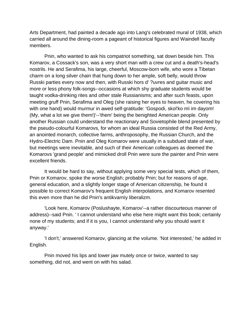Arts Department, had painted a decade ago into Lang's celebrated mural of 1938, which carried all around the dining-room a pageant of historical figures and Waindell faculty members.

Pnin, who wanted to ask his compatriot something, sat down beside him. This Komarov, a Cossack's son, was a very short man with a crew cut and a death's-head's nostrils. He and Serafima, his large, cheerful, Moscow-born wife, who wore a Tibetan charm on a long silver chain that hung down to her ample, soft belly, would throw Russki parties every now and then, with Russki hors d' ?uvres and guitar music and more or less phony folk-songs--occasions at which shy graduate students would be taught vodka-drinking rites and other stale Russianisms; and after such feasts, upon meeting gruff Pnin, Serafima and Oleg (she raising her eyes to heaven, he covering his with one hand) would murmur in awed self-gratitude: 'Gospodi, skol'ko mï im dayom! (My, what a lot we give them!)'--'them' being the benighted American people. Only another Russian could understand the reactionary and Sovietophile blend presented by the pseudo-colourful Komarovs, for whom an ideal Russia consisted of the Red Army, an anointed monarch, collective farms, anthroposophy, the Russian Church, and the Hydro-Electric Dam. Pnin and Oleg Komarov were usually in a subdued state of war, but meetings were inevitable, and such of their American colleagues as deemed the Komarovs 'grand people' and mimicked droll Pnin were sure the painter and Pnin were excellent friends.

It would be hard to say, without applying some very special tests, which of them, Pnin or Komarov, spoke the worse English; probably Pnin; but for reasons of age, general education, and a slightly longer stage of American citizenship, he found it possible to correct Komarov's frequent English interpolations, and Komarov resented this even more than he did Pnin's antikvarnïy liberalizm.

'Look here, Komarov (Poslushayte, Komarov'--a rather discourteous manner of address)--said Pnin. ' I cannot understand who else here might want this book; certainly none of my students; and if it is you, I cannot understand why you should want it anyway.'

'I don't,' answered Komarov, glancing at the volume. 'Not interested,' he added in English.

Pnin moved his lips and lower jaw mutely once or twice, wanted to say something, did not, and went on with his salad.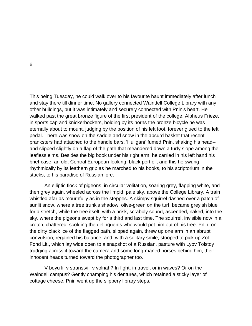This being Tuesday, he could walk over to his favourite haunt immediately after lunch and stay there till dinner time. No gallery connected Waindell College Library with any other buildings, but it was intimately and securely connected with Pnin's heart. He walked past the great bronze figure of the first president of the college, Alpheus Frieze, in sports cap and knickerbockers, holding by its horns the bronze bicycle he was eternally about to mount, judging by the position of his left foot, forever glued to the left pedal. There was snow on the saddle and snow in the absurd basket that recent pranksters had attached to the handle bars. 'Huliganï' fumed Pnin, shaking his head- and slipped slightly on a flag of the path that meandered down a turfy slope among the leafless elms. Besides the big book under his right arm, he carried in his left hand his brief-case, an old, Central European-looking, black portfel', and this he swung rhythmically by its leathern grip as he marched to his books, to his scriptorium in the stacks, to his paradise of Russian lore.

An elliptic flock of pigeons, in circular volitation, soaring grey, flapping white, and then grey again, wheeled across the limpid, pale sky, above the College Library. A train whistled afar as mournfully as in the steppes. A skimpy squirrel dashed over a patch of sunlit snow, where a tree trunk's shadow, olive-green on the turf, became greyish blue for a stretch, while the tree itself, with a brisk, scrabbly sound, ascended, naked, into the sky, where the pigeons swept by for a third and last time. The squirrel, invisible now in a crotch, chattered, scolding the delinquents who would pot him out of his tree. Pnin, on the dirty black ice of the flagged path, slipped again, threw up one arm in an abrupt convulsion, regained his balance, and, with a solitary smile, stooped to pick up Zol. Fond Lit., which lay wide open to a snapshot of a Russian. pasture with Lyov Tolstoy trudging across it toward the camera and some long-maned horses behind him, their innocent heads turned toward the photographer too.

V boyu li, v stranstvii, v volnah? In fight, in travel, or in waves? Or on the Waindell campus? Gently champing his dentures, which retained a sticky layer of cottage cheese, Pnin went up the slippery library steps.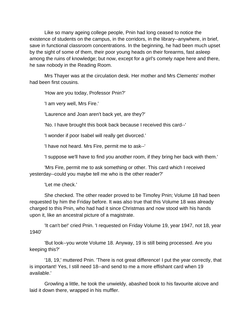Like so many ageing college people, Pnin had long ceased to notice the existence of students on the campus, in the corridors, in the library--anywhere, in brief, save in functional classroom concentrations. In the beginning, he had been much upset by the sight of some of them, their poor young heads on their forearms, fast asleep among the ruins of knowledge; but now, except for a girl's comely nape here and there, he saw nobody in the Reading Room.

Mrs Thayer was at the circulation desk. Her mother and Mrs Clements' mother had been first cousins.

'How are you today, Professor Pnin?'

'I am very well, Mrs Fire.'

'Laurence and Joan aren't back yet, are they?'

'No. I have brought this book back because I received this card--'

'I wonder if poor Isabel will really get divorced.'

'I have not heard. Mrs Fire, permit me to ask--'

'I suppose we'll have to find you another room, if they bring her back with them.'

'Mrs Fire, permit me to ask something or other. This card which I received yesterday--could you maybe tell me who is the other reader?'

'Let me check.'

She checked. The other reader proved to be Timofey Pnin; Volume 18 had been requested by him the Friday before. It was also true that this Volume 18 was already charged to this Pnin, who had had it since Christmas and now stood with his hands upon it, like an ancestral picture of a magistrate.

'It can't be!' cried Pnin. 'I requested on Friday Volume 19, year 1947, not 18, year 1940'

'But look--you wrote Volume 18. Anyway, 19 is still being processed. Are you keeping this?'

'18, 19,' muttered Pnin. 'There is not great difference! I put the year correctly, that is important! Yes, I still need 18--and send to me a more effishant card when 19 available.'

Growling a little, he took the unwieldy, abashed book to his favourite alcove and laid it down there, wrapped in his muffler.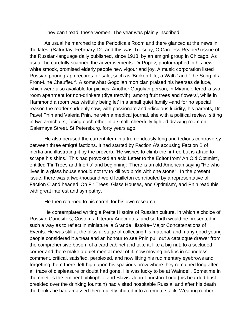They can't read, these women. The year was plainly inscribed.

As usual he marched to the Periodicals Room and there glanced at the news in the latest (Saturday, February 12--and this was Tuesday, O Careless Reader!) issue of the Russian-language daily published, since 1918, by an émigré group in Chicago. As usual, he carefully scanned the advertisements. Dr Popov, photographed in his new white smock, promised elderly people new vigour and joy. A music corporation listed Russian phonograph records for sale, such as 'Broken Life, a Waltz' and 'The Song of a Front-Line Chauffeur'. A somewhat Gogolian mortician praised his hearses de luxe, which were also available for picnics. Another Gogolian person, in Miami, offered 'a tworoom apartment for non-drinkers (dlya trezvïh), among fruit trees and flowers', while in Hammond a room was wistfully being let' in a small quiet family'--and for no special reason the reader suddenly saw, with passionate and ridiculous lucidity, his parents, Dr Pavel Pnin and Valeria Pnin, he with a medical journal, she with a political review, sitting in two armchairs, facing each other in a small, cheerfully lighted drawing room on Galernaya Street, St Petersburg, forty years ago.

He also perused the current item in a tremendously long and tedious controversy between three émigré factions. It had started by Faction A's accusing Faction B of inertia and illustrating it by the proverb. 'He wishes to climb the fir tree but is afraid to scrape his shins.' This had provoked an acid Letter to the Editor from' An Old Optimist', entitled 'Fir Trees and Inertia' and beginning: 'There is an old American saying "He who lives in a glass house should not try to kill two birds with one stone".' In the present issue, there was a two-thousand-word feuilleton contributed by a representative of Faction C and headed 'On Fir Trees, Glass Houses, and Optimism', and Pnin read this with great interest and sympathy.

He then returned to his carrell for his own research.

He contemplated writing a Petite Histoire of Russian culture, in which a choice of Russian Curiosities, Customs, Literary Anecdotes, and so forth would be presented in such a way as to reflect in miniature la Grande Histoire--Major Concatenations of Events. He was still at the blissful stage of collecting his material; and many good young people considered it a treat and an honour to see Pnin pull out a catalogue drawer from the comprehensive bosom of a card cabinet and take it, like a big nut, to a secluded corner and there make a quiet mental meal of it, now moving his lips in soundless comment, critical, satisfied, perplexed, and now lifting his rudimentary eyebrows and forgetting them there, left high upon his spacious brow where they remained long after all trace of displeasure or doubt had gone. He was lucky to be at Waindell. Sometime in the nineties the eminent bibliophile and Slavist John Thurston Todd (his bearded bust presided over the drinking fountain) had visited hospitable Russia, and after his death the books he had amassed there quietly chuted into a remote stack. Wearing rubber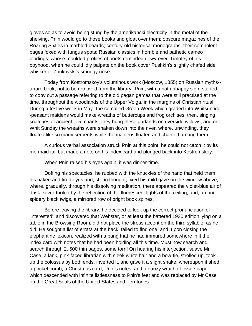gloves so as to avoid being stung by the amerikanski electricity in the metal of the shelving, Pnin would go to those books and gloat over them: obscure magazines of the Roaring Sixties in marbled boards; century-old historical monographs, their somnolent pages foxed with fungus spots; Russian classics in horrible and pathetic cameo bindings, whose moulded profiles of poets reminded dewy-eyed Timofey of his boyhood, when he could idly palpate on the book cover Pushkin's slightly chafed side whisker or Zhukovski's smudgy nose.

Today from Kostromskoy's voluminous work (Moscow, 1855) on Russian myths- a rare book, not to be removed from the library--Pnin, with a not unhappy sigh, started to copy out a passage referring to the old pagan games that were still practised at the time, throughout the woodlands of the Upper Volga, in the margins of Christian ritual. During a festive week in May--the so-called Green Week which graded into Whitsuntide- -peasant maidens would make wreaths of buttercups and frog orchises; then, singing snatches of ancient love chants, they hung these garlands on riverside willows; and on Whit Sunday the wreaths were shaken down into the river, where, unwinding, they floated like so many serpents while the maidens floated and chanted among them.

A curious verbal association struck Pnin at this point; he could not catch it by its mermaid tail but made a note on his index card and plunged back into Kostromskoy.

When Pnin raised his eyes again, it was dinner-time.

Doffing his spectacles, he rubbed with the knuckles of the hand that held them his naked and tired eyes and, still in thought, fixed his mild gaze on the window above, where, gradually, through his dissolving meditation, there appeared the violet-blue air of dusk, silver-tooled by the reflection of the fluorescent lights of the ceiling, and, among spidery black twigs, a mirrored row of bright book spines.

Before leaving the library, he decided to look up the correct pronunciation of 'interested', and discovered that Webster, or at least the battered 1930 edition lying on a table in the Browsing Room, did not place the stress accent on the third syllable, as he did. He sought a list of errata at the back, failed to find one, and, upon closing the elephantine lexicon, realized with a pang that he had immured somewhere in it the index card with notes that he had been holding all this time. Must now search and search through 2, 500 thin pages, some torn! On hearing his interjection, suave Mr Case, a lank, pink-faced librarian with sleek white hair and a bow-tie, strolled up, took up the colossus by both ends, inverted it, and gave it a slight shake, whereupon it shed a pocket comb, a Christmas card, Pnin's notes, and a gauzy wraith of tissue paper, which descended with infinite listlessness to Pnin's feet and was replaced by Mr Case on the Great Seals of the United States and Territories.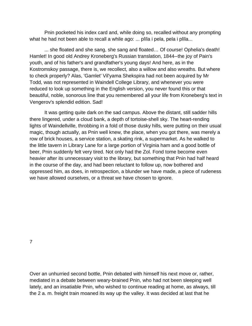Pnin pocketed his index card and, while doing so, recalled without any prompting what he had not been able to recall a while ago: ... plila i pela, pela i plila...

... she floated and she sang, she sang and floated… Of course! Ophelia's death! Hamlet! In good old Andrey Kroneberg's Russian translation, 1844--the joy of Pain's youth, and of his father's and grandfather's young days! And here, as in the Kostromskoy passage, there is, we recollect, also a willow and also wreaths. But where to check properly? Alas, 'Gamlet' Vil'yama Shekspira had not been acquired by Mr Todd, was not represented in Waindell College Library, and whenever you were reduced to look up something in the English version, you never found this or that beautiful, noble, sonorous line that you remembered all your life from Kroneberg's text in Vengerov's splendid edition. Sad!

It was getting quite dark on the sad campus. Above the distant, still sadder hills there lingered, under a cloud bank, a depth of tortoise-shell sky. The heart-rending lights of Waindellville, throbbing in a fold of those dusky hills, were putting on their usual magic, though actually, as Pnin well knew, the place, when you got there, was merely a row of brick houses, a service station, a skating rink, a supermarket. As he walked to the little tavern in Library Lane for a large portion of Virginia ham and a good bottle of beer, Pnin suddenly felt very tired. Not only had the Zol. Fond tome become even heavier after its unnecessary visit to the library, but something that Pnin had half heard in the course of the day, and had been reluctant to follow up, now bothered and oppressed him, as does, in retrospection, a blunder we have made, a piece of rudeness we have allowed ourselves, or a threat we have chosen to ignore.

7

Over an unhurried second bottle, Pnin debated with himself his next move or, rather, mediated in a debate between weary-brained Pnin, who had not been sleeping well lately, and an insatiable Pnin, who wished to continue reading at home, as always, till the 2 a. m. freight train moaned its way up the valley. It was decided at last that he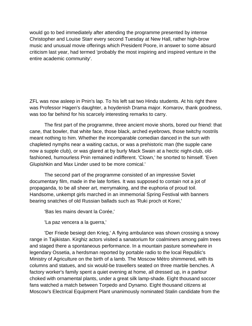would go to bed immediately after attending the programme presented by intense Christopher and Louise Starr every second Tuesday at New Hall, rather high-brow music and unusual movie offerings which President Poore, in answer to some absurd criticism last year, had termed 'probably the most inspiring and inspired venture in the entire academic community'.

ZFL was now asleep in Pnin's lap. To his left sat two Hindu students. At his right there was Professor Hagen's daughter, a hoydenish Drama major. Komarov, thank goodness, was too far behind for his scarcely interesting remarks to carry.

The first part of the programme, three ancient movie shorts, bored our friend: that cane, that bowler, that white face, those black, arched eyebrows, those twitchy nostrils meant nothing to him. Whether the incomparable comedian danced in the sun with chapleted nymphs near a waiting cactus, or was a prehistoric man (the supple cane now a supple club), or was glared at by burly Mack Swain at a hectic night-club, oldfashioned, humourless Pnin remained indifferent. 'Clown,' he snorted to himself. 'Even Glupishkin and Max Linder used to be more comical.'

The second part of the programme consisted of an impressive Soviet documentary film, made in the late forties. It was supposed to contain not a jot of propaganda, to be all sheer art, merrymaking, and the euphoria of proud toil. Handsome, unkempt girls marched in an immemorial Spring Festival with banners bearing snatches of old Russian ballads such as 'Ruki proch ot Korei,'

'Bas les mains devant la Corée,'

'La paz vencera a la guerra,'

'Der Friede besiegt den Krieg,' A flying ambulance was shown crossing a snowy range in Tajikistan. Kirghiz actors visited a sanatorium for coalminers among palm trees and staged there a spontaneous performance. In a mountain pasture somewhere in legendary Ossetia, a herdsman reported by portable radio to the local Republic's Ministry of Agriculture on the birth of a lamb. The Moscow Métro shimmered, with its columns and statues, and six would-be travellers seated on three marble benches. A factory worker's family spent a quiet evening at home, all dressed up, in a parlour choked with ornamental plants, under a great silk lamp-shade. Eight thousand soccer fans watched a match between Torpedo and Dynamo. Eight thousand citizens at Moscow's Electrical Equipment Plant unanimously nominated Stalin candidate from the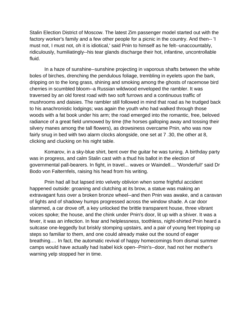Stalin Election District of Moscow. The latest Zim passenger model started out with the factory worker's family and a few other people for a picnic in the country. And then-- 'I must not, I must not, oh it is idiotical,' said Pnin to himself as he felt--unaccountably, ridiculously, humiliatingly--his tear glands discharge their hot, infantine, uncontrollable fluid.

In a haze of sunshine--sunshine projecting in vaporous shafts between the white boles of birches, drenching the pendulous foliage, trembling in eyelets upon the bark, dripping on to the long grass, shining and smoking among the ghosts of racemose bird cherries in scumbled bloom--a Russian wildwood enveloped the rambler. It was traversed by an old forest road with two soft furrows and a continuous traffic of mushrooms and daisies. The rambler still followed in mind that road as he trudged back to his anachronistic lodgings; was again the youth who had walked through those woods with a fat book under his arm; the road emerged into the romantic, free, beloved radiance of a great field unmowed by time (the horses galloping away and tossing their silvery manes among the tall flowers), as drowsiness overcame Pnin, who was now fairly snug in bed with two alarm clocks alongside, one set at 7 .30, the other at 8, clicking and clucking on his night table.

Komarov, in a sky-blue shirt, bent over the guitar he was tuning. A birthday party was in progress, and calm Stalin cast with a thud his ballot in the election of governmental pall-bearers. In fight, in travel... waves or Waindell.... 'Wonderful!' said Dr Bodo von Falternfels, raising his head from his writing.

Pnin had all but lapsed into velvety oblivion when some frightful accident happened outside: groaning and clutching at its brow, a statue was making an extravagant fuss over a broken bronze wheel--and then Pnin was awake, and a caravan of lights and of shadowy humps progressed across the window shade. A car door slammed, a car drove off, a key unlocked the brittle transparent house, three vibrant voices spoke; the house, and the chink under Pnin's door, lit up with a shiver. It was a fever, it was an infection. In fear and helplessness, toothless, night-shirted Pnin heard a suitcase one-leggedly but briskly stomping upstairs, and a pair of young feet tripping up steps so familiar to them, and one could already make out the sound of eager breathing.… In fact, the automatic revival of happy homecomings from dismal summer camps would have actually had Isabel kick open--Pnin's--door, had not her mother's warning yelp stopped her in time.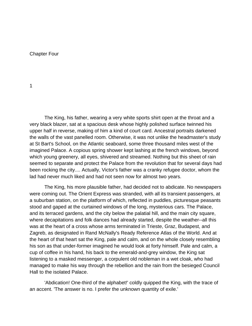Chapter Four

1

The King, his father, wearing a very white sports shirt open at the throat and a very black blazer, sat at a spacious desk whose highly polished surface twinned his upper half in reverse, making of him a kind of court card. Ancestral portraits darkened the walls of the vast panelled room. Otherwise, it was not unlike the headmaster's study at St Bart's School, on the Atlantic seaboard, some three thousand miles west of the imagined Palace. A copious spring shower kept lashing at the french windows, beyond which young greenery, all eyes, shivered and streamed. Nothing but this sheet of rain seemed to separate and protect the Palace from the revolution that for several days had been rocking the city.... Actually, Victor's father was a cranky refugee doctor, whom the lad had never much liked and had not seen now for almost two years.

The King, his more plausible father, had decided not to abdicate. No newspapers were coming out. The Orient Express was stranded, with all its transient passengers, at a suburban station, on the platform of which, reflected in puddles, picturesque peasants stood and gaped at the curtained windows of the long, mysterious cars. The Palace, and its terraced gardens, and the city below the palatial hill, and the main city square, where decapitations and folk dances had already started, despite the weather--all this was at the heart of a cross whose arms terminated in Trieste, Graz, Budapest, and Zagreb, as designated in Rand McNally's Ready Reference Atlas of the World. And at the heart of that heart sat the King, pale and calm, and on the whole closely resembling his son as that under-former imagined he would look at forty himself. Pale and calm, a cup of coffee in his hand, his back to the emerald-and-grey window, the King sat listening to a masked messenger, a corpulent old nobleman in a wet cloak, who had managed to make his way through the rebellion and the rain from the besieged Council Hall to the isolated Palace.

'Abdication! One-third of the alphabet!' coldly quipped the King, with the trace of an accent. 'The answer is no. I prefer the unknown quantity of exile.'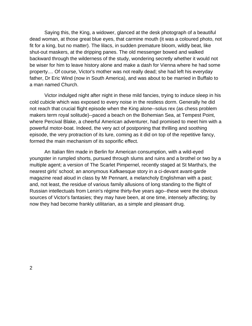Saying this, the King, a widower, glanced at the desk photograph of a beautiful dead woman, at those great blue eyes, that carmine mouth (it was a coloured photo, not fit for a king, but no matter). The lilacs, in sudden premature bloom, wildly beat, like shut-out maskers, at the dripping panes. The old messenger bowed and walked backward through the wilderness of the study, wondering secretly whether it would not be wiser for him to leave history alone and make a dash for Vienna where he had some property.... Of course, Victor's mother was not really dead; she had left his everyday father, Dr Eric Wind (now in South America), and was about to be married in Buffalo to a man named Church.

Victor indulged night after night in these mild fancies, trying to induce sleep in his cold cubicle which was exposed to every noise in the restless dorm. Generally he did not reach that crucial flight episode when the King alone--solus rex (as chess problem makers term royal solitude)--paced a beach on the Bohemian Sea, at Tempest Point, where Percival Blake, a cheerful American adventurer, had promised to meet him with a powerful motor-boat. Indeed, the very act of postponing that thrilling and soothing episode, the very protraction of its lure, coming as it did on top of the repetitive fancy, formed the main mechanism of its soporific effect.

An Italian film made in Berlin for American consumption, with a wild-eyed youngster in rumpled shorts, pursued through slums and ruins and a brothel or two by a multiple agent; a version of The Scarlet Pimpernel, recently staged at St Martha's, the nearest girls' school; an anonymous Kafkaesque story in a ci-devant avant-garde magazine read aloud in class by Mr Pennant, a melancholy Englishman with a past; and, not least, the residue of various family allusions of long standing to the flight of Russian intellectuals from Lenin's régime thirty-five years ago--these were the obvious sources of Victor's fantasies; they may have been, at one time, intensely affecting; by now they had become frankly utilitarian, as a simple and pleasant drug.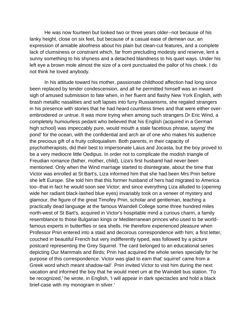He was now fourteen but looked two or three years older--not because of his lanky height, close on six feet, but because of a casual ease of demean our, an expression of amiable aloofness about his plain but clean-cut features, and a complete lack of clumsiness or constraint which, far from precluding modesty and reserve, lent a sunny something to his shyness and a detached blandness to his quiet ways. Under his left eye a brown mole almost the size of a cent punctuated the pallor of his cheek. I do not think he loved anybody.

In his attitude toward his mother, passionate childhood affection had long since been replaced by tender condescension, and all he permitted himself was an inward sigh of amused submission to fate when, in her fluent and flashy New York English, with brash metallic nasalities and soft lapses into furry Russianisms, she regaled strangers in his presence with stories that he had heard countless times and that were either overembroidered or untrue. It was more trying when among such strangers Dr Eric Wind, a completely humourless pedant who believed that his English (acquired in a German high school) was impeccably pure, would mouth a stale facetious phrase, saying' the pond' for the ocean, with the confidential and arch air of one who makes his audience the precious gift of a fruity colloquialism. Both parents, in their capacity of psychotherapists, did their best to impersonate Laius and Jocasta, but the boy proved to be a very mediocre little Oedipus. In order not to complicate the modish triangle of Freudian romance (father, mother, child), Liza's first husband had never been mentioned. Only when the Wind marriage started to disintegrate, about the time that Victor was enrolled at St Bart's, Liza informed him that she had been Mrs Pnin before she left Europe. She told him that this former husband of hers had migrated to America too--that in fact he would soon see Victor; and since everything Liza alluded to (opening wide her radiant black-lashed blue eyes) invariably took on a veneer of mystery and glamour, the figure of the great Timofey Pnin, scholar and gentleman, teaching a practically dead language at the famous Waindell College some three hundred miles north-west of St Bart's, acquired in Victor's hospitable mind a curious charm, a family resemblance to those Bulgarian kings or Mediterranean princes who used to be worldfamous experts in butterflies or sea shells. He therefore experienced pleasure when Professor Pnin entered into a staid and decorous correspondence with him; a first letter, couched in beautiful French but very indifferently typed, was followed by a picture postcard representing the Grey Squirrel. The card belonged to an educational series depicting Our Mammals and Birds; Pnin had acquired the whole series specially for he purpose of this correspondence. Victor was glad to earn that' squirrel' came from a Greek word which meant shadow-tail'. Pnin invited Victor to visit him during the next vacation and informed the boy that he would meet um at the Waindell bus station. 'To be recognized,' he wrote, in English, 'I will appear in dark spectacles and hold a black brief-case with my monogram in silver.'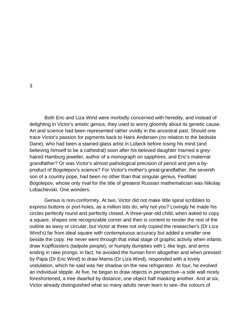Both Eric and Liza Wind were morbidly concerned with heredity, and instead of delighting in Victor's artistic genius, they used to worry gloomily about its genetic cause. Art and science had been represented rather vividly in the ancestral past. Should one trace Victor's passion for pigments back to Hans Andersen (no relation to the bedside Dane), who had been a stained-glass artist in Lübeck before losing his mind (and believing himself to be a cathedral) soon after his beloved daughter married a greyhaired Hamburg jeweller, author of a monograph on sapphires, and Eric's maternal grandfather? Or was Victor's almost pathological precision of pencil and pen a byproduct of Bogolepov's science? For Victor's mother's great-grandfather, the seventh son of a country pope, had been no other than that singular genius, Feofilakt Bogolepov, whose only rival for the title of greatest Russian mathematician was Nikolay Lobachevski. One wonders.

Genius is non-conformity. At two, Victor did not make little spiral scribbles to express buttons or port-holes, as a million tots do, why not you? Lovingly he made his circles perfectly round and perfectly closed. A three-year-old child, when asked to copy a square, shapes one recognizable corner and then is content to render the rest of the outline as wavy or circular; but Victor at three not only copied the researcher's (Dr Liza Wind's) far from ideal square with contemptuous accuracy but added a smaller one beside the copy. He never went through that initial stage of graphic activity when infants draw Kopffüsslers (tadpole people), or humpty dumpties with L-like legs, and arms ending in rake prongs; in fact, he avoided the human form altogether and when pressed by Papa (Dr Eric Wind) to draw Mama (Dr Liza Wind), responded with a lovely undulation, which he said was her shadow on the new refrigerator. At four, he evolved an individual stipple. At five, he began to draw objects in perspective--a side wall nicely foreshortened, a tree dwarfed by distance, one object half masking another. And at six, Victor already distinguished what so many adults never learn to see--the colours of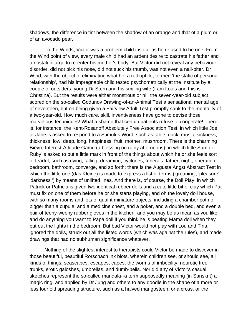shadows, the difference in tint between the shadow of an orange and that of a plum or of an avocado pear.

To the Winds, Victor was a problem child insofar as he refused to be one. From the Wind point of view, every male child had an ardent desire to castrate his father and a nostalgic urge to re-enter his mother's body. But Victor did not reveal any behaviour disorder, did not pick his nose, did not suck his thumb, was not even a nail-biter. Dr Wind, with the object of eliminating what he, a radiophile, termed 'the static of personal relationship', had his impregnable child tested psychometrically at the Institute by a couple of outsiders, young Dr Stern and his smiling wife (I am Louis and this is Christina). But the results were either monstrous or nil: the seven-year-old subject scored on the so-called Godunov Drawing-of-an-Animal Test a sensational mental age of seventeen, but on being given a Fairview Adult Test promptly sank to the mentality of a two-year-old. How much care, skill, inventiveness have gone to devise those marvellous techniques! What a shame that certain patients refuse to cooperate! There is, for instance, the Kent-Rosanoff Absolutely Free Association Test, in which little Joe or Jane is asked to respond to a Stimulus Word, such as table, duck, music, sickness, thickness, low, deep, long, happiness, fruit, mother, mushroom. There is the charming Bièvre Interest-Attitude Game (a blessing on rainy afternoons), in which little Sam or Ruby is asked to put a little mark in front of the things about which he or she feels sort of fearful, such as dying, falling, dreaming, cyclones, funerals, father, night, operation, bedroom, bathroom, converge, and so forth; there is the Augusta Angst Abstract Test in which the little one (das Kleine) is made to express a list of terms ('groaning', 'pleasure', 'darkness ') by means of unlifted lines. And there is, of course, the Doll Play, in which Patrick or Patricia is given two identical rubber dolls and a cute little bit of clay which Pat must fix on one of them before he or she starts playing, and oh the lovely doll house, with so many rooms and lots of quaint miniature objects, including a chamber pot no bigger than a cupule, and a medicine chest, and a poker, and a double bed, and even a pair of teeny-weeny rubber gloves in the kitchen, and you may be as mean as you like and do anything you want to Papa doll if you think he is beating Mama doll when they put out the lights in the bedroom. But bad Victor would not play with Lou and Tina, ignored the dolls, struck out all the listed words (which was against the rules), and made drawings that had no subhuman significance whatever.

Nothing of the slightest interest to therapists could Victor be made to discover in those beautiful, beautiful Rorschach ink blots, wherein children see, or should see, all kinds of things, seascapes, escapes, capes, the worms of imbecility, neurotic tree trunks, erotic galoshes, umbrellas, and dumb-bells. Nor did any of Victor's casual sketches represent the so-called mandala--a term supposedly meaning (in Sanskrit) a magic ring, and applied by Dr Jung and others to any doodle in the shape of a more or less fourfold spreading structure, such as a halved mangosteen, or a cross, or the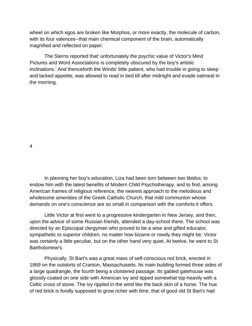wheel on which egos are broken like Morphos, or more exactly, the molecule of carbon, with its four valences--that main chemical component of the brain, automatically magnified and reflected on paper.

The Sterns reported that' unfortunately the psychic value of Victor's Mind Pictures and Word Associations is completely obscured by the boy's artistic inclinations.' And thenceforth the Winds' little patient, who had trouble in going to sleep and lacked appetite, was allowed to read in bed till after midnight and evade oatmeal in the morning.

4

In planning her boy's education, Liza had been torn between two libidos: to endow him with the latest benefits of Modern Child Psychotherapy, and to find, among American frames of religious reference, the nearest approach to the melodious and wholesome amenities of the Greek Catholic Church, that mild communion whose demands on one's conscience are so small in comparison with the comforts it offers.

Little Victor at first went to a progressive kindergarten in New Jersey, and then, upon the advice of some Russian friends, attended a day-school there. The school was directed by an Episcopal clergyman who proved to be a wise and gifted educator, sympathetic to superior children, no matter how bizarre or rowdy they might be; Victor was certainly a little peculiar, but on the other hand very quiet. At twelve, he went to St Bartholomew's.

Physically, St Bart's was a great mass of self-conscious red brick, erected in 1869 on the outskirts of Cranton, Massachusetts. Its main building formed three sides of a large quadrangle, the fourth being a cloistered passage. Its gabled gatehouse was glossily coated on one side with American ivy and tipped somewhat top-heavily with a Celtic cross of stone. The ivy rippled in the wind like the back skin of a horse. The hue of red brick is fondly supposed to grow richer with time; that of good old St Bart's had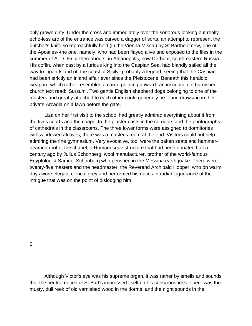only grown dirty. Under the cross and immediately over the sonorous-looking but really echo-less arc of the entrance was carved a dagger of sorts, an attempt to represent the butcher's knife so reproachfully held (in the Vienna Missal) by St Bartholomew, one of the Apostles--the one, namely, who had been flayed alive and exposed to the flies in the summer of A. D .65 or thereabouts, in Albanopolis, now Derbent, south-eastern Russia. His coffin, when cast by a furious king into the Caspian Sea, had blandly sailed all the way to Lipari Island off the coast of Sicily--probably a legend, seeing that the Caspian had been strictly an inland affair ever since the Pleistocene. Beneath this heraldic weapon--which rather resembled a carrot pointing upward--an inscription in burnished church text read: 'Sursum'. Two gentle English shepherd dogs belonging to one of the masters and greatly attached to each other could generally be found drowsing in their private Arcadia on a lawn before the gate.

Liza on her first visit to the school had greatly admired everything about it from the fives courts and the chapel to the plaster casts in the corridors and the photographs of cathedrals in the classrooms. The three lower forms were assigned to dormitories with windowed alcoves; there was a master's room at the end. Visitors could not help admiring the fine gymnasium. Very evocative, too, were the oaken seats and hammerbeamed roof of the chapel, a Romanesque structure that had been donated half a century ago by Julius Schonberg, wool manufacturer, brother of the world-famous Egyptologist Samuel Schonberg who perished in the Messina earthquake. There were twenty-five masters and the headmaster, the Reverend Archibald Hopper, who on warm days wore elegant clerical grey and performed his duties in radiant ignorance of the intrigue that was on the point of dislodging him.

5

Although Victor's eye was his supreme organ, it was rather by smells and sounds that the neutral notion of St Bart's impressed itself on his consciousness. There was the musty, dull reek of old varnished wood in the dorms, and the night sounds in the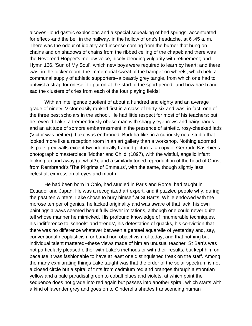alcoves--loud gastric explosions and a special squeaking of bed springs, accentuated for effect--and the bell in the hallway, in the hollow of one's headache, at 6 .45 a. m. There was the odour of idolatry and incense coming from the burner that hung on chains and on shadows of chains from the ribbed ceiling of the chapel; and there was the Reverend Hopper's mellow voice, nicely blending vulgarity with refinement; and Hymn 166, 'Sun of My Soul', which new boys were required to learn by heart; and there was, in the locker room, the immemorial sweat of the hamper on wheels, which held a communal supply of athletic supporters--a beastly grey tangle, from which one had to untwist a strap for oneself to put on at the start of the sport period--and how harsh and sad the clusters of cries from each of the four playing fields!

With an intelligence quotient of about a hundred and eighty and an average grade of ninety, Victor easily ranked first in a class of thirty-six and was, in fact, one of the three best scholars in the school. He had little respect for most of his teachers; but he revered Lake, a tremendously obese man with shaggy eyebrows and hairy hands and an attitude of sombre embarrassment in the presence of athletic, rosy-cheeked lads (Victor was neither). Lake was enthroned, Buddha-like, in a curiously neat studio that looked more like a reception room in an art gallery than a workshop. Nothing adorned its pale grey walls except two identically framed pictures: a copy of Gertrude Käsebier's photographic masterpiece 'Mother and Child' (1897), with the wistful, angelic infant looking up and away (at what?); and a similarly toned reproduction of the head of Christ from Rembrandt's 'The Pilgrims of Emmaus', with the same, though slightly less celestial, expression of eyes and mouth.

He had been born in Ohio, had studied in Paris and Rome, had taught in Ecuador and Japan. He was a recognized art expert, and it puzzled people why, during the past ten winters, Lake chose to bury himself at St Bart's. While endowed with the morose temper of genius, he lacked originality and was aware of that lack; his own paintings always seemed beautifully clever imitations, although one could never quite tell whose manner he mimicked. His profound knowledge of innumerable techniques, his indifference to 'schools' and 'trends', his detestation of quacks, his conviction that there was no difference whatever between a genteel aquarelle of yesterday and, say, conventional neoplasticism or banal non-objectivism of today, and that nothing but individual talent mattered--these views made of him an unusual teacher. St Bart's was not particularly pleased either with Lake's methods or with their results, but kept him on because it was fashionable to have at least one distinguished freak on the staff. Among the many exhilarating things Lake taught was that the order of the solar spectrum is not a closed circle but a spiral of tints from cadmium red and oranges through a strontian yellow and a pale paradisal green to cobalt blues and violets, at which point the sequence does not grade into red again but passes into another spiral, which starts with a kind of lavender grey and goes on to Cinderella shades transcending human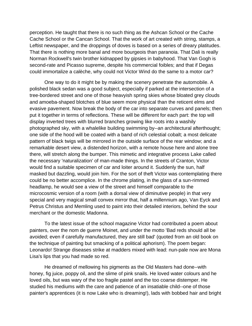perception. He taught that there is no such thing as the Ashcan School or the Cache Cache School or the Cancan School. That the work of art created with string, stamps, a Leftist newspaper, and the droppings of doves is based on a series of dreary platitudes. That there is nothing more banal and more bourgeois than paranoia. That Dali is really Norman Rockwell's twin brother kidnapped by gipsies in babyhood. That Van Gogh is second-rate and Picasso supreme, despite his commercial foibles; and that if Degas could immortalize a calèche, why could not Victor Wind do the same to a motor car?

One way to do it might be by making the scenery penetrate the automobile. A polished black sedan was a good subject, especially if parked at the intersection of a tree-bordered street and one of those heavyish spring skies whose bloated grey clouds and amoeba-shaped blotches of blue seem more physical than the reticent elms and evasive pavement. Now break the body of the car into separate curves and panels; then put it together in terms of reflections. These will be different for each part: the top will display inverted trees with blurred branches growing like roots into a washily photographed sky, with a whalelike building swimming by--an architectural afterthought; one side of the hood will be coated with a band of rich celestial cobalt; a most delicate pattern of black twigs will be mirrored in the outside surface of the rear window; and a remarkable desert view, a distended horizon, with a remote house here and alone tree there, will stretch along the bumper. This mimetic and integrative process Lake called the necessary 'naturalization' of man-made things. In the streets of Cranton, Victor would find a suitable specimen of car and loiter around it. Suddenly the sun, half masked but dazzling, would join him. For the sort of theft Victor was contemplating there could be no better accomplice. In the chrome plating, in the glass of a sun-rimmed headlamp, he would see a view of the street and himself comparable to the microcosmic version of a room (with a dorsal view of diminutive people) in that very special and very magical small convex mirror that, half a millennium ago, Van Eyck and Petrus Christus and Memling used to paint into their detailed interiors, behind the sour merchant or the domestic Madonna.

To the latest issue of the school magazine Victor had contributed a poem about painters, over the nom de guerre Moinet, and under the motto 'Bad reds should all be avoided; even if carefully manufactured, they are still bad' (quoted from an old book on the technique of painting but smacking of a political aphorism). The poem began: Leonardo! Strange diseases strike at madders mixed with lead: nun-pale now are Mona Lisa's lips that you had made so red.

He dreamed of mellowing his pigments as the Old Masters had done--with honey, fig juice, poppy oil, and the slime of pink snails. He loved water colours and he loved oils, but was wary of the too fragile pastel and the too coarse distemper. He studied his mediums with the care and patience of an insatiable child--one of those painter's apprentices (it is now Lake who is dreaming!), lads with bobbed hair and bright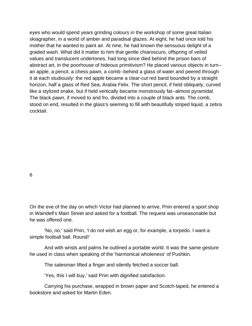eyes who would spend years grinding colours in the workshop of some great Italian skiagrapher, in a world of amber and paradisal glazes. At eight, he had once told his mother that he wanted to paint air. At nine, he had known the sensuous delight of a graded wash. What did it matter to him that gentle chiaroscuro, offspring of veiled values and translucent undertones, had long since died behind the prison bars of abstract art, in the poorhouse of hideous primitivism? He placed various objects in turn- an apple, a pencil, a chess pawn, a comb--behind a glass of water and peered through it at each studiously: the red apple became a clear-cut red band bounded by a straight horizon, half a glass of Red Sea, Arabia Felix. The short pencil, if held obliquely, curved like a stylized snake, but if held vertically became monstrously fat--almost pyramidal. The black pawn, if moved to and fro, divided into a couple of black ants. The comb, stood on end, resulted in the glass's seeming to fill with beautifully striped liquid, a zebra cocktail.

6

On the eve of the day on which Victor had planned to arrive, Pnin entered a sport shop in Waindell's Main Street and asked for a football. The request was unseasonable but he was offered one.

'No, no,' said Pnin, 'I do not wish an egg or, for example, a torpedo. I want a simple football ball. Round!'

And with wrists and palms he outlined a portable world. It was the same gesture he used in class when speaking of the 'harmonical wholeness' of Pushkin.

The salesman lifted a finger and silently fetched a soccer ball.

'Yes, this I will buy,' said Pnin with dignified satisfaction.

Carrying his purchase, wrapped in brown paper and Scotch-taped, he entered a bookstore and asked for Martin Eden.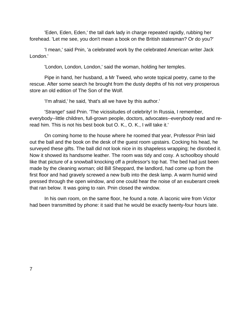'Eden, Eden, Eden,' the tall dark lady in charge repeated rapidly, rubbing her forehead. 'Let me see, you don't mean a book on the British statesman? Or do you?'

'I mean,' said Pnin, 'a celebrated work by the celebrated American writer Jack London.'

'London, London, London,' said the woman, holding her temples.

Pipe in hand, her husband, a Mr Tweed, who wrote topical poetry, came to the rescue. After some search he brought from the dusty depths of his not very prosperous store an old edition of The Son of the Wolf.

'I'm afraid,' he said, 'that's all we have by this author.'

'Strange!' said Pnin. 'The vicissitudes of celebrity! In Russia, I remember, everybody--little children, full-grown people, doctors, advocates--everybody read and reread him. This is not his best book but O. K., O. K., I will take it.'

On coming home to the house where he roomed that year, Professor Pnin laid out the ball and the book on the desk of the guest room upstairs. Cocking his head, he surveyed these gifts. The ball did not look nice in its shapeless wrapping; he disrobed it. Now it showed its handsome leather. The room was tidy and cosy. A schoolboy should like that picture of a snowball knocking off a professor's top hat. The bed had just been made by the cleaning woman; old Bill Sheppard, the landlord, had come up from the first floor and had gravely screwed a new bulb into the desk lamp. A warm humid wind pressed through the open window, and one could hear the noise of an exuberant creek that ran below. It was going to rain. Pnin closed the window.

In his own room, on the same floor, he found a note. A laconic wire from Victor had been transmitted by phone: it said that he would be exactly twenty-four hours late.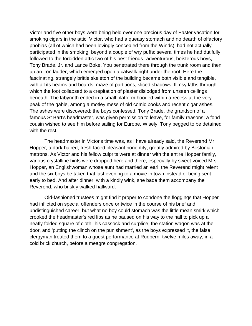Victor and five other boys were being held over one precious day of Easter vacation for smoking cigars in the attic. Victor, who had a queasy stomach and no dearth of olfactory phobias (all of which had been lovingly concealed from the Winds), had not actually participated in the smoking, beyond a couple of wry puffs; several times he had dutifully followed to the forbidden attic two of his best friends--adventurous, boisterous boys, Tony Brade, Jr, and Lance Boke. You penetrated there through the trunk room and then up an iron ladder, which emerged upon a catwalk right under the roof. Here the fascinating, strangely brittle skeleton of the building became both visible and tangible, with all its beams and boards, maze of partitions, sliced shadows, flimsy laths through which the foot collapsed to a crepitation of plaster dislodged from unseen ceilings beneath. The labyrinth ended in a small platform hooded within a recess at the very peak of the gable, among a motley mess of old comic books and recent cigar ashes. The ashes were discovered; the boys confessed. Tony Brade, the grandson of a famous St Bart's headmaster, was given permission to leave, for family reasons; a fond cousin wished to see him before sailing for Europe. Wisely, Tony begged to be detained with the rest.

The headmaster in Victor's time was, as I have already said, the Reverend Mr Hopper, a dark-haired, fresh-faced pleasant nonentity, greatly admired by Bostonian matrons. As Victor and his fellow culprits were at dinner with the entire Hopper family, various crystalline hints were dropped here and there, especially by sweet-voiced Mrs Hopper, an Englishwoman whose aunt had married an earl; the Reverend might relent and the six boys be taken that last evening to a movie in town instead of being sent early to bed. And after dinner, with a kindly wink, she bade them accompany the Reverend, who briskly walked hallward.

Old-fashioned trustees might find it proper to condone the floggings that Hopper had inflicted on special offenders once or twice in the course of his brief and undistinguished career; but what no boy could stomach was the little mean smirk which crooked the headmaster's red lips as he paused on his way to the hall to pick up a neatly folded square of cloth--his cassock and surplice; the station wagon was at the door, and 'putting the clinch on the punishment', as the boys expressed it, the false clergyman treated them to a guest performance at Rudbern, twelve miles away, in a cold brick church, before a meagre congregation.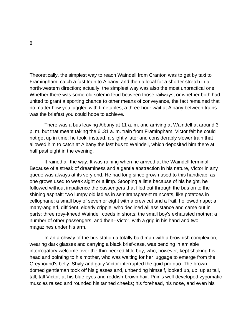Theoretically, the simplest way to reach Waindell from Cranton was to get by taxi to Framingham, catch a fast train to Albany, and then a local for a shorter stretch in a north-western direction; actually, the simplest way was also the most unpractical one. Whether there was some old solemn feud between those railways, or whether both had united to grant a sporting chance to other means of conveyance, the fact remained that no matter how you juggled with timetables, a three-hour wait at Albany between trains was the briefest you could hope to achieve.

There was a bus leaving Albany at 11 a. m. and arriving at Waindell at around 3 p. m. but that meant taking the 6 .31 a. m. train from Framingham; Victor felt he could not get up in time; he took, instead, a slightly later and considerably slower train that allowed him to catch at Albany the last bus to Waindell, which deposited him there at half past eight in the evening.

It rained all the way. It was raining when he arrived at the Waindell terminal. Because of a streak of dreaminess and a gentle abstraction in his nature, Victor in any queue was always at its very end. He had long since grown used to this handicap, as one grows used to weak sight or a limp. Stooping a little because of his height, he followed without impatience the passengers that filed out through the bus on to the shining asphalt: two lumpy old ladies in semitransparent raincoats, like potatoes in cellophane; a small boy of seven or eight with a crew cut and a frail, hollowed nape; a many-angled, diffident, elderly cripple, who declined all assistance and came out in parts; three rosy-kneed Waindell coeds in shorts; the small boy's exhausted mother; a number of other passengers; and then--Victor, with a grip in his hand and two magazines under his arm.

In an archway of the bus station a totally bald man with a brownish complexion, wearing dark glasses and carrying a black brief-case, was bending in amiable interrogatory welcome over the thin-necked little boy, who, however, kept shaking his head and pointing to his mother, who was waiting for her luggage to emerge from the Greyhound's belly. Shyly and gaily Victor interrupted the quid pro quo. The browndomed gentleman took off his glasses and, unbending himself, looked up, up, up at tall, tall, tall Victor, at his blue eyes and reddish-brown hair. Pnin's well-developed zygomatic muscles raised and rounded his tanned cheeks; his forehead, his nose, and even his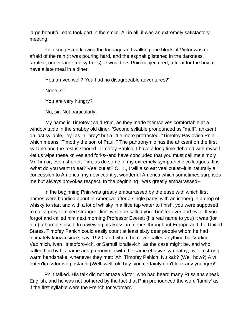large beautiful ears took part in the smile. All in all, it was an extremely satisfactory meeting.

Pnin suggested leaving the luggage and walking one block--if Victor was not afraid of the rain (it was pouring hard, and the asphalt glistened in the darkness, tarnlike, under large, noisy trees). It would be, Pnin conjectured, a treat for the boy to have a late meal in a diner.

'You arrived well? You had no disagreeable adventures?'

'None, sir.'

'You are very hungry?'

'No, sir. Not particularly.'

'My name is Timofey,' said Pnin, as they made themselves comfortable at a window table in the shabby old diner, 'Second syllable pronounced as "muff", ahksent on last syllable, "ey" as in "prey" but a little more protracted. "Timofey Pavlovich Pnin ", which means "Timothy the son of Paul. " The pahtronymic has the ahksent on the first syllable and the rest is sloored--Timofey Pahlch. I have a long time debated with myself- -let us wipe these knives and forks--and have concluded that you must call me simply Mr Tim or, even shorter, Tim, as do some of my extremely sympathetic colleagues. It is- -what do you want to eat? Veal cutlet? O. K., I will also eat veal cutlet--it is naturally a concession to America, my new country, wonderful America which sometimes surprises me but always provokes respect. In the beginning I was greatly embarrassed--'

In the beginning Pnin was greatly embarrassed by the ease with which first names were bandied about in America: after a single party, with an iceberg in a drop of whisky to start and with a lot of whisky in a little tap water to finish, you were supposed to call a grey-templed stranger 'Jim', while he called you' Tim' for ever and ever. If you forgot and called him next morning Professor Everett (his real name to you) it was (for him) a horrible insult. In reviewing his Russian friends throughout Europe and the United States, Timofey Pahlch could easily count at least sixty dear people whom he had intimately known since, say, 1920, and whom he never called anything but Vadim Vadimich, Ivan Hristoforovich, or Samuil Izrailevich, as the case might be, and who called him by his name and patronymic with the same effusive sympathy, over a strong warm handshake, whenever they met: 'Ah, Timofey Pahlch! Nu kak? (Well how?) A vï, baten'ka, zdorovo postareli (Well, well, old boy, you certainly don't look any younger)!'

Pnin talked. His talk did not amaze Victor, who had heard many Russians speak English, and he was not bothered by the fact that Pnin pronounced the word 'family' as if the first syllable were the French for 'woman'.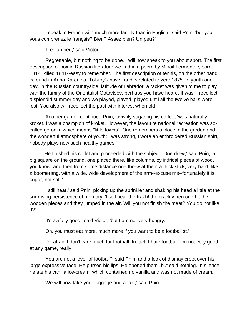'I speak in French with much more facility than in English,' said Pnin, 'but you- vous comprenez le français? Bien? Assez bien? Un peu?'

'Très un peu,' said Victor.

'Regrettable, but nothing to be done. I will now speak to you about sport. The first description of box in Russian literature we find in a poem by Mihail Lermontov, born 1814, killed 1841--easy to remember. The first description of tennis, on the other hand, is found in Anna Karenina, Tolstoy's novel, and is related to year 1875. In youth one day, in the Russian countryside, latitude of Labrador, a racket was given to me to play with the family of the Orientalist Gotovtsev, perhaps you have heard, It was, I recollect, a splendid summer day and we played, played, played until all the twelve balls were lost. You also will recollect the past with interest when old.

'Another game,' continued Pnin, lavishly sugaring his coffee, 'was naturally kroket. I was a champion of kroket. However, the favourite national recreation was socalled gorodki, which means "little towns". One remembers a place in the garden and the wonderful atmosphere of youth: I was strong, I wore an embroidered Russian shirt, nobody plays now such healthy games.'

He finished his cutlet and proceeded with the subject: 'One drew,' said Pnin, 'a big square on the ground, one placed there, like columns, cylindrical pieces of wood, you know, and then from some distance one threw at them a thick stick, very hard, like a boomerang, with a wide, wide development of the arm--excuse me--fortunately it is sugar, not salt.'

'I still hear,' said Pnin, picking up the sprinkler and shaking his head a little at the surprising persistence of memory, 'I still hear the trakh! the crack when one hit the wooden pieces and they jumped in the air. Will you not finish the meat? You do not like it?'

'It's awfully good,' said Victor, 'but I am not very hungry.'

'Oh, you must eat more, much more if you want to be a footballist.'

'I'm afraid I don't care much for football, In fact, I hate football. I'm not very good at any game, really,'

'You are not a lover of football?' said Pnin, and a look of dismay crept over his large expressive face. He pursed his lips, He opened them--but said nothing. In silence he ate his vanilla ice-cream, which contained no vanilla and was not made of cream.

'We will now take your luggage and a taxi,' said Pnin.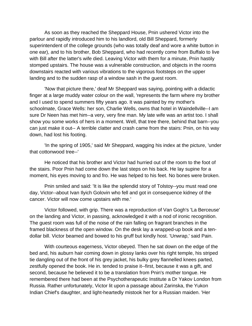As soon as they reached the Sheppard House, Pnin ushered Victor into the parlour and rapidly introduced him to his landlord, old Bill Sheppard, formerly superintendent of the college grounds (who was totally deaf and wore a white button in one ear), and to his brother, Bob Sheppard, who had recently come from Buffalo to live with Bill after the latter's wife died. Leaving Victor with them for a minute, Pnin hastily stomped upstairs. The house was a vulnerable construction, and objects in the rooms downstairs reacted with various vibrations to the vigorous footsteps on the upper landing and to the sudden rasp of a window sash in the guest room.

'Now that picture there,' deaf Mr Sheppard was saying, pointing with a didactic finger at a large muddy water colour on the wall, 'represents the farm where my brother and I used to spend summers fifty years ago. It was painted by my mother's schoolmate, Grace Wells: her son, Charlie Wells, owns that hotel in Waindellville--I am sure Dr Neen has met him--a very, very fine man. My late wife was an artist too. I shall show you some works of hers in a moment. Well, that tree there, behind that barn--you can just make it out-- A terrible clatter and crash came from the stairs: Pnin, on his way down, had lost his footing.

'In the spring of 1905,' said Mr Sheppard, wagging his index at the picture, 'under that cottonwood tree--'

He noticed that his brother and Victor had hurried out of the room to the foot of the stairs. Poor Pnin had come down the last steps on his back. He lay supine for a moment, his eyes moving to and fro. He was helped to his feet. No bones were broken.

Pnin smiled and said: 'It is like the splendid story of Tolstoy--you must read one day, Victor--about Ivan Ilyich Golovin who fell and got in consequence kidney of the cancer. Victor will now come upstairs with me.'

Victor followed, with grip. There was a reproduction of Van Gogh's 'La Berceuse' on the landing and Victor, in passing, acknowledged it with a nod of ironic recognition. The guest room was full of the noise of the rain falling on fragrant branches in the framed blackness of the open window. On the desk lay a wrapped-up book and a tendollar bill. Victor beamed and bowed to his gruff but kindly host. 'Unwrap,' said Pain.

With courteous eagerness, Victor obeyed. Then he sat down on the edge of the bed and, his auburn hair coming down in glossy lanks over his right temple, his striped tie dangling out of the front of his grey jacket, his bulky grey flannelled knees parted, zestfully opened the book. He in. tended to praise it--first, because it was a gift, and second, because he believed it to be a translation from Pnin's mother tongue. He remembered there had been at the Psychotherapeutic Institute a Dr Yakov London from Russia. Rather unfortunately, Victor lit upon a passage about Zarinska, the Yukon Indian Chief's daughter, and light-heartedly mistook her for a Russian maiden. 'Her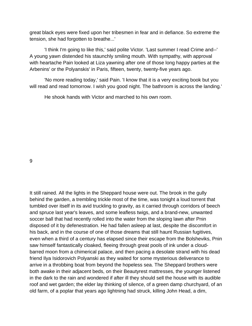great black eyes were fixed upon her tribesmen in fear and in defiance. So extreme the tension, she had forgotten to breathe...'

'I think I'm going to like this,' said polite Victor. 'Last summer I read Crime and--' A young yawn distended his staunchly smiling mouth. With sympathy, with approval with heartache Pain looked at Liza yawning after one of those long happy parties at the Arbenins' or the Polyanskis' in Paris, fifteen, twenty, twenty-five years ago.

'No more reading today,' said Pain. 'I know that it is a very exciting book but you will read and read tomorrow. I wish you good night. The bathroom is across the landing.'

He shook hands with Victor and marched to his own room.

9

It still rained. All the lights in the Sheppard house were out. The brook in the gully behind the garden, a trembling trickle most of the time, was tonight a loud torrent that tumbled over itself in its avid truckling to gravity, as it carried through corridors of beech and spruce last year's leaves, and some leafless twigs, and a brand-new, unwanted soccer ball that had recently rolled into the water from the sloping lawn after Pnin disposed of it by defenestration. He had fallen asleep at last, despite the discomfort in his back, and in the course of one of those dreams that still haunt Russian fugitives, even when a third of a century has elapsed since their escape from the Bolsheviks, Pnin saw himself fantastically cloaked, fleeing through great pools of ink under a cloudbarred moon from a chimerical palace, and then pacing a desolate strand with his dead friend Ilya Isidorovich Polyanski as they waited for some mysterious deliverance to arrive in a throbbing boat from beyond the hopeless sea. The Sheppard brothers were both awake in their adjacent beds, on their Beautyrest mattresses, the younger listened in the dark to the rain and wondered if after ill they should sell the house with its audible roof and wet garden; the elder lay thinking of silence, of a green damp churchyard, of an old farm, of a poplar that years ago lightning had struck, killing John Head, a dim,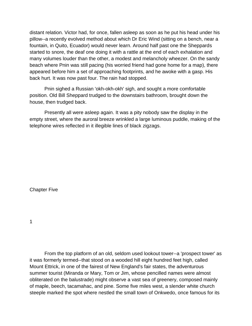distant relation. Victor had, for once, fallen asleep as soon as he put his head under his pillow--a recently evolved method about which Dr Eric Wind (sitting on a bench, near a fountain, in Quito, Ecuador) would never learn. Around half past one the Sheppards started to snore, the deaf one doing it with a rattle at the end of each exhalation and many volumes louder than the other, a modest and melancholy wheezer. On the sandy beach where Pnin was still pacing (his worried friend had gone home for a map), there appeared before him a set of approaching footprints, and he awoke with a gasp. His back hurt. It was now past four. The rain had stopped.

Pnin sighed a Russian 'okh-okh-okh' sigh, and sought a more comfortable position. Old Bill Sheppard trudged to the downstairs bathroom, brought down the house, then trudged back.

Presently all were asleep again. It was a pity nobody saw the display in the empty street, where the auroral breeze wrinkled a large luminous puddle, making of the telephone wires reflected in it illegible lines of black zigzags.

Chapter Five

1

From the top platform of an old, seldom used lookout tower--a 'prospect tower' as it was formerly termed--that stood on a wooded hill eight hundred feet high, called Mount Ettrick, in one of the fairest of New England's fair states, the adventurous summer tourist (Miranda or Mary, Tom or Jim, whose pencilled names were almost obliterated on the balustrade) might observe a vast sea of greenery, composed mainly of maple, beech, tacamahac, and pine. Some five miles west, a slender white church steeple marked the spot where nestled the small town of Onkwedo, once famous for its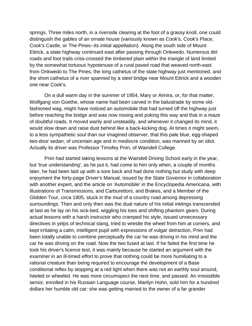springs. Three miles north, in a riverside clearing at the foot of a grassy knoll, one could distinguish the gables of an ornate house (variously known as Cook's, Cook's Place, Cook's Castle, or The Pines--its initial appellation). Along the south side of Mount Ettrick, a state highway continued east after passing through Onkwedo. Numerous dirt roads and foot trails criss-crossed the timbered plain within the triangle of land limited by the somewhat tortuous hypotenuse of a rural paved road that weaved north-east from Onkwedo to The Pines, the long cathetus of the state highway just mentioned, and the short cathetus of a river spanned by a steel bridge near Mount Ettrick and a wooden one near Cook's.

On a dull warm day in the summer of 1954, Mary or Almira, or, for that matter, Wolfgang von Goethe, whose name had been carved in the balustrade by some oldfashioned wag, might have noticed an automobile that had turned off the highway just before reaching the bridge and was now nosing and poking this way and that in a maze of doubtful roads. It moved warily and unsteadily, and whenever it changed its mind, it would slow down and raise dust behind like a back-kicking dog. At times it might seem, to a less sympathetic soul than our imagined observer, that this pale blue, egg-shaped two-door sedan, of uncertain age and in mediocre condition, was manned by an idiot. Actually its driver was Professor Timofey Pnin, of Waindell College.

Pnin had started taking lessons at the Waindell Driving School early in the year, but 'true understanding', as he put it, had come to him only when, a couple of months later, he had been laid up with a sore back and had done nothing but study with deep enjoyment the forty-page Driver's Manual, issued by the State Governor in collaboration with another expert, and the article on 'Automobile' in the Encyclopedia Americana, with illustrations of Transmissions, and Carburettors, and Brakes, and a Member of the Glidden Tour, circa 1905, stuck in the mud of a country road among depressing surroundings. Then and only then was the dual nature of his initial inklings transcended at last as he lay on his sick-bed, wiggling his toes and shifting phantom gears. During actual lessons with a harsh instructor who cramped his style, issued unnecessary directives in yelps of technical slang, tried to wrestle the wheel from him at comers, and kept irritating a calm, intelligent pupil with expressions of vulgar detraction, Pnin had been totally unable to combine perceptually the car he was driving in his mind and the car he was driving on the road. Now the two fused at last. If he failed the first time he took his driver's licence test, it was mainly because he started an argument with the examiner in an ill-timed effort to prove that nothing could be more humiliating to a rational creature than being required to encourage the development of a Base conditional reflex by stopping at a red light when there was not an earthly soul around, heeled or wheeled. He was more circumspect the next time, and passed. An irresistible senior, enrolled in his Russian Language course, Marilyn Hohn, sold him for a hundred dollars her humble old car: she was getting married to the owner of a far grander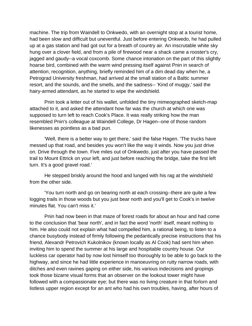machine. The trip from Waindell to Onkwedo, with an overnight stop at a tourist home, had been slow and difficult but uneventful. Just before entering Onkwedo, he had pulled up at a gas station and had got out for a breath of country air. An inscrutable white sky hung over a clover field, and from a pile of firewood near a shack came a rooster's cry, jagged and gaudy--a vocal coxcomb. Some chance intonation on the part of this slightly hoarse bird, combined with the warm wind pressing itself against Pnin in search of attention, recognition, anything, briefly reminded him of a dim dead day when he, a Petrograd University freshman, had arrived at the small station of a Baltic summer resort, and the sounds, and the smells, and the sadness-- 'Kind of muggy,' said the hairy-armed attendant, as he started to wipe the windshield.

Pnin took a letter out of his wallet, unfolded the tiny mimeographed sketch-map attached to it, and asked the attendant how far was the church at which one was supposed to turn left to reach Cook's Place. It was really striking how the man resembled Pnin's colleague at Waindell College, Dr Hagen--one of those random likenesses as pointless as a bad pun.

'Well, there is a better way to get there,' said the false Hagen. 'The trucks have messed up that road, and besides you won't like the way it winds. Now you just drive on. Drive through the town. Five miles out of Onkwedo, just after you have passed the trail to Mount Ettrick on your left, and just before reaching the bridge, take the first left turn. It's a good gravel road.'

He stepped briskly around the hood and lunged with his rag at the windshield from the other side.

'You turn north and go on bearing north at each crossing--there are quite a few logging trails in those woods but you just bear north and you'll get to Cook's in twelve minutes flat. You can't miss it.'

Pnin had now been in that maze of forest roads for about an hour and had come to the conclusion that 'bear north', and in fact the word 'north' itself, meant nothing to him. He also could not explain what had compelled him, a rational being, to listen to a chance busybody instead of firmly following the pedantically precise instructions that his friend, Alexandr Petrovich Kukolnikov (known locally as Al Cook) had sent him when inviting him to spend the summer at his large and hospitable country house. Our luckless car operator had by now lost himself too thoroughly to be able to go back to the highway, and since he had little experience in manoeuvring on rutty narrow roads, with ditches and even ravines gaping on either side, his various indecisions and gropings took those bizarre visual forms that an observer on the lookout tower might have followed with a compassionate eye; but there was no living creature in that forlorn and listless upper region except for an ant who had his own troubles, having, after hours of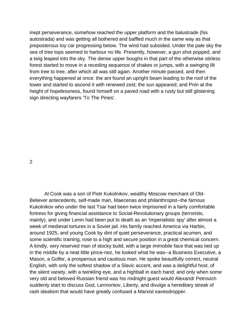inept perseverance, somehow reached the upper platform and the balustrade (his autostrada) and was getting all bothered and baffled much in the same way as that preposterous toy car progressing below. The wind had subsided. Under the pale sky the sea of tree tops seemed to harbour no life. Presently, however, a gun shot popped, and a twig leaped into the sky. The dense upper boughs in that part of the otherwise stirless forest started to move in a receding sequence of shakes or jumps, with a swinging lilt from tree to tree, after which all was still again. Another minute passed, and then everything happened at once: the ant found an upright beam leading to the roof of the tower and started to ascend it with renewed zest; the sun appeared; and Pnin at the height of hopelessness, found himself on a paved road with a rusty but still glistening sign directing wayfarers 'To The Pines'.

2

Al Cook was a son of Piotr Kukolnikov, wealthy Moscow merchant of Old-Believer antecedents, self-made man, Maecenas and philanthropist--the famous Kukolnikov who under the last Tsar had been twice imprisoned in a fairly comfortable fortress for giving financial assistance to Social-Revolutionary groups (terrorists, mainly), and under Lenin had been put to death as an 'Imperialistic spy' after almost a week of medieval tortures in a Soviet jail. His family reached America via Harbin, around 1925, and young Cook by dint of quiet perseverance, practical acumen, and some scientific training, rose to a high and secure position in a great chemical concern. A kindly, very reserved man of stocky build, with a large immobile face that was tied up in the middle by a neat little pince-nez, he looked what he was--a Business Executive, a Mason, a Golfer, a prosperous and cautious man. He spoke beautifully correct, neutral English, with only the softest shadow of a Slavic accent, and was a delightful host, of the silent variety, with a twinkling eye, and a highball in each hand; and only when some very old and beloved Russian friend was his midnight guest would Alexandr Petrovich suddenly start to discuss God, Lermontov, Liberty, and divulge a hereditary streak of rash idealism that would have greatly confused a Marxist eavesdropper.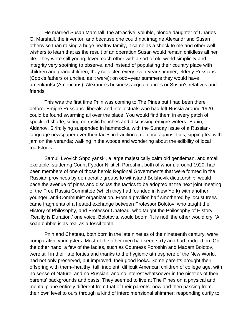He married Susan Marshall, the attractive, voluble, blonde daughter of Charles G. Marshall, the inventor, and because one could not imagine Alexandr and Susan otherwise than raising a huge healthy family, it came as a shock to me and other wellwishers to learn that as the result of an operation Susan would remain childless all her life. They were still young, loved each other with a sort of old-world simplicity and integrity very soothing to observe, and instead of populating their country place with children and grandchildren, they collected every even-year summer, elderly Russians (Cook's fathers or uncles, as it were); on odd--year summers they would have amerikantsï (Americans), Alexandr's business acquaintances or Susan's relatives and friends.

This was the first time Pnin was coming to The Pines but I had been there before. Émigré Russians--liberals and intellectuals who had left Russia around 1920- could be found swarming all over the place. You would find them in every patch of speckled shade, sitting on rustic benches and discussing émigré writers--Bunin, Aldanov, Sirin; lying suspended in hammocks, with the Sunday issue of a Russianlanguage newspaper over their faces in traditional defence against flies; sipping tea with jam on the veranda; walking in the woods and wondering about the edibility of local toadstools.

Samuil Lvovich Shpolyanski, a large majestically calm old gentleman, and small, excitable, stuttering Count Fyodor Nikitich Poroshin, both of whom, around 1920, had been members of one of those heroic Regional Governments that were formed in the Russian provinces by democratic groups to withstand Bolshevik dictatorship, would pace the avenue of pines and discuss the tactics to be adopted at the next joint meeting of the Free Russia Committee (which they had founded in New York) with another, younger, anti-Communist organization. From a pavilion half smothered by locust trees came fragments of a heated exchange between Professor Bolotov, who taught the History of Philosophy, and Professor Chateau, who taught the Philosophy of History: 'Reality is Duration,' one voice, Bolotov's, would boom. 'It is not!' the other would cry. 'A soap bubble is as real as a fossil tooth!'

Pnin and Chateau, both born in the late nineties of the nineteenth century, were comparative youngsters. Most of the other men had seen sixty and had trudged on. On the other hand, a few of the ladies, such as Countess Poroshin and Madam Bolotov, were still in their late forties and thanks to the hygienic atmosphere of the New World, had not only preserved, but improved, their good looks. Some parents brought their offspring with them--healthy, tall, indolent, difficult American children of college age, with no sense of Nature, and no Russian, and no interest whatsoever in the niceties of their parents' backgrounds and pasts. They seemed to live at The Pines on a physical and mental plane entirely different from that of their parents: now and then passing from their own level to ours through a kind of interdimensional shimmer; responding curtly to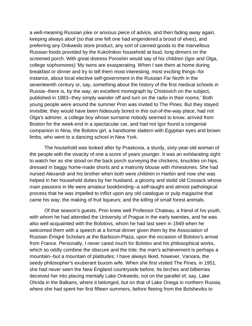a well-meaning Russian joke or anxious piece of advice, and then fading away again, keeping always aloof (so that one felt one had engendered a brood of elves), and preferring any Onkwedo store product, any sort of canned goods to the marvellous Russian foods provided by the Kukolnikov household at loud, long dinners on the screened porch. With great distress Poroshin would say of his children (Igor and Olga, college sophomores) 'My twins are exasperating. When I see them at home during breakfast or dinner and try to tell them most interesting, most exciting things--for instance, about local elective self-government in the Russian Far North in the seventeenth century or, say, something about the history of the first medical schools in Russia--there is, by the way, an excellent monograph by Chistovich on the subject, published in 1883--they simply wander off and turn on the radio in their rooms.' Both young people were around the summer Pnin was invited to The Pines. But they stayed invisible; they would have been hideously bored in this out-of-the-way place, had not Olga's admirer, a college boy whose surname nobody seemed to know, arrived from Boston for the week-end in a spectacular car, and had not Igor found a congenial companion in Nina, the Bolotov girl, a handsome slattern with Egyptian eyes and brown limbs, who went to a dancing school in New York.

The household was looked after by Praskovia, a sturdy, sixty-year-old woman of the people with the vivacity of one a score of years younger. It was an exhilarating sight to watch her as she stood on the back porch surveying the chickens, knuckles on hips, dressed in baggy home-made shorts and a matronly blouse with rhinestones. She had nursed Alexandr and his brother when both were children in Harbin and now she was helped in her household duties by her husband, a gloomy and stolid old Cossack whose main passions in life were amateur bookbinding--a self-taught and almost pathological process that he was impelled to inflict upon any old catalogue or pulp magazine that came his way; the making of fruit liqueurs; and the killing of small forest animals.

Of that season's guests, Pnin knew well Professor Chateau, a friend of his youth, with whom he had attended the University of Prague in the early twenties, and he was also well acquainted with the Bolotovs, whom he had last seen in 1949 when he welcomed them with a speech at a formal dinner given them by the Association of Russian Émigré Scholars at the Barbizon-Plaza, upon the occasion of Bolotov's arrival from France. Personally, I never cared much for Bolotov and his philosophical works, which so oddly combine the obscure and the trite; the man's achievement is perhaps a mountain--but a mountain of platitudes; I have always liked, however, Varvara, the seedy philosopher's exuberant buxom wife. When she first visited The Pines, in 1951, she had never seen the New England countryside before. Its birches and bilberries deceived her into placing mentally Lake Onkwedo, not on the parallel of, say, Lake Ohrida in the Balkans, where it belonged, but on that of Lake Onega in northern Russia, where she had spent her first fifteen summers, before fleeing from the Bolsheviks to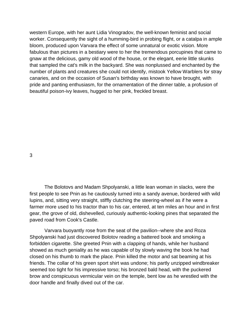western Europe, with her aunt Lidia Vinogradov, the well-known feminist and social worker. Consequently the sight of a humming-bird in probing flight, or a catalpa in ample bloom, produced upon Varvara the effect of some unnatural or exotic vision. More fabulous than pictures in a bestiary were to her the tremendous porcupines that came to gnaw at the delicious, gamy old wood of the house, or the elegant, eerie little skunks that sampled the cat's milk in the backyard. She was nonplussed and enchanted by the number of plants and creatures she could not identify, mistook Yellow Warblers for stray canaries, and on the occasion of Susan's birthday was known to have brought, with pride and panting enthusiasm, for the ornamentation of the dinner table, a profusion of beautiful poison-ivy leaves, hugged to her pink, freckled breast.

3

The Bolotovs and Madam Shpolyanski, a little lean woman in slacks, were the first people to see Pnin as he cautiously turned into a sandy avenue, bordered with wild lupins, and, sitting very straight, stiffly clutching the steering-wheel as if he were a farmer more used to his tractor than to his car, entered, at ten miles an hour and in first gear, the grove of old, dishevelled, curiously authentic-looking pines that separated the paved road from Cook's Castle.

Varvara buoyantly rose from the seat of the pavilion--where she and Roza Shpolyanski had just discovered Bolotov reading a battered book and smoking a forbidden cigarette. She greeted Pnin with a clapping of hands, while her husband showed as much geniality as he was capable of by slowly waving the book he had closed on his thumb to mark the place. Pnin killed the motor and sat beaming at his friends. The collar of his green sport shirt was undone; his partly unzipped windbreaker seemed too tight for his impressive torso; his bronzed bald head, with the puckered brow and conspicuous vermicular vein on the temple, bent low as he wrestled with the door handle and finally dived out of the car.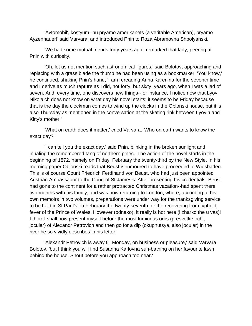'Avtomobil', kostyum--nu pryamo amerikanets (a veritable American), pryamo Ayzenhauer!' said Varvara, and introduced Pnin to Roza Abramovna Shpolyanski.

'We had some mutual friends forty years ago,' remarked that lady, peering at Pnin with curiosity.

'Oh, let us not mention such astronomical figures,' said Bolotov, approaching and replacing with a grass blade the thumb he had been using as a bookmarker. 'You know,' he continued, shaking Pnin's hand, 'I am rereading Anna Karenina for the seventh time and I derive as much rapture as I did, not forty, but sixty, years ago, when I was a lad of seven. And, every time, one discovers new things--for instance, I notice now that Lyov Nikolaich does not know on what day his novel starts: it seems to be Friday because that is the day the clockman comes to wind up the clocks in the Oblonski house, but it is also Thursday as mentioned in the conversation at the skating rink between Lyovin and Kitty's mother.'

'What on earth does it matter,' cried Varvara. 'Who on earth wants to know the exact day?'

'I can tell you the exact day,' said Pnin, blinking in the broken sunlight and inhaling the remembered tang of northern pines. 'The action of the novel starts in the beginning of 1872, namely on Friday, February the twenty-third by the New Style. In his morning paper Oblonski reads that Beust is rumoured to have proceeded to Wiesbaden. This is of course Count Friedrich Ferdinand von Beust, who had just been appointed Austrian Ambassador to the Court of St James's. After presenting his credentials, Beust had gone to the continent for a rather protracted Christmas vacation--had spent there two months with his family, and was now returning to London, where, according to his own memoirs in two volumes, preparations were under way for the thanksgiving service to be held in St Paul's on February the twenty-seventh for the recovering from typhoid fever of the Prince of Wales. However (odnako), it really is hot here (i zharko the u vas)! I think I shall now present myself before the most luminous orbs (presvetlïe ochi, jocular) of Alexandr Petrovich and then go for a dip (okupnutsya, also jocular) in the river he so vividly describes in his letter.'

'Alexandr Petrovich is away till Monday, on business or pleasure,' said Varvara Bolotov, 'but I think you will find Susanna Karlovna sun-bathing on her favourite lawn behind the house. Shout before you app roach too near.'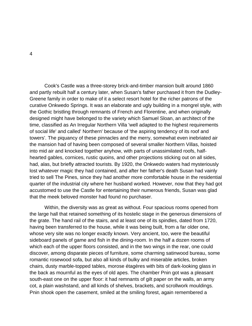Cook's Castle was a three-storey brick-and-timber mansion built around 1860 and partly rebuilt half a century later, when Susan's father purchased it from the Dudley-Greene family in order to make of it a select resort hotel for the richer patrons of the curative Onkwedo Springs. It was an elaborate and ugly building in a mongrel style, with the Gothic bristling through remnants of French and Florentine, and when originally designed might have belonged to the variety which Samuel Sloan, an architect of the time, classified as An Irregular Northern Villa 'well adapted to the highest requirements of social life' and called' Northern' because of 'the aspiring tendency of its roof and towers'. The piquancy of these pinnacles and the merry, somewhat even inebriated air the mansion had of having been composed of several smaller Northern Villas, hoisted into mid air and knocked together anyhow, with parts of unassimilated roofs, halfhearted gables, cornices, rustic quoins, and other projections sticking out on all sides, had, alas, but briefly attracted tourists. By 1920, the Onkwedo waters had mysteriously lost whatever magic they had contained, and after her father's death Susan had vainly tried to sell The Pines, since they had another more comfortable house in the residential quarter of the industrial city where her husband worked. However, now that they had got accustomed to use the Castle for entertaining their numerous friends, Susan was glad that the meek beloved monster had found no purchaser.

Within, the diversity was as great as without. Four spacious rooms opened from the large hall that retained something of its hostelic stage in the generous dimensions of the grate. The hand rail of the stairs, and at least one of its spindles, dated from 1720, having been transferred to the house, while it was being built, from a far older one, whose very site was no longer exactly known. Very ancient, too, were the beautiful sideboard panels of game and fish in the dining-room. In the half a dozen rooms of which each of the upper floors consisted, and in the two wings in the rear, one could discover, among disparate pieces of furniture, some charming satinwood bureau, some romantic rosewood sofa, but also all kinds of bulky and miserable articles, broken chairs, dusty marble-topped tables, morose étagères with bits of dark-looking glass in the back as mournful as the eyes of old apes. The chamber Pnin got was a pleasant south-east one on the upper floor: it had remnants of gilt paper on the walls, an army cot, a plain washstand, and all kinds of shelves, brackets, and scrollwork mouldings. Pnin shook open the casement, smiled at the smiling forest, again remembered a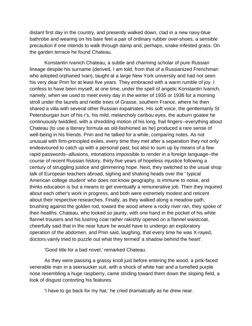distant first day in the country, and presently walked down, clad in a new navy-blue bathrobe and wearing on his bare feet a pair of ordinary rubber over-shoes, a sensible precaution if one intends to walk through damp and, perhaps, snake-infested grass. On the garden terrace he found Chateau.

Konstantin Ivanich Chateau, a subtle and charming scholar of pure Russian lineage despite his surname (derived, I am told, from that of a Russianized Frenchman who adopted orphaned Ivan), taught at a large New York university and had not seen his very dear Pnin for at least five years. They embraced with a warm rumble of joy. I confess to have been myself, at one time, under the spell of angelic Konstantin Ivanich, namely, when we used to meet every day in the winter of 1935 or 1936 for a morning stroll under the laurels and nettle trees of Grasse, southern France, where he then shared a villa with several other Russian expatriates. His soft voice, the gentlemanly St Petersburgan burr of his r's, his mild, melancholy caribou eyes, the auburn goatee he continuously twiddled, with a shredding motion of his long, frail fingers--everything about Chateau (to use a literary formula as old-fashioned as he) produced a rare sense of well-being in his friends. Pnin and he talked for a while, comparing notes. As not unusual with firm-principled exiles, every time they met after a separation they not only endeavoured to catch up with a personal past, but also to sum up by means of a few rapid passwords--allusions, intonations impossible to render in a foreign language--the course of recent Russian history, thirty-five years of hopeless injustice following a century of struggling justice and glimmering hope. Next, they switched to the usual shop talk of European teachers abroad, sighing and shaking heads over the ' typical American college student' who does not know geography, is immune to noise, and thinks education is but a means to get eventually a remunerative job. Then they inquired about each other's work in progress, and both were extremely modest and reticent about their respective researches. Finally, as they walked along a meadow path, brushing against the golden rod, toward the wood where a rocky river ran, they spoke of their healths: Chateau, who looked so jaunty, with one hand in the pocket of his white flannel trousers and his lustring coat rather rakishly opened on a flannel waistcoat, cheerfully said that in the near future he would have to undergo an exploratory operation of the abdomen, and Pnin said, laughing, that every time he was X-rayed, doctors vainly tried to puzzle out what they termed' a shadow behind the heart'.

'Good title for a bad novel,' remarked Chateau.

As they were passing a grassy knoll just before entering the wood, a pink-faced venerable man in a seersucker suit, with a shock of white hair and a tumefied purple nose resembling a huge raspberry, came striding toward them down the sloping field, a look of disgust contorting his features.

'I have to go back for my hat,' he cried dramatically as he drew near.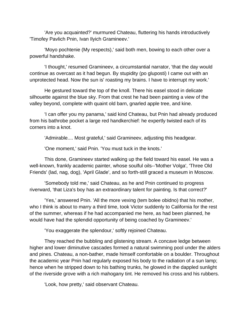'Are you acquainted?' murmured Chateau, fluttering his hands introductively 'Timofey Pavlich Pnin, Ivan Ilyich Gramineev.'

'Moyo pochtenie (My respects),' said both men, bowing to each other over a powerful handshake.

'I thought,' resumed Gramineev, a circumstantial narrator, 'that the day would continue as overcast as it had begun. By stupidity (po gluposti) I came out with an unprotected head. Now the sun is' roasting my brains. I have to interrupt my work.'

He gestured toward the top of the knoll. There his easel stood in delicate silhouette against the blue sky. From that crest he had been painting a view of the valley beyond, complete with quaint old barn, gnarled apple tree, and kine.

'I can offer you my panama,' said kind Chateau, but Pnin had already produced from his bathrobe pocket a large red handkerchief: he expertly twisted each of its corners into a knot.

'Admirable.... Most grateful,' said Gramineev, adjusting this headgear.

'One moment,' said Pnin. 'You must tuck in the knots.'

This done, Gramineev started walking up the field toward his easel. He was a well-known, frankly academic painter, whose soulful oils--'Mother Volga', 'Three Old Friends' (lad, nag, dog), 'April Glade', and so forth-still graced a museum in Moscow.

'Somebody told me,' said Chateau, as he and Pnin continued to progress riverward, 'that Liza's boy has an extraordinary talent for painting. Is that correct?'

'Yes,' answered Pnin. 'All the more vexing (tem bolee obidno) that his mother, who I think is about to marry a third time, took Victor suddenly to California for the rest of the summer, whereas if he had accompanied me here, as had been planned, he would have had the splendid opportunity of being coached by Gramineev.'

'You exaggerate the splendour,' softly rejoined Chateau.

They reached the bubbling and glistening stream. A concave ledge between higher and lower diminutive cascades formed a natural swimming pool under the alders and pines. Chateau, a non-bather, made himself comfortable on a boulder. Throughout the academic year Pnin had regularly exposed his body to the radiation of a sun lamp; hence when he stripped down to his bathing trunks, he glowed in the dappled sunlight of the riverside grove with a rich mahogany tint. He removed his cross and his rubbers.

'Look, how pretty,' said observant Chateau.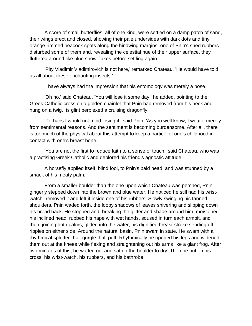A score of small butterflies, all of one kind, were settled on a damp patch of sand, their wings erect and closed, showing their pale undersides with dark dots and tiny orange-rimmed peacock spots along the hindwing margins; one of Pnin's shed rubbers disturbed some of them and, revealing the celestial hue of their upper surface, they fluttered around like blue snow-flakes before settling again.

'Pity Vladimir Vladimirovich is not here,' remarked Chateau. 'He would have told us all about these enchanting insects.'

'I have always had the impression that his entomology was merely a pose.'

'Oh no,' said Chateau. 'You will lose it some day,' he added, pointing to the Greek Catholic cross on a golden chainlet that Pnin had removed from his neck and hung on a twig. Its glint perplexed a cruising dragonfly.

'Perhaps I would not mind losing it,' said Pnin. 'As you well know, I wear it merely from sentimental reasons. And the sentiment is becoming burdensome. After all, there is too much of the physical about this attempt to keep a particle of one's childhood in contact with one's breast bone.'

'You are not the first to reduce faith to a sense of touch,' said Chateau, who was a practising Greek Catholic and deplored his friend's agnostic attitude.

A horsefly applied itself, blind fool, to Pnin's bald head, and was stunned by a smack of his meaty palm.

From a smaller boulder than the one upon which Chateau was perched, Pnin gingerly stepped down into the brown and blue water. He noticed he still had his wristwatch--removed it and left it inside one of his rubbers. Slowly swinging his tanned shoulders, Pnin waded forth, the loopy shadows of leaves shivering and slipping down his broad back. He stopped and, breaking the glitter and shade around him, moistened his inclined head, rubbed his nape with wet hands, soused in turn each armpit, and then, joining both palms, glided into the water, his dignified breast-stroke sending off ripples on either side. Around the natural basin, Pnin swam in state. He swam with a rhythmical splutter--half gurgle, half puff. Rhythmically he opened his legs and widened them out at the knees while flexing and straightening out his arms like a giant frog. After two minutes of this, he waded out and sat on the boulder to dry. Then he put on his cross, his wrist-watch, his rubbers, and his bathrobe.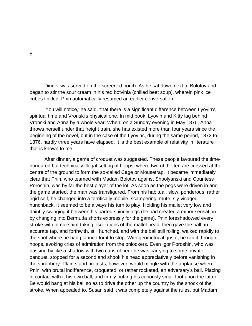Dinner was served on the screened porch. As he sat down next to Bolotov and began to stir the sour cream in his red botvinia (chilled beet soup), wherein pink ice cubes tinkled, Pnin automatically resumed an earlier conversation.

'You will notice,' he said, 'that there is a significant difference between Lyovin's spiritual time and Vronski's physical one. In mid book, Lyovin and Kitty lag behind Vronski and Anna by a whole year. When, on a Sunday evening in May 1876, Anna throws herself under that freight train, she has existed more than four years since the beginning of the novel, but in the case of the Lyovins, during the same period, 1872 to 1876, hardly three years have elapsed. It is the best example of relativity in literature that is known to me.'

After dinner, a game of croquet was suggested. These people favoured the timehonoured but technically illegal setting of hoops, where two of the ten are crossed at the centre of the ground to form the so-called Cage or Mousetrap. It became immediately clear that Pnin, who teamed with Madam Bolotov against Shpolyanski and Countess Poroshin, was by far the best player of the lot. As soon as the pegs were driven in and the game started, the man was transfigured. From his habitual, slow, ponderous, rather rigid self, he changed into a terrifically mobile, scampering, mute, sly-visaged hunchback. It seemed to be always his turn to play. Holding his mallet very low and daintily swinging it between his parted spindly legs (he had created a minor sensation by changing into Bermuda shorts expressly for the game), Pnin foreshadowed every stroke with nimble aim-taking oscillations of the mallet head, then gave the ball an accurate tap, and forthwith, still hunched, and with the ball still rolling, walked rapidly to the spot where he had planned for it to stop. With geometrical gusto, he ran it through hoops, evoking cries of admiration from the onlookers. Even Igor Poroshin, who was passing by like a shadow with two cans of beer he was carrying to some private banquet, stopped for a second and shook his head appreciatively before vanishing in the shrubbery. Plaints and protests, however, would mingle with the applause when Pnin, with brutal indifference, croqueted, or rather rocketed, an adversary's ball. Placing in contact with it his own ball, and firmly putting his curiously small foot upon the latter, Be would bang at his ball so as to drive the other up the country by the shock of the stroke. When appealed to, Susan said it was completely against the rules, but Madam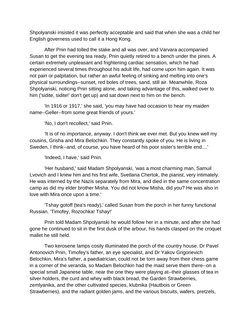Shpolyanski insisted it was perfectly acceptable and said that when she was a child her English governess used to call it a Hong Kong.

After Pnin had tolled the stake and all was over, and Varvara accompanied Susan to get the evening tea ready, Pnin quietly retired to a bench under the pines. A certain extremely unpleasant and frightening cardiac sensation, which he had experienced several times throughout his adult life, had come upon him again. It was not pain or palpitation, but rather an awful feeling of sinking and melting into one's physical surroundings--sunset, red boles of trees, sand, still air. Meanwhile, Roza Shpolyanski, noticing Pnin sitting alone, and taking advantage of this, walked over to him ('sidite, sidite!' don't get up) and sat down next to him on the bench.

'In 1916 or 1917,' she said, 'you may have had occasion to hear my maiden name--Geller--from some great friends of yours.'

'No, I don't recollect,' said Pnin.

'It is of no importance, anyway. I don't think we ever met. But you knew well my cousins, Grisha and Mira Belochkin. They constantly spoke of you. He is living in Sweden, I think--and, of course, you have heard of his poor sister's terrible end....'

'Indeed, I have,' said Pnin.

'Her husband,' said Madam Shpolyanski, 'was a most charming man, Samuil Lvovich and I knew him and his first wife, Svetlana Chertok, the pianist, very intimately. He was interned by the Nazis separately from Mira, and died in the same concentration camp as did my elder brother Misha. You did not know Misha, did you? He was also in love with Mira once upon a time.'

'Tshay gotoff (tea's ready),' called Susan from the porch in her funny functional Russian. 'Timofey, Rozochka! Tshay!'

Pnin told Madam Shpolyanski he would follow her in a minute, and after she had gone he continued to sit in the first dusk of the arbour, his hands clasped on the croquet mallet he still held.

Two kerosene lamps cosily illuminated the porch of the country house. Dr Pavel Antonovich Pnin, Timofey's father, an eye specialist, and Dr Yakov Grigorievich Belochkin, Mira's father, a paediatrician, could not be torn away from their chess game in a corner of the veranda, so Madam Belochkin had the maid serve them there--on a special small Japanese table, near the one they were playing at--their glasses of tea in silver holders, the curd and whey with black bread, the Garden Strawberries, zemlyanika, and the other cultivated species, klubnika (Hautbois or Green Strawberries), and the radiant golden jams, and the various biscuits, wafers, pretzels,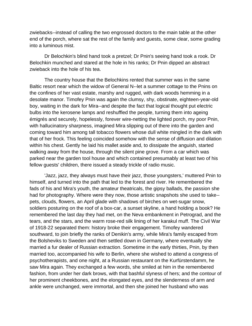zwiebacks--instead of calling the two engrossed doctors to the main table at the other end of the porch, where sat the rest of the family and guests, some clear, some grading into a luminous mist.

Dr Belochkin's blind hand took a pretzel; Dr Pnin's seeing hand took a rook. Dr Belochkin munched and stared at the hole in his ranks; Dr Pnin dipped an abstract zwieback into the hole of his tea.

The country house that the Belochkins rented that summer was in the same Baltic resort near which the widow of General N--let a summer cottage to the Pnins on the confines of her vast estate, marshy and rugged, with dark woods hemming in a desolate manor. Timofey Pnin was again the clumsy, shy, obstinate, eighteen-year-old boy, waiting in the dark for Mira--and despite the fact that logical thought put electric bulbs into the kerosene lamps and reshuffled the people, turning them into ageing émigrés and securely, hopelessly, forever wire-netting the lighted porch, my poor Pnin, with hallucinatory sharpness, imagined Mira slipping out of there into the garden and coming toward him among tall tobacco flowers whose dull white mingled in the dark with that of her frock. This feeling coincided somehow with the sense of diffusion and dilation within his chest. Gently he laid his mallet aside and, to dissipate the anguish, started walking away from the house, through the silent pine grove. From a car which was parked near the garden tool house and which contained presumably at least two of his fellow guests' children, there issued a steady trickle of radio music.

'Jazz, jazz, they always must have their jazz, those youngsters,' muttered Pnin to himself, and turned into the path that led to the forest and river. He remembered the fads of his and Mira's youth, the amateur theatricals, the gipsy ballads, the passion she had for photography. Where were they now, those artistic snapshots she used to take- pets, clouds, flowers, an April glade with shadows of birches on wet-sugar snow, soldiers posturing on the roof of a box-car, a sunset skyline, a hand holding a book? He remembered the last day they had met, on the Neva embankment in Petrograd, and the tears, and the stars, and the warm rose-red silk lining of her karakul muff. The Civil War of 1918-22 separated them: history broke their engagement. Timofey wandered southward, to join briefly the ranks of Denikin's army, while Mira's family escaped from the Bolsheviks to Sweden and then settled down in Germany, where eventually she married a fur dealer of Russian extraction. Sometime in the early thirties, Pnin, by then married too, accompanied his wife to Berlin, where she wished to attend a congress of psychotherapists, and one night, at a Russian restaurant on the Kurfürstendamm, he saw Mira again. They exchanged a few words, she smiled at him in the remembered fashion, from under her dark brows, with that bashful slyness of hers; and the contour of her prominent cheekbones, and the elongated eyes, and the slenderness of arm and ankle were unchanged, were immortal, and then she joined her husband who was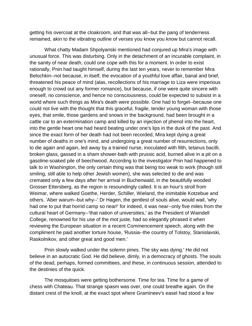getting his overcoat at the cloakroom, and that was all--but the pang of tenderness remained, akin to the vibrating outline of verses you know you know but cannot recall.

What chatty Madam Shpolyanski mentioned had conjured up Mira's image with unusual force. This was disturbing. Only in the detachment of an incurable complaint, in the sanity of near death, could one cope with this for a moment. In order to exist rationally, Pnin had taught himself, during the last ten years, never to remember Mira Belochkin--not because, in itself, the evocation of a youthful love affair, banal and brief, threatened his peace of mind (alas, recollections of his marriage to Liza were imperious enough to crowd out any former romance), but because, if one were quite sincere with oneself, no conscience, and hence no consciousness, could be expected to subsist in a world where such things as Mira's death were possible. One had to forget--because one could not live with the thought that this graceful, fragile, tender young woman with those eyes, that smile, those gardens and snows in the background, had been brought in a cattle car to an extermination camp and killed by an injection of phenol into the heart, into the gentle heart one had heard beating under one's lips in the dusk of the past. And since the exact form of her death had not been recorded, Mira kept dying a great number of deaths in one's mind, and undergoing a great number of resurrections, only to die again and again, led away by a trained nurse, inoculated with filth, tetanus bacilli, broken glass, gassed in a sham shower-bath with prussic acid, burned alive in a pit on a gasoline-soaked pile of beechwood. According to the investigator Pnin had happened to talk to in Washington, the only certain thing was that being too weak to work (though still smiling, still able to help other Jewish women), she was selected to die and was cremated only a few days after her arrival in Buchenwald, in the beautifully wooded Grosser Ettersberg, as the region is resoundingly called. It is an hour's stroll from Weimar, where walked Goethe, Herder, Schiller, Wieland, the inimitable Kotzebue and others. 'Aber warum--but why--' Dr Hagen, the gentlest of souls alive, would wail, 'why had one to put that horrid camp so near!' for indeed, it was near--only five miles from the cultural heart of Germany--'that nation of universities,' as the President of Waindell College, renowned for his use of the mot juste, had so elegantly phrased it when reviewing the European situation in a recent Commencement speech, along with the compliment he paid another torture house, 'Russia--the country of Tolstoy, Stanislavski, Raskolnikov, and other great and good men.'

Pnin slowly walked under the solemn pines. The sky was dying.' He did not believe in an autocratic God. He did believe, dimly, in a democracy of ghosts. The souls of the dead, perhaps, formed committees, and these, in continuous session, attended to the destinies of the quick.

The mosquitoes were getting bothersome. Time for tea. Time for a game of chess with Chateau. That strange spasm was over, one could breathe again. On the distant crest of the knoll, at the exact spot where Gramineev's easel had stood a few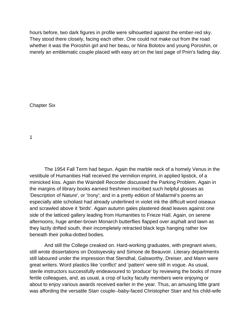hours before, two dark figures in profile were silhouetted against the ember-red sky. They stood there closely, facing each other. One could not make out from the road whether it was the Poroshin girl and her beau, or Nina Bolotov and young Poroshin, or merely an emblematic couple placed with easy art on the last page of Pnin's fading day.

Chapter Six

1

The 1954 Fall Term had begun. Again the marble neck of a homely Venus in the vestibule of Humanities Hall received the vermilion imprint, in applied lipstick, of a mimicked kiss. Again the Waindell Recorder discussed the Parking Problem. Again in the margins of library books earnest freshmen inscribed such helpful glosses as 'Description of Nature', or 'Irony'; and in a pretty edition of Mallarmé's poems an especially able scholiast had already underlined in violet ink the difficult word oiseaux and scrawled above it 'birds'. Again autumn gales plastered dead leaves against one side of the latticed gallery leading from Humanities to Frieze Hall. Again, on serene afternoons, huge amber-brown Monarch butterflies flapped over asphalt and lawn as they lazily drifted south, their incompletely retracted black legs hanging rather low beneath their polka-dotted bodies.

And still the College creaked on. Hard-working graduates, with pregnant wives, still wrote dissertations on Dostoyevsky and Simone de Beauvoir. Literary departments still laboured under the impression that Stendhal, Galsworthy, Dreiser, and Mann were great writers. Word plastics like 'conflict' and 'pattern' were still in vogue. As usual, sterile instructors successfully endeavoured to 'produce' by reviewing the books of more fertile colleagues, and, as usual, a crop of lucky faculty members were enjoying or about to enjoy various awards received earlier in the year. Thus, an amusing little grant was affording the versatile Starr couple--baby-faced Christopher Starr and his child-wife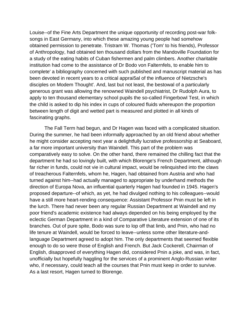Louise--of the Fine Arts Department the unique opportunity of recording post-war folksongs in East Germany, into which these amazing young people had somehow obtained permission to penetrate. Tristram W. Thomas ('Tom' to his friends), Professor of Anthropology, had obtained ten thousand dollars from the Mandoville Foundation for a study of the eating habits of Cuban fishermen and palm climbers. Another charitable institution had come to the assistance of Dr Bodo von Falternfels, to enable him to complete' a bibliography concerned with such published and manuscript material as has been devoted in recent years to a critical apprai5al of the influence of Nietzsche's disciples on Modem Thought'. And, last but not least, the bestowal of a particularly generous grant was allowing the renowned Waindell psychiatrist, Dr Rudolph Aura, to apply to ten thousand elementary school pupils the so-called Fingerbowl Test, in which the child is asked to dip his index in cups of coloured fluids whereupon the proportion between length of digit and wetted part is measured and plotted in all kinds of fascinating graphs.

The Fall Term had begun, and Dr Hagen was faced with a complicated situation. During the summer, he had been informally approached by an old friend about whether he might consider accepting next year a delightfully lucrative professorship at Seaboard, a far more important university than Waindell. This part of the problem was comparatively easy to solve. On the other hand, there remained the chilling fact that the department he had so lovingly built, with which Blorenge's French Department, although far richer in funds, could not vie in cultural impact, would be relinquished into the claws of treacherous Falternfels, whom he, Hagen, had obtained from Austria and who had turned against him--had actually managed to appropriate by underhand methods the direction of Europa Nova, an influential quarterly Hagen had founded in 1945. Hagen's proposed departure--of which, as yet, he had divulged nothing to his colleagues--would have a still more heart-rending consequence: Assistant Professor Pnin must be left in the lurch. There had never been any regular Russian Department at Waindell and my poor friend's academic existence had always depended on his being employed by the eclectic German Department in a kind of Comparative Literature extension of one of its branches. Out of pure spite, Bodo was sure to lop off that limb, and Pnin, who had no life tenure at Waindell, would be forced to leave--unless some other literature-andlanguage Department agreed to adopt him. The only departments that seemed flexible enough to do so were those of English and French. But Jack Cockerell, Chairman of English, disapproved of everything Hagen did, considered Pnin a joke, and was, in fact, unofficially but hopefully haggling for the services of a prominent Anglo-Russian writer who, if necessary, could teach all the courses that Pnin must keep in order to survive. As a last resort, Hagen turned to Blorenge.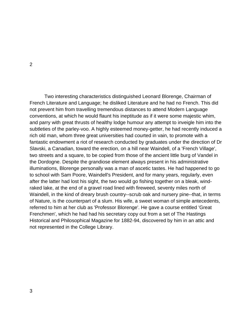Two interesting characteristics distinguished Leonard Blorenge, Chairman of French Literature and Language; he disliked Literature and he had no French. This did not prevent him from travelling tremendous distances to attend Modern Language conventions, at which he would flaunt his ineptitude as if it were some majestic whim, and parry with great thrusts of healthy lodge humour any attempt to inveigle him into the subtleties of the parley-voo. A highly esteemed money-getter, he had recently induced a rich old man, whom three great universities had courted in vain, to promote with a fantastic endowment a riot of research conducted by graduates under the direction of Dr Slavski, a Canadian, toward the erection, on a hill near Waindell, of a 'French Village', two streets and a square, to be copied from those of the ancient little burg of Vandel in the Dordogne. Despite the grandiose element always present in his administrative illuminations, Blorenge personally was a man of ascetic tastes. He had happened to go to school with Sam Poore, Waindell's President, and for many years, regularly, even after the latter had lost his sight, the two would go fishing together on a bleak, windraked lake, at the end of a gravel road lined with fireweed, seventy miles north of Waindell, in the kind of dreary brush country--scrub oak and nursery pine--that, in terms of Nature, is the counterpart of a slum. His wife, a sweet woman of simple antecedents, referred to him at her club as 'Professor Blorenge'. He gave a course entitled 'Great Frenchmen', which he had had his secretary copy out from a set of The Hastings Historical and Philosophical Magazine for 1882-94, discovered by him in an attic and not represented in the College Library.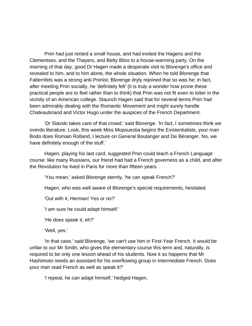Pnin had just rented a small house, and had invited the Hagens and the Clementses, and the Thayers, and Betty Bliss to a house-warming party. On the morning of that day, good Dr Hagen made a desperate visit to Blorenge's office and revealed to him, and to him alone, the whole situation. When he told Blorenge that Falternfels was a strong anti-Pninist, Blorenge dryly rejoined that so was he; in fact, after meeting Pnin socially, he 'definitely felt' (it is truly a wonder how prone these practical people are to feel rather than to think) that Pnin was not fit even to loiter in the vicinity of an American college. Staunch Hagen said that for several terms Pnin had been admirably dealing with the Romantic Movement and might surely handle Chateaubriand and Victor Hugo under the auspices of the French Department.

'Dr Slavski takes care of that crowd,' said Blorenge. 'In fact, I sometimes think we overdo literature. Look, this week Miss Mopsuestia begins the Existentialists, your man Bodo does Romain Rolland, I lecture on General Boulanger and De Béranger. No, we have definitely enough of the stuff.'

Hagen, playing his last card, suggested Pnin could teach a French Language course: like many Russians, our friend had had a French governess as a child, and after the Revolution he lived in Paris for more than fifteen years.

'You mean,' asked Blorenge sternly, 'he can speak French?'

Hagen, who was well aware of Blorenge's special requirements, hesitated.

'Out with it, Herman! Yes or no?'

'I am sure he could adapt himself.'

'He does speak it, eh?'

'Well, yes.'

'In that case,' said Blorenge, 'we can't use him in First-Year French. It would be unfair to our Mr Smith, who gives the elementary course this term and, naturally, is required to be only one lesson ahead of his students. Now it so happens that Mr Hashimoto needs an assistant for his overflowing group in Intermediate French. Does your man read French as well as speak it?'

'I repeat, he can adapt himself,' hedged Hagen.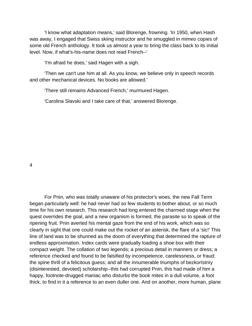'I know what adaptation means,' said Blorenge, frowning. 'In 1950, when Hash was away, I engaged that Swiss skiing instructor and he smuggled in mimeo copies of some old French anthology. It took us almost a year to bring the class back to its initial level. Now, if what's-his-name does not read French--'

'I'm afraid he does,' said Hagen with a sigh.

'Then we can't use him at all. As you know, we believe only in speech records and other mechanical devices. No books are allowed.'

'There still remains Advanced French,' murmured Hagen.

'Carolina Slavski and I take care of that,' answered Blorenge.

4

For Pnin, who was totally unaware of his protector's woes, the new Fall Term began particularly well: he had never had so few students to bother about, or so much time for his own research. This research had long entered the charmed stage when the quest overrides the goal, and a new organism is formed, the parasite so to speak of the ripening fruit. Pnin averted his mental gaze from the end of his work, which was so clearly in sight that one could make out the rocket of an asterisk, the flare of a 'sic!' This line of land was to be shunned as the doom of everything that determined the rapture of endless approximation. Index cards were gradually loading a shoe box with their compact weight. The collation of two legends; a precious detail in manners or dress; a reference checked and found to be falsified by incompetence, carelessness, or fraud; the spine thrill of a felicitous guess; and all the innumerable triumphs of bezkorïstnïy (disinterested, devoted) scholarship--this had corrupted Pnin, this had made of him a happy, footnote-drugged maniac who disturbs the book mites in a dull volume, a foot thick, to find in it a reference to an even duller one. And on another, more human, plane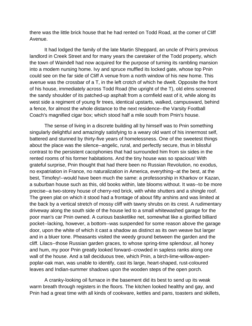there was the little brick house that he had rented on Todd Road, at the comer of Cliff Avenue.

It had lodged the family of the late Martin Sheppard, an uncle of Pnin's previous landlord in Creek Street and for many years the caretaker of the Todd property, which the town of Waindell had now acquired for the purpose of turning its rambling mansion into a modem nursing home. Ivy and spruce muffled its locked gate, whose top Pnin could see on the far side of Cliff A venue from a north window of his new home. This avenue was the crossbar of a T, in the left crotch of which he dwelt. Opposite the front of his house, immediately across Todd Road (the upright of the T), old elms screened the sandy shoulder of its patched-up asphalt from a cornfield east of it, while along its west side a regiment of young fir trees, identical upstarts, walked, campusward, behind a fence, for almost the whole distance to the next residence--the Varsity Football Coach's magnified cigar box; which stood half a mile south from Pnin's house.

The sense of living in a discrete building all by himself was to Pnin something singularly delightful and amazingly satisfying to a weary old want of his innermost self, battered and stunned by thirty-five years of homelessness. One of the sweetest things about the place was the silence--angelic, rural, and perfectly secure, thus in blissful contrast to the persistent cacophonies that had surrounded him from six sides in the rented rooms of his former habitations. And the tiny house was so spacious! With grateful surprise, Pnin thought that had there been no Russian Revolution, no exodus, no expatriation in France, no naturalization in America, everything--at the best, at the best, Timofey!--would have been much the same: a professorship in Kharkov or Kazan, a suburban house such as this, old books within, late blooms without. It was--to be more precise--a two-storey house of cherry-red brick, with white shutters and a shingle roof. The green plat on which it stood had a frontage of about fifty arshins and was limited at the back by a vertical stretch of mossy cliff with tawny shrubs on its crest. A rudimentary driveway along the south side of the house led to a small whitewashed garage for the poor man's car Pnin owned. A curious basketlike net, somewhat like a glorified billiard pocket--lacking, however, a bottom--was suspended for some reason above the garage door, upon the white of which it cast a shadow as distinct as its own weave but larger and in a bluer tone. Pheasants visited the weedy ground between the garden and the cliff. Lilacs--those Russian garden graces, to whose spring-time splendour, all honey and hum, my poor Pnin greatly looked forward--crowded in sapless ranks along one wall of the house. And a tall deciduous tree, which Pnin, a birch-lime-willow-aspenpoplar-oak man, was unable to identify, cast its large, heart-shaped, rust-coloured leaves and Indian-summer shadows upon the wooden steps of the open porch.

A cranky-looking oil furnace in the basement did its best to send up its weak warm breath through registers in the floors. The kitchen looked healthy and gay, and Pnin had a great time with all kinds of cookware, kettles and pans, toasters and skillets,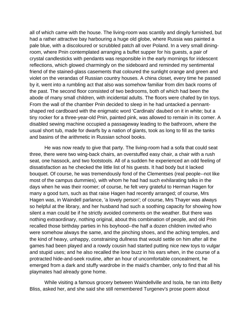all of which came with the house. The living-room was scantily and dingily furnished, but had a rather attractive bay harbouring a huge old globe, where Russia was painted a pale blue, with a discoloured or scrubbled patch all over Poland. In a very small diningroom, where Pnin contemplated arranging a buffet supper for his guests, a pair of crystal candlesticks with pendants was responsible in the early mornings for iridescent reflections, which glowed charmingly on the sideboard and reminded my sentimental friend of the stained-glass casements that coloured the sunlight orange and green and violet on the verandas of Russian country houses. A china closet, every time he passed by it, went into a rumbling act that also was somehow familiar from dim back rooms of the past. The second floor consisted of two bedrooms, both of which had been the abode of many small children, with incidental adults. The floors were chafed by tin toys. From the wall of the chamber Pnin decided to sleep in he had untacked a pennantshaped red cardboard with the enigmatic word 'Cardinals' daubed on it in white; but a tiny rocker for a three-year-old Pnin, painted pink, was allowed to remain in its comer. A disabled sewing machine occupied a passageway leading to the bathroom, where the usual short tub, made for dwarfs by a nation of giants, took as long to fill as the tanks and basins of the arithmetic in Russian school books.

He was now ready to give that party. The living-room had a sofa that could seat three, there were two wing-back chairs, an overstuffed easy chair, a chair with a rush seat, one hassock, and two footstools. All of a sudden he experienced an odd feeling of dissatisfaction as he checked the little list of his guests. It had body but it lacked bouquet. Of course, he was tremendously fond of the Clementses (real people--not like most of the campus dummies), with whom he had had such exhilarating talks in the days when he was their roomer; of course, he felt very grateful to Herman Hagen for many a good turn, such as that raise Hagen had recently arranged; of course, Mrs Hagen was, in Waindell parlance, 'a lovely person'; of course, Mrs Thayer was always so helpful at the library, and her husband had such a soothing capacity for showing how silent a man could be if he strictly avoided comments on the weather. But there was nothing extraordinary, nothing original, about this combination of people, and old Pnin recalled those birthday parties in his boyhood--the half a dozen children invited who were somehow always the same, and the pinching shoes, and the aching temples, and the kind of heavy, unhappy, constraining dullness that would settle on him after all the games had been played and a rowdy cousin had started putting nice new toys to vulgar and stupid uses; and he also recalled the lone buzz in his ears when, in the course of a protracted hide-and-seek routine, after an hour of uncomfortable concealment, he emerged from a dark and stuffy wardrobe in the maid's chamber, only to find that all his playmates had already gone home.

While visiting a famous grocery between Waindellville and Isola, he ran into Betty Bliss, asked her, and she said she still remembered Turgenev's prose poem about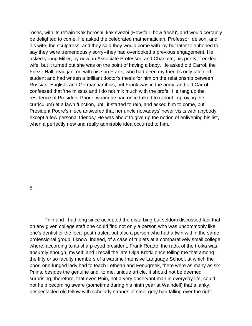roses, with its refrain 'Kak horoshi, kak svezhi (How fair, how fresh)', and would certainly be delighted to come. He asked the celebrated mathematician, Professor Idelson, and his wife, the sculptress, and they said they would come with joy but later telephoned to say they were tremendously sorry--they had overlooked a previous engagement. He asked young Miller, by now an Associate Professor, and Charlotte, his pretty, freckled wife, but it turned out she was on the point of having a baby. He asked old Carrol, the Frieze Hall head janitor, with his son Frank, who had been my friend's only talented student and had written a brilliant doctor's thesis for him on the relationship between Russian, English, and German iambics; but Frank was in the army, and old Carrol confessed that 'the missus and I do not mix much with the profs.' He rang up the residence of President Poore, whom he had once talked to (about improving the curriculum) at a lawn function, until it started to rain, and asked him to come, but President Poore's niece answered that her uncle nowadays' never visits with anybody except a few personal friends,' He was about to give up the notion of enlivening his list, when a perfectly new and really admirable idea occurred to him.

5

Pnin and I had long since accepted the disturbing but seldom discussed fact that on any given college staff one could find not only a person who was uncommonly like one's dentist or the local postmaster, but also a person who had a twin within the same professional group, I know, indeed, of a case of triplets at a comparatively small college where, according to its sharp-eyed president, Frank Reade, the radix of the troika was, absurdly enough, myself; and I recall the late Olga Krotki once telling me that among the fifty or so faculty members of a wartime Intensive Language School, at which the poor, one-lunged lady had to teach Lethean and Fenugreek, there were as many as six Pnins, besides the genuine and, to me, unique article. It should not be deemed surprising, therefore, that even Pnin, not a very observant man in everyday life, could not help becoming aware (sometime during his ninth year at Waindell) that a lanky, bespectacled old fellow with scholarly strands of steel-grey hair falling over the right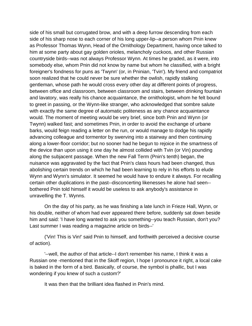side of his small but corrugated brow, and with a deep furrow descending from each side of his sharp nose to each corner of his long upper-lip--a person whom Pnin knew as Professor Thomas Wynn, Head of the Ornithology Department, having once talked to him at some party about gay golden orioles, melancholy cuckoos, and other Russian countryside birds--was not always Professor Wynn. At times he graded, as it were, into somebody else, whom Pnin did not know by name but whom he classified, with a bright foreigner's fondness for puns as 'Twynn' (or, in Pninian, 'Tvin'). My friend and compatriot soon realized that he could never be sure whether the owlish, rapidly stalking gentleman, whose path he would cross every other day at different points of progress, between office and classroom, between classroom and stairs, between drinking fountain and lavatory, was really his chance acquaintance, the ornithologist, whom he felt bound to greet in passing, or the Wynn-like stranger, who acknowledged that sombre salute with exactly the same degree of automatic politeness as any chance acquaintance would. The moment of meeting would be very brief, since both Pnin and Wynn (or Twynn) walked fast; and sometimes Pnin, in order to avoid the exchange of urbane barks, would feign reading a letter on the run, or would manage to dodge his rapidly advancing colleague and tormentor by swerving into a stairway and then continuing along a lower-floor corridor; but no sooner had he begun to rejoice in the smartness of the device than upon using it one day he almost collided with Tvin (or Vin) pounding along the subjacent passage. When the new Fall Term (Pnin's tenth) began, the nuisance was aggravated by the fact that Pnin's class hours had been changed, thus abolishing certain trends on which he had been learning to rely in his efforts to elude Wynn and Wynn's simulator. It seemed he would have to endure it always. For recalling certain other duplications in the past--disconcerting likenesses he alone had seen- bothered Pnin told himself it would be useless to ask anybody's assistance in unravelling the T. Wynns.

On the day of his party, as he was finishing a late lunch in Frieze Hall, Wynn, or his double, neither of whom had ever appeared there before, suddenly sat down beside him and said: 'I have long wanted to ask you something--you teach Russian, don't you? Last summer I was reading a magazine article on birds--'

('Vin! This is Vin!' said Pnin to himself, and forthwith perceived a decisive course of action).

'--well, the author of that article--I don't remember his name, I think it was a Russian one -mentioned that in the Skoff region, I hope I pronounce it right, a local cake is baked in the form of a bird. Basically, of course, the symbol is phallic, but I was wondering if you knew of such a custom?'

It was then that the brilliant idea flashed in Pnin's mind.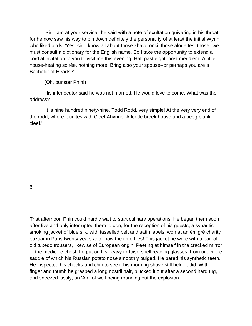'Sir, I am at your service,' he said with a note of exultation quivering in his throat- for he now saw his way to pin down definitely the personality of at least the initial Wynn who liked birds. 'Yes, sir. I know all about those zhavoronki, those alouettes, those--we must consult a dictionary for the English name. So I take the opportunity to extend a cordial invitation to you to visit me this evening. Half past eight, post meridiem. A little house-heating soirée, nothing more. Bring also your spouse--or perhaps you are a Bachelor of Hearts?'

(Oh, punster Pnin!)

His interlocutor said he was not married. He would love to come. What was the address?

'It is nine hundred ninety-nine, Todd Rodd, very simple! At the very very end of the rodd, where it unites with Cleef Ahvnue. A leetle breek house and a beeg blahk cleef.'

That afternoon Pnin could hardly wait to start culinary operations. He began them soon after five and only interrupted them to don, for the reception of his guests, a sybaritic smoking jacket of blue silk, with tasselled belt and satin lapels, won at an émigré charity bazaar in Paris twenty years ago--how the time flies! This jacket he wore with a pair of old tuxedo trousers, likewise of European origin. Peering at himself in the cracked mirror of the medicine chest, he put on his heavy tortoise-shell reading glasses, from under the saddle of which his Russian potato nose smoothly bulged. He bared his synthetic teeth. He inspected his cheeks and chin to see if his morning shave still held. It did. With finger and thumb he grasped a long nostril hair, plucked it out after a second hard tug, and sneezed lustily, an 'Ah!' of well-being rounding out the explosion.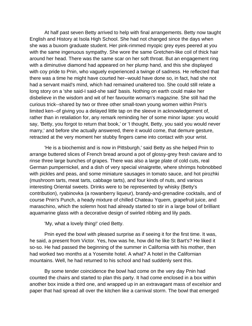At half past seven Betty arrived to help with final arrangements. Betty now taught English and History at Isola High School. She had not changed since the days when she was a buxom graduate student. Her pink-rimmed myopic grey eyes peered at you with the same ingenuous sympathy. She wore the same Gretchen-like coil of thick hair around her head. There was the same scar on her soft throat. But an engagement ring with a diminutive diamond had appeared on her plump hand, and this she displayed with coy pride to Pnin, who vaguely experienced a twinge of sadness. He reflected that there was a time he might have courted her--would have done so, in fact, had she not had a servant maid's mind, which had remained unaltered too. She could still relate a long story on a 'she said-I said-she said' basis. Nothing on earth could make her disbelieve in the wisdom and wit of her favourite woman's magazine. She still had the curious trick--shared by two or three other small-town young women within Pnin's limited ken--of giving you a delayed little tap on the sleeve in acknowledgement of, rather than in retaliation for, any remark reminding her of some minor lapse: you would say, 'Betty, you forgot to return that book,' or 'I thought, Betty, you said you would never marry,' and before she actually answered, there it would come, that demure gesture, retracted at the very moment her stubby fingers came into contact with your wrist.

'He is a biochemist and is now in Pittsburgh,' said Betty as she helped Pnin to arrange buttered slices of French bread around a pot of glossy-grey fresh caviare and to rinse three large bunches of grapes. There was also a large plate of cold cuts, real German pumpernickel, and a dish of very special vinaigrette, where shrimps hobnobbed with pickles and peas, and some miniature sausages in tomato sauce, and hot pirozhki (mushroom tarts, meat tarts, cabbage tarts), and four kinds of nuts, and various interesting Oriental sweets. Drinks were to be represented by whisky (Betty's contribution), ryabinovka (a rowanberry liqueur), brandy-and-grenadine cocktails, and of course Pnin's Punch, a heady mixture of chilled Chateau Yquem, grapefruit juice, and maraschino, which the solemn host had already started to stir in a large bowl of brilliant aquamarine glass with a decorative design of swirled ribbing and lily pads.

'My, what a lovely thing!' cried Betty.

Pnin eyed the bowl with pleased surprise as if seeing it for the first time. It was, he said, a present from Victor. Yes, how was he, how did he like St Bart's? He liked it so-so. He had passed the beginning of the summer in California with his mother, then had worked two months at a Yosemite hotel. A what? A hotel in the Californian mountains. Well, he had returned to his school and had suddenly sent this.

By some tender coincidence the bowl had come on the very day Pnin had counted the chairs and started to plan this party. It had come enclosed in a box within another box inside a third one, and wrapped up in an extravagant mass of excelsior and paper that had spread all over the kitchen like a carnival storm. The bowl that emerged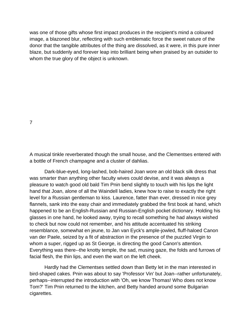was one of those gifts whose first impact produces in the recipient's mind a coloured image, a blazoned blur, reflecting with such emblematic force the sweet nature of the donor that the tangible attributes of the thing are dissolved, as it were, in this pure inner blaze, but suddenly and forever leap into brilliant being when praised by an outsider to whom the true glory of the object is unknown.

7

A musical tinkle reverberated though the small house, and the Clementses entered with a bottle of French champagne and a cluster of dahlias.

Dark-blue-eyed, long-lashed, bob-haired Joan wore an old black silk dress that was smarter than anything other faculty wives could devise, and it was always a pleasure to watch good old bald Tim Pnin bend slightly to touch with his lips the light hand that Joan, alone of all the Waindell ladies, knew how to raise to exactly the right level for a Russian gentleman to kiss. Laurence, fatter than ever, dressed in nice grey flannels, sank into the easy chair and immediately grabbed the first book at hand, which happened to be an English-Russian and Russian-English pocket dictionary. Holding his glasses in one hand, he looked away, trying to recall something he had always wished to check but now could not remember, and his attitude accentuated his striking resemblance, somewhat en jeune, to Jan van Eyck's ample-jowled, fluff-haloed Canon van der Paele, seized by a fit of abstraction in the presence of the puzzled Virgin to whom a super, rigged up as St George, is directing the good Canon's attention. Everything was there--the knotty temple, the sad, musing gaze, the folds and furrows of facial flesh, the thin lips, and even the wart on the left cheek.

Hardly had the Clementses settled down than Betty let in the man interested in bird-shaped cakes. Pnin was about to say 'Professor Vin' but Joan--rather unfortunately, perhaps--interrupted the introduction with 'Oh, we know Thomas! Who does not know Tom?' Tim Pnin returned to the kitchen, and Betty handed around some Bulgarian cigarettes.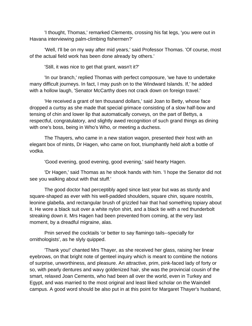'I thought, Thomas,' remarked Clements, crossing his fat legs, 'you were out in Havana interviewing palm-climbing fishermen?'

'Well, I'll be on my way after mid years,' said Professor Thomas. 'Of course, most of the actual field work has been done already by others.'

'Still, it was nice to get that grant, wasn't it?'

'In our branch,' replied Thomas with perfect composure, 'we have to undertake many difficult journeys. In fact, I may push on to the Windward Islands. If,' he added with a hollow laugh, 'Senator McCarthy does not crack down on foreign travel.'

'He received a grant of ten thousand dollars,' said Joan to Betty, whose face dropped a curtsy as she made that special grimace consisting of a slow half-bow and tensing of chin and lower lip that automatically conveys, on the part of Bettys, a respectful, congratulatory, and slightly awed recognition of such grand things as dining with one's boss, being in Who's Who, or meeting a duchess.

The Thayers, who came in a new station wagon, presented their host with an elegant box of mints, Dr Hagen, who came on foot, triumphantly held aloft a bottle of vodka.

'Good evening, good evening, good evening,' said hearty Hagen.

'Dr Hagen,' said Thomas as he shook hands with him. 'I hope the Senator did not see you walking about with that stuff.'

The good doctor had perceptibly aged since last year but was as sturdy and square-shaped as ever with his well-padded shoulders, square chin, square nostrils, leonine glabella, and rectangular brush of grizzled hair that had something topiary about it. He wore a black suit over a white nylon shirt, and a black tie with a red thunderbolt streaking down it. Mrs Hagen had been prevented from coming, at the very last moment, by a dreadful migraine, alas.

Pnin served the cocktails 'or better to say flamingo tails--specially for ornithologists', as he slyly quipped.

'Thank you!' chanted Mrs Thayer, as she received her glass, raising her linear eyebrows, on that bright note of genteel inquiry which is meant to combine the notions of surprise, unworthiness, and pleasure. An attractive, prim, pink-faced lady of forty or so, with pearly dentures and wavy goldenized hair, she was the provincial cousin of the smart, relaxed Joan Cements, who had been all over the world, even in Turkey and Egypt, and was married to the most original and least liked scholar on the Waindell campus. A good word should be also put in at this point for Margaret Thayer's husband,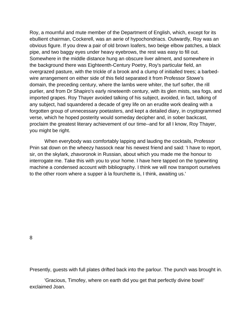Roy, a mournful and mute member of the Department of English, which, except for its ebullient chairman, Cockerell, was an aerie of hypochondriacs. Outwardly, Roy was an obvious figure. If you drew a pair of old brown loafers, two beige elbow patches, a black pipe, and two baggy eyes under heavy eyebrows, the rest was easy to fill out. Somewhere in the middle distance hung an obscure liver ailment, and somewhere in the background there was Eighteenth-Century Poetry, Roy's particular field, an overgrazed pasture, with the trickle of a brook and a clump of initialled trees; a barbedwire arrangement on either side of this field separated it from Professor Stowe's domain, the preceding century, where the lambs were whiter, the turf softer, the rill purlier, and from Dr Shapiro's early nineteenth century, with its glen mists, sea fogs, and imported grapes. Roy Thayer avoided talking of his subject, avoided, in fact, talking of any subject, had squandered a decade of grey life on an erudite work dealing with a forgotten group of unnecessary poetasters, and kept a detailed diary, in cryptogrammed verse, which he hoped posterity would someday decipher and, in sober backcast, proclaim the greatest literary achievement of our time--and for all I know, Roy Thayer, you might be right.

When everybody was comfortably lapping and lauding the cocktails, Professor Pnin sat down on the wheezy hassock near his newest friend and said: 'I have to report, sir, on the skylark, zhavoronok in Russian, about which you made me the honour to interrogate me. Take this with you to your home. I have here tapped on the typewriting machine a condensed account with bibliography. I think we will now transport ourselves to the other room where a supper à la fourchette is, I think, awaiting us.'

8

Presently, guests with full plates drifted back into the parlour. The punch was brought in.

'Gracious, Timofey, where on earth did you get that perfectly divine bowl!' exclaimed Joan.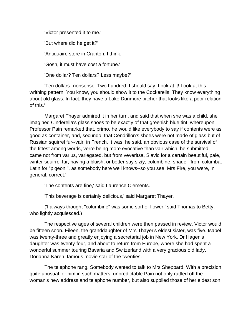'Victor presented it to me.' 'But where did he get it?' 'Antiquaire store in Cranton, I think.' 'Gosh, it must have cost a fortune.'

'One dollar? Ten dollars? Less maybe?'

'Ten dollars--nonsense! Two hundred, I should say. Look at it! Look at this writhing pattern. You know, you should show it to the Cockerells. They know everything about old glass. In fact, they have a Lake Dunmore pitcher that looks like a poor relation of this.'

Margaret Thayer admired it in her turn, and said that when she was a child, she imagined Cinderella's glass shoes to be exactly of that greenish blue tint; whereupon Professor Pain remarked that, primo, he would like everybody to say if contents were as good as container, and, secundo, that Cendrillon's shoes were not made of glass but of Russian squirrel fur--vair, in French. It was, he said, an obvious case of the survival of the fittest among words, verre being more evocative than vair which, he submitted, came not from varius, variegated, but from veveritsa, Slavic for a certain beautiful, pale, winter-squirrel fur, having a bluish, or better say sizïy, columbine, shade--'from columba, Latin for "pigeon ", as somebody here well knows--so you see, Mrs Fire, you were, in general, correct.'

'The contents are fine,' said Laurence Clements.

'This beverage is certainly delicious,' said Margaret Thayer.

('I always thought "columbine" was some sort of flower,' said Thomas to Betty, who lightly acquiesced.)

The respective ages of several children were then passed in review. Victor would be fifteen soon. Eileen, the granddaughter of Mrs Thayer's eldest sister, was five. Isabel was twenty-three and greatly enjoying a secretarial job in New York. Dr Hagen's daughter was twenty-four, and about to return from Europe, where she had spent a wonderful summer touring Bavaria and Switzerland with a very gracious old lady, Dorianna Karen, famous movie star of the twenties.

The telephone rang. Somebody wanted to talk to Mrs Sheppard. With a precision quite unusual for him in such matters, unpredictable Pain not only rattled off the woman's new address and telephone number, but also supplied those of her eldest son.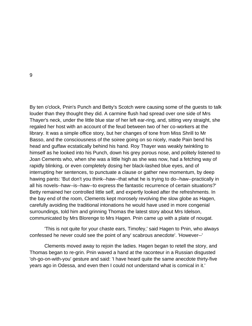By ten o'clock, Pnin's Punch and Betty's Scotch were causing some of the guests to talk louder than they thought they did. A carmine flush had spread over one side of Mrs Thayer's neck, under the little blue star of her left ear-ring, and, sitting very straight, she regaled her host with an account of the feud between two of her co-workers at the library. It was a simple office story, but her changes of tone from Miss Shrill to Mr Basso, and the consciousness of the soiree going on so nicely, made Pain bend his head and guffaw ecstatically behind his hand. Roy Thayer was weakly twinkling to himself as he looked into his Punch, down his grey porous nose, and politely listened to Joan Cements who, when she was a little high as she was now, had a fetching way of rapidly blinking, or even completely dosing her black-lashed blue eyes, and of interrupting her sentences, to punctuate a clause or gather new momentum, by deep hawing pants: 'But don't you think--haw--that what he is trying to do--haw--practically in all his novels--haw--is--haw--to express the fantastic recurrence of certain situations?' Betty remained her controlled little self, and expertly looked after the refreshments. In the bay end of the room, Clements kept morosely revolving the slow globe as Hagen, carefully avoiding the traditional intonations he would have used in more congenial surroundings, told him and grinning Thomas the latest story about Mrs Idelson, communicated by Mrs Blorenge to Mrs Hagen. Pnin came up with a plate of nougat.

'This is not quite for your chaste ears, Timofey,' said Hagen to Pnin, who always confessed he never could see the point of any' scabrous anecdote'. 'However--'

Clements moved away to rejoin the ladies. Hagen began to retell the story, and Thomas began to re-grin. Pnin waved a hand at the raconteur in a Russian disgusted 'oh-go-on-with-you' gesture and said: 'I have heard quite the same anecdote thirty-five years ago in Odessa, and even then I could not understand what is comical in it.'

9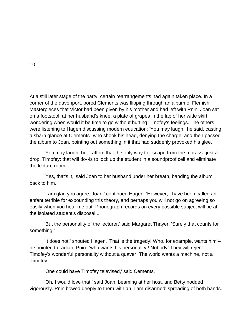At a still later stage of the party, certain rearrangements had again taken place. In a corner of the davenport, bored Clements was flipping through an album of Flemish Masterpieces that Victor had been given by his mother and had left with Pnin. Joan sat on a footstool, at her husband's knee, a plate of grapes in the lap of her wide skirt, wondering when would it be time to go without hurting Timofey's feelings. The others were listening to Hagen discussing modern education: 'You may laugh,' he said, casting a sharp glance at Clements--who shook his head, denying the charge, and then passed the album to Joan, pointing out something in it that had suddenly provoked his glee.

'You may laugh, but I affirm that the only way to escape from the morass--just a drop, Timofey: that will do--is to lock up the student in a soundproof cell and eliminate the lecture room.'

'Yes, that's it,' said Joan to her husband under her breath, banding the album back to him.

'I am glad you agree, Joan,' continued Hagen. 'However, I have been called an enfant terrible for expounding this theory, and perhaps you will not go on agreeing so easily when you hear me out. Phonograph records on every possible subject will be at the isolated student's disposal...'

'But the personality of the lecturer,' said Margaret Thayer. 'Surely that counts for something.'

'It does not!' shouted Hagen. 'That is the tragedy! Who, for example, wants him'- he pointed to radiant Pnin--'who wants his personality? Nobody! They will reject Timofey's wonderful personality without a quaver. The world wants a machine, not a Timofey.'

'One could have Timofey televised,' said Cements.

'Oh, I would love that,' said Joan, beaming at her host, and Betty nodded vigorously. Pnin bowed deeply to them with an 'I-am-disarmed' spreading of both hands.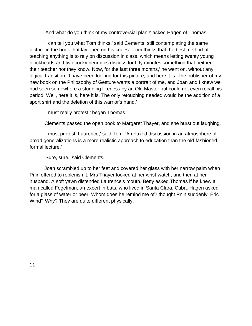'And what do you think of my controversial plan?' asked Hagen of Thomas.

'I can tell you what Tom thinks,' said Cements, still contemplating the same picture in the book that lay open on his knees. 'Tom thinks that the best method of teaching anything is to rely on discussion in class, which means letting twenty young blockheads and two cocky neurotics discuss for fifty minutes something that neither their teacher nor they know. Now, for the last three months,' he went on, without any logical transition. 'I have been looking for this picture, and here it is. The publisher of my new book on the Philosophy of Gesture wants a portrait of me, and Joan and I knew we had seen somewhere a stunning likeness by an Old Master but could not even recall his period. Well, here it is, here it is. The only retouching needed would be the addition of a sport shirt and the deletion of this warrior's hand.'

'I must really protest,' began Thomas.

Clements passed the open book to Margaret Thayer, and she burst out laughing.

'I must protest, Laurence,' said Tom. 'A relaxed discussion in an atmosphere of broad generalizations is a more realistic approach to education than the old-fashioned formal lecture.'

'Sure, sure,' said Clements.

Joan scrambled up to her feet and covered her glass with her narrow palm when Pnin offered to replenish it. Mrs Thayer looked at her wrist-watch, and then at her husband. A soft yawn distended Laurence's mouth. Betty asked Thomas if he knew a man called Fogelman, an expert in bats, who lived in Santa Clara, Cuba. Hagen asked for a glass of water or beer. Whom does he remind me of? thought Pnin suddenly. Eric Wind? Why? They are quite different physically.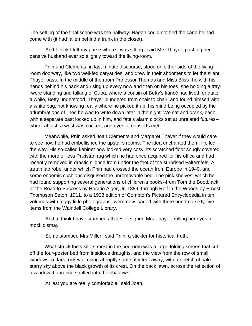The setting of the final scene was the hallway. Hagen could not find the cane he had come with (it had fallen behind a trunk in the closet).

'And I think I left my purse where I was sitting,' said Mrs Thayer, pushing her pensive husband ever so slightly toward the living-room.

Pnin and Clements, in last-minute discourse, stood on either side of the livingroom doorway, like two well-fed caryatides, and drew in their abdomens to let the silent Thayer pass. In the middle of the room Professor Thomas and Miss Bliss--he with his hands behind his back and rising up every now and then on his toes, she holding a tray- -were standing and talking of Cuba, where a cousin of Betty's fiancé had lived for quite a while, Betty understood. Thayer blundered from chair to chair, and found himself with a white bag, not knowing really where he picked it up, his mind being occupied by the adumbrations of lines he was to write down later in the night: We sat and drank, each with a separate past locked up in him, and fate's alarm clocks set at unrelated futures- when, at last, a wrist was cocked, and eyes of consorts met...

Meanwhile, Pnin asked Joan Clements and Margaret Thayer if they would care to see how he had embellished the upstairs rooms. The idea enchanted them. He led the way. His so-called kabinet now looked very cosy, its scratched floor snugly covered with the more or less Pakistan rug which he had once acquired for his office and had recently removed in drastic silence from under the feet of the surprised Falternfels. A tartan lap robe, under which Pnin had crossed the ocean from Europe in 1940, and some endemic cushions disguised the unremovable bed. The pink shelves, which he had found supporting several generations of children's books--from Tom the Bootblack, or the Road to Success by Horatio Alger, Jr, 1889, through Rolf in the Woods by Ernest Thompson Seton, 1911, to a 1928 edition of Compton's Pictured Encyclopedia in ten volumes with foggy little photographs--were now loaded with three hundred sixty-five items from the Waindell College Library.

'And to think I have stamped all these,' sighed Mrs Thayer, rolling her eyes in mock dismay.

'Some stamped Mrs Miller,' said Pnin, a stickler for historical truth.

What struck the visitors most in the bedroom was a large folding screen that cut off the four-poster bed from insidious draughts, and the view from the row of small windows: a dark rock wall rising abruptly some fifty feet away, with a stretch of pale starry sky above the black growth of its crest. On the back lawn, across the reflection of a window, Laurence strolled into the shadows.

'At last you are really comfortable,' said Joan.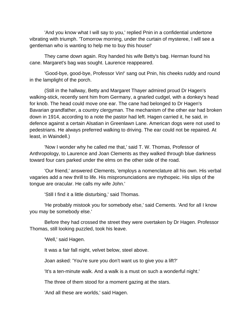'And you know what I will say to you,' replied Pnin in a confidential undertone vibrating with triumph. 'Tomorrow morning, under the curtain of mysteree, I will see a gentleman who is wanting to help me to buy this house!'

They came down again. Roy handed his wife Betty's bag. Herman found his cane. Margaret's bag was sought. Laurence reappeared.

'Good-bye, good-bye, Professor Vin!' sang out Pnin, his cheeks ruddy and round in the lamplight of the porch.

(Still in the hallway, Betty and Margaret Thayer admired proud Dr Hagen's walking-stick, recently sent him from Germany, a gnarled cudgel, with a donkey's head for knob. The head could move one ear. The cane had belonged to Dr Hagen's Bavarian grandfather, a country clergyman. The mechanism of the other ear had broken down in 1914, according to a note the pastor had left. Hagen carried it, he said, in defence against a certain Alsatian in Greenlawn Lane. American dogs were not used to pedestrians. He always preferred walking to driving. The ear could not be repaired. At least, in Waindell.)

'Now I wonder why he called me that,' said T. W. Thomas, Professor of Anthropology, to Laurence and Joan Clements as they walked through blue darkness toward four cars parked under the elms on the other side of the road.

'Our friend,' answered Clements, 'employs a nomenclature all his own. His verbal vagaries add a new thrill to life. His mispronunciations are mythopeic. His slips of the tongue are oracular. He calls my wife John.'

'Still I find it a little disturbing,' said Thomas.

'He probably mistook you for somebody else,' said Cements. 'And for all I know you may be somebody else.'

Before they had crossed the street they were overtaken by Dr Hagen. Professor Thomas, still looking puzzled, took his leave.

'Well,' said Hagen.

It was a fair fall night, velvet below, steel above.

Joan asked: 'You're sure you don't want us to give you a lift?'

'It's a ten-minute walk. And a walk is a must on such a wonderful night.'

The three of them stood for a moment gazing at the stars.

'And all these are worlds,' said Hagen.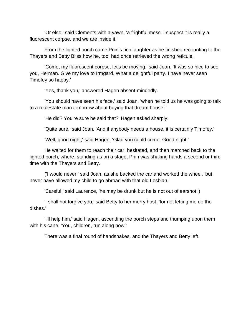'Or else,' said Clements with a yawn, 'a frightful mess. I suspect it is really a fluorescent corpse, and we are inside it.'

From the lighted porch came Pnin's rich laughter as he finished recounting to the Thayers and Betty Bliss how he, too, had once retrieved the wrong reticule.

'Come, my fluorescent corpse, let's be moving,' said Joan. 'It was so nice to see you, Herman. Give my love to Irmgard. What a delightful party. I have never seen Timofey so happy.'

'Yes, thank you,' answered Hagen absent-mindedly.

'You should have seen his face,' said Joan, 'when he told us he was going to talk to a realestate man tomorrow about buying that dream house.'

'He did? You're sure he said that?' Hagen asked sharply.

'Quite sure,' said Joan. 'And if anybody needs a house, it is certainly Timofey.'

'Well, good night,' said Hagen. 'Glad you could come. Good night.'

He waited for them to reach their car, hesitated, and then marched back to the lighted porch, where, standing as on a stage, Pnin was shaking hands a second or third time with the Thayers and Betty.

('I would never,' said Joan, as she backed the car and worked the wheel, 'but never have allowed my child to go abroad with that old Lesbian.'

'Careful,' said Laurence, 'he may be drunk but he is not out of earshot.')

'I shall not forgive you,' said Betty to her merry host, 'for not letting me do the dishes.'

'I'll help him,' said Hagen, ascending the porch steps and thumping upon them with his cane. 'You, children, run along now.'

There was a final round of handshakes, and the Thayers and Betty left.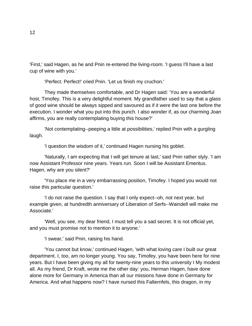'First,' said Hagen, as he and Pnin re-entered the living-room. 'I guess I'll have a last cup of wine with you.'

'Perfect. Perfect!' cried Pnin. 'Let us finish my cruchon.'

They made themselves comfortable, and Dr Hagen said: 'You are a wonderful host, Timofey. This is a very delightful moment. My grandfather used to say that a glass of good wine should be always sipped and savoured as if it were the last one before the execution. I wonder what you put into this punch. I also wonder if, as our charming Joan affirms, you are really contemplating buying this house?'

'Not contemplating--peeping a little at possibilities,' replied Pnin with a gurgling laugh.

'I question the wisdom of it,' continued Hagen nursing his goblet.

'Naturally, I am expecting that I will get tenure at last,' said Pnin rather slyly. 'I am now Assistant Professor nine years. Years run. Soon I will be Assistant Emeritus. Hagen, why are you silent?'

'You place me in a very embarrassing position, Timofey. I hoped you would not raise this particular question.'

'I do not raise the question. I say that I only expect--oh, not next year, but example given, at hundredth anniversary of Liberation of Serfs--Waindell will make me Associate.'

'Well, you see, my dear friend, I must tell you a sad secret. It is not official yet, and you must promise not to mention it to anyone.'

'I swear,' said Pnin, raising his hand.

'You cannot but know,' continued Hagen, 'with what loving care I built our great department. I, too, am no longer young. You say, Timofey, you have been here for nine years. But I have been giving my all for twenty-nine years to this university I My modest all. As my friend, Dr Kraft, wrote me the other day: you, Herman Hagen, have done alone more for Germany in America than all our missions have done in Germany for America. And what happens now? I have nursed this Falternfels, this dragon, in my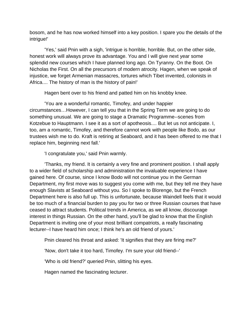bosom, and he has now worked himself into a key position. I spare you the details of the intrigue!'

'Yes,' said Pnin with a sigh, 'intrigue is horrible, horrible. But, on the other side, honest work will always prove its advantage. You and I will give next year some splendid new courses which I have planned long ago. On Tyranny. On the Boot. On Nicholas the First. On all the precursors of modern atrocity. Hagen, when we speak of injustice, we forget Armenian massacres, tortures which Tibet invented, colonists in Africa.... The history of man is the history of pain!'

Hagen bent over to his friend and patted him on his knobby knee.

'You are a wonderful romantic, Timofey, and under happier circumstances…However, I can tell you that in the Spring Term we are going to do something unusual. We are going to stage a Dramatic Programme--scenes from Kotzebue to Hauptmann. I see it as a sort of apotheosis.... But let us not anticipate. I, too, am a romantic, Timofey, and therefore cannot work with people like Bodo, as our trustees wish me to do. Kraft is retiring at Seaboard, and it has been offered to me that I replace him, beginning next fall.'

'I congratulate you,' said Pnin warmly.

'Thanks, my friend. It is certainly a very fine and prominent position. I shall apply to a wider field of scholarship and administration the invaluable experience I have gained here. Of course, since I know Bodo will not continue you in the German Department, my first move was to suggest you come with me, but they tell me they have enough Slavists at Seaboard without you. So I spoke to Blorenge, but the French Department here is also full up. This is unfortunate, because Waindell feels that it would be too much of a financial burden to pay you for two or three Russian courses that have ceased to attract students. Political trends in America, as we all know, discourage interest in things Russian. On the other hand, you'll be glad to know that the English Department is inviting one of your most brilliant compatriots, a really fascinating lecturer--I have heard him once; I think he's an old friend of yours.'

Pnin cleared his throat and asked: 'It signifies that they are firing me?'

'Now, don't take it too hard, Timofey. I'm sure your old friend--'

'Who is old friend?' queried Pnin, slitting his eyes.

Hagen named the fascinating lecturer.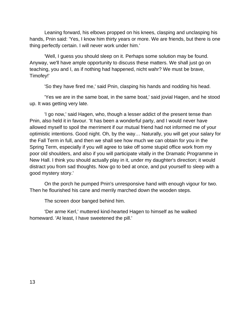Leaning forward, his elbows propped on his knees, clasping and unclasping his hands, Pnin said: 'Yes, I know him thirty years or more. We are friends, but there is one thing perfectly certain. I will never work under him.'

'Well, I guess you should sleep on it. Perhaps some solution may be found. Anyway, we'll have ample opportunity to discuss these matters. We shall just go on teaching, you and I, as if nothing had happened, nicht wahr? We must be brave, Timofey!'

'So they have fired me,' said Pnin, clasping his hands and nodding his head.

'Yes we are in the same boat, in the same boat,' said jovial Hagen, and he stood up. It was getting very late.

'I go now,' said Hagen, who, though a lesser addict of the present tense than Pnin, also held it in favour. 'It has been a wonderful party, and I would never have allowed myself to spoil the merriment if our mutual friend had not informed me of your optimistic intentions. Good night. Oh, by the way… Naturally, you will get your salary for the Fall Term in full, and then we shall see how much we can obtain for you in the Spring Term, especially if you will agree to take off some stupid office work from my poor old shoulders, and also if you will participate vitally in the Dramatic Programme in New Hall. I think you should actually play in it, under my daughter's direction; it would distract you from sad thoughts. Now go to bed at once, and put yourself to sleep with a good mystery story.'

On the porch he pumped Pnin's unresponsive hand with enough vigour for two. Then he flourished his cane and merrily marched down the wooden steps.

The screen door banged behind him.

'Der arme Kerl,' muttered kind-hearted Hagen to himself as he walked homeward. 'At least, I have sweetened the pill.'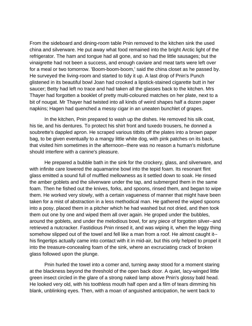From the sideboard and dining-room table Pnin removed to the kitchen sink the used china and silverware. He put away what food remained into the bright Arctic light of the refrigerator. The ham and tongue had all gone, and so had the little sausages; but the vinaigrette had not been a success, and enough caviare and meat tarts were left over for a meal or two tomorrow. 'Boom-boom-boom,' said the china closet as he passed by. He surveyed the living-room and started to tidy it up. A last drop of Pnin's Punch glistened in its beautiful bowl Joan had crooked a lipstick-stained cigarette butt in her saucer; Betty had left no trace and had taken all the glasses back to the kitchen. Mrs Thayer had forgotten a booklet of pretty multi-coloured matches on her plate, next to a bit of nougat. Mr Thayer had twisted into all kinds of weird shapes half a dozen paper napkins; Hagen had quenched a messy cigar in an uneaten bunchlet of grapes.

In the kitchen, Pnin prepared to wash up the dishes. He removed his silk coat, his tie, and his dentures. To protect his shirt front and tuxedo trousers, he donned a soubrette's dappled apron. He scraped various titbits off the plates into a brown paper bag, to be given eventually to a mangy little white dog, with pink patches on its back, that visited him sometimes in the afternoon--there was no reason a human's misfortune should interfere with a canine's pleasure.

He prepared a bubble bath in the sink for the crockery, glass, and silverware, and with infinite care lowered the aquamarine bowl into the tepid foam. Its resonant flint glass emitted a sound full of muffled mellowness as it settled down to soak. He rinsed the amber goblets and the silverware under the tap, and submerged them in the same foam. Then he fished out the knives, forks, and spoons, rinsed them, and began to wipe them. He worked very slowly, with a certain vagueness of manner that might have been taken for a mist of abstraction in a less methodical man. He gathered the wiped spoons into a posy, placed them in a pitcher which he had washed but not dried, and then took them out one by one and wiped them all over again. He groped under the bubbles, around the goblets, and under the melodious bowl, for any piece of forgotten silver--and retrieved a nutcracker. Fastidious Pnin rinsed it, and was wiping it, when the leggy thing somehow slipped out of the towel and fell like a man from a roof. He almost caught it- his fingertips actually came into contact with it in mid-air, but this only helped to propel it into the treasure-concealing foam of the sink, where an excruciating crack of broken glass followed upon the plunge.

Pnin hurled the towel into a comer and, turning away stood for a moment staring at the blackness beyond the threshold of the open back door. A quiet, lacy-winged little green insect circled in the glare of a strong naked lamp above Pnin's glossy bald head. He looked very old, with his toothless mouth half open and a film of tears dimming his blank, unblinking eyes. Then, with a moan of anguished anticipation, he went back to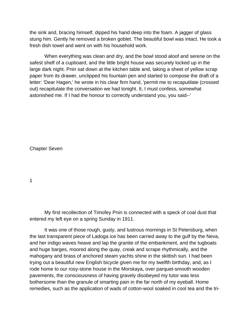the sink and, bracing himself, dipped his hand deep into the foam. A jagger of glass stung him. Gently he removed a broken goblet. The beautiful bowl was intact. He took a fresh dish towel and went on with his household work.

When everything was clean and dry, and the bowl stood aloof and serene on the safest shelf of a cupboard, and the little bright house was securely locked up in the large dark night. Pnin sat down at the kitchen table and, taking a sheet of yellow scrap paper from its drawer, unclipped his fountain pen and started to compose the draft of a letter: 'Dear Hagen,' he wrote in his clear firm hand, 'permit me to recaputilate (crossed out) recapitulate the conversation we had tonight. It, I must confess, somewhat astonished me. If I had the honour to correctly understand you, you said--'

Chapter Seven

1

My first recollection of Timofey Pnin is connected with a speck of coal dust that entered my left eye on a spring Sunday in 1911.

It was one of those rough, gusty, and lustrous mornings in St Petersburg, when the last transparent piece of Ladoga ice has been carried away to the gulf by the Neva, and her indigo waves heave and lap the granite of the embankment, and the tugboats and huge barges, moored along the quay, creak and scrape rhythmically, and the mahogany and brass of anchored steam yachts shine in the skittish sun. I had been trying out a beautiful new English bicycle given me for my twelfth birthday, and, as I rode home to our rosy-stone house in the Morskaya, over parquet-smooth wooden pavements, the consciousness of having gravely disobeyed my tutor was less bothersome than the granule of smarting pain in the far north of my eyeball. Home remedies, such as the application of wads of cotton-wool soaked in cool tea and the tri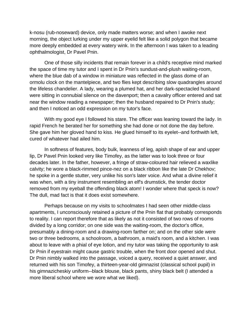k-nosu (rub-noseward) device, only made matters worse; and when I awoke next morning, the object lurking under my upper eyelid felt like a solid polygon that became more deeply embedded at every watery wink. In the afternoon I was taken to a leading ophthalmologist, Dr Pavel Pnin.

One of those silly incidents that remain forever in a child's receptive mind marked the space of time my tutor and I spent in Dr Pnin's sundust-and-plush waiting-room, where the blue dab of a window in miniature was reflected in the glass dome of an ormolu clock on the mantelpiece, and two flies kept describing slow quadrangles around the lifeless chandelier. A lady, wearing a plumed hat, and her dark-spectacled husband were sitting in connubial silence on the davenport; then a cavalry officer entered and sat near the window reading a newspaper; then the husband repaired to Dr Pnin's study; and then I noticed an odd expression on my tutor's face.

With my good eye I followed his stare. The officer was leaning toward the lady. In rapid French he berated her for something she had done or not done the day before. She gave him her gloved hand to kiss. He glued himself to its eyelet--and forthwith left, cured of whatever had ailed him.

In softness of features, body bulk, leanness of leg, apish shape of ear and upper lip, Dr Pavel Pnin looked very like Timofey, as the latter was to look three or four decades later. In the father, however, a fringe of straw-coloured hair relieved a waxlike calvity; he wore a black-rimmed pince-nez on a black ribbon like the late Dr Chekhov; he spoke in a gentle stutter, very unlike his son's later voice. And what a divine relief it was when, with a tiny instrument resembling an elf's drumstick, the tender doctor removed from my eyeball the offending black atom! I wonder where that speck is now? The dull, mad fact is that it does exist somewhere.

Perhaps because on my visits to schoolmates I had seen other middle-class apartments, I unconsciously retained a picture of the Pnin flat that probably corresponds to reality. I can report therefore that as likely as not it consisted of two rows of rooms divided by a long corridor; on one side was the waiting-room, the doctor's office, presumably a dining-room and a drawing-room farther on; and on the other side were two or three bedrooms, a schoolroom, a bathroom, a maid's room, and a kitchen. I was about to leave with a phial of eye lotion, and my tutor was taking the opportunity to ask Dr Pnin if eyestrain might cause gastric trouble, when the front door opened and shut. Dr Pnin nimbly walked into the passage, voiced a query, received a quiet answer, and returned with his son Timofey, a thirteen-year-old gimnazist (classical school pupil) in his gimnazicheskiy uniform--black blouse, black pants, shiny black belt (I attended a more liberal school where we wore what we liked).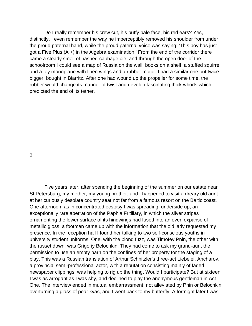Do I really remember his crew cut, his puffy pale face, his red ears? Yes, distinctly. I even remember the way he imperceptibly removed his shoulder from under the proud paternal hand, while the proud paternal voice was saying: 'This boy has just got a Five Plus (A +) in the Algebra examination.' From the end of the corridor there came a steady smell of hashed-cabbage pie, and through the open door of the schoolroom I could see a map of Russia on the wall, books on a shelf, a stuffed squirrel, and a toy monoplane with linen wings and a rubber motor. I had a similar one but twice bigger, bought in Biarritz. After one had wound up the propeller for some time, the rubber would change its manner of twist and develop fascinating thick whorls which predicted the end of its tether.

2

Five years later, after spending the beginning of the summer on our estate near St Petersburg, my mother, my young brother, and I happened to visit a dreary old aunt at her curiously desolate country seat not far from a famous resort on the Baltic coast. One afternoon, as in concentrated ecstasy I was spreading, underside up, an exceptionally rare aberration of the Paphia Fritillary, in which the silver stripes ornamenting the lower surface of its hindwings had fused into an even expanse of metallic gloss, a footman came up with the information that the old lady requested my presence. In the reception hall I found her talking to two self-conscious youths in university student uniforms. One, with the blond fuzz, was Timofey Pnin, the other with the russet down, was Grigoriy Belochkin. They had come to ask my grand-aunt the permission to use an empty barn on the confines of her property for the staging of a play. This was a Russian translation of Arthur Schnitzler's three-act Liebelei. Ancharov, a provincial semi-professional actor, with a reputation consisting mainly of faded newspaper clippings, was helping to rig up the thing. Would I participate? But at sixteen I was as arrogant as I was shy, and declined to play the anonymous gentleman in Act One. The interview ended in mutual embarrassment, not alleviated by Pnin or Belochkin overturning a glass of pear kvas, and I went back to my butterfly. A fortnight later I was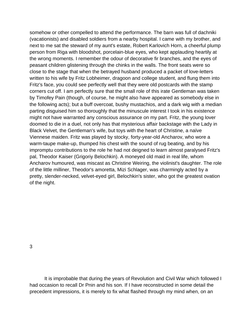somehow or other compelled to attend the performance. The barn was full of dachniki (vacationists) and disabled soldiers from a nearby hospital. I came with my brother, and next to me sat the steward of my aunt's estate, Robert Karlovich Horn, a cheerful plump person from Riga with bloodshot, porcelain-blue eyes, who kept applauding heartily at the wrong moments. I remember the odour of decorative fir branches, and the eyes of peasant children glistening through the chinks in the walls. The front seats were so close to the stage that when the betrayed husband produced a packet of love-letters written to his wife by Fritz Lobheimer, dragoon and college student, and flung them into Fritz's face, you could see perfectly well that they were old postcards with the stamp corners cut off. I am perfectly sure that the small role of this irate Gentleman was taken by Timofey Pain (though, of course, he might also have appeared as somebody else in the following acts); but a buff overcoat, bushy mustachios, and a dark wig with a median parting disguised him so thoroughly that the minuscule interest I took in his existence might not have warranted any conscious assurance on my part. Fritz, the young lover doomed to die in a duel, not only has that mysterious affair backstage with the Lady in Black Velvet, the Gentleman's wife, but toys with the heart of Christine, a naïve Viennese maiden. Fritz was played by stocky, forty-year-old Ancharov, who wore a warm-taupe make-up, thumped his chest with the sound of rug beating, and by his impromptu contributions to the role he had not deigned to learn almost paralysed Fritz's pal, Theodor Kaiser (Grigoriy Belochkin). A moneyed old maid in real life, whom Ancharov humoured, was miscast as Christine Weiring, the violinist's daughter. The role of the little milliner, Theodor's amoretta, Mizi Schlager, was charmingly acted by a pretty, slender-necked, velvet-eyed girl, Belochkin's sister, who got the greatest ovation of the night.

3

It is improbable that during the years of Revolution and Civil War which followed I had occasion to recall Dr Pnin and his son. If I have reconstructed in some detail the precedent impressions, it is merely to fix what flashed through my mind when, on an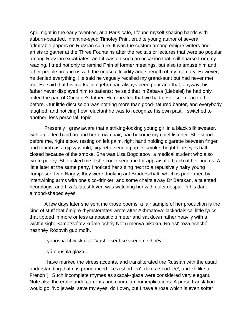April night in the early twenties, at a Paris café, I found myself shaking hands with auburn-bearded, infantine-eyed Timofey Pnin, erudite young author of several admirable papers on Russian culture. It was the custom among émigré writers and artists to gather at the Three Fountains after the recitals or lectures that were so popular among Russian expatriates; and it was on such an occasion that, still hoarse from my reading, I tried not only to remind Pnin of former meetings, but also to amuse him and other people around us with the unusual lucidity and strength of my memory. However, he denied everything. He said he vaguely recalled my grand-aunt but had never met me. He said that his marks in algebra had always been poor and that, anyway, his father never displayed him to patients; he said that in Zabava (Liebelei) he had only acted the part of Christine's father. He repeated that we had never seen each other before. Our little discussion was nothing more than good-natured banter, and everybody laughed; and noticing how reluctant he was to recognize his own past, I switched to another, less personal, topic.

Presently I grew aware that a striking-looking young girl in a black silk sweater, with a golden band around her brown hair, had become my chief listener. She stood before me, right elbow resting on left palm, right hand holding cigarette between finger and thumb as a gipsy would, cigarette sending up its smoke; bright blue eyes half closed because of the smoke. She was Liza Bogolepov, a medical student who also wrote poetry. She asked me if she could send me for appraisal a batch of her poems. A little later at the same party, I noticed her sitting next to a repulsively hairy young composer, Ivan Nagoy; they were drinking auf Bruderschaft, which is performed by intertwining arms with one's co-drinker, and some chairs away Dr Barakan, a talented neurologist and Liza's latest lover, was watching her with quiet despair in his dark almond-shaped eyes.

A few days later she sent me those poems; a fair sample of her production is the kind of stuff that émigré rhymsterettes wrote after Akhmatova: lackadaisical little lyrics that tiptoed in more or less anapaestic trimeter and sat down rather heavily with a wistful sigh: Samotsvétov króme ochéy Net u menyá nikakíh, No est' róza eshchó nezhnéy Rózovïh gub moíh.

I yúnosha tíhiy skazál: 'Vashe sérdtse vsegó nezhnéy...'

I yá opustíla glazá...

I have marked the stress accents, and transliterated the Russian with the usual understanding that u is pronounced like a short 'oo', i like a short 'ee', and zh like a French 'j'. Such incomplete rhymes as skazal--glaza were considered very elegant. Note also the erotic undercurrents and cour d'amour implications. A prose translation would go: 'No jewels, save my eyes, do I own, but I have a rose which is even softer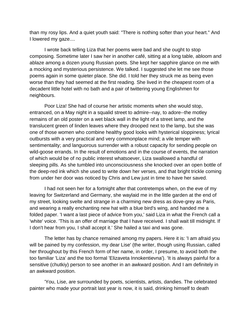than my rosy lips. And a quiet youth said: "There is nothing softer than your heart." And I lowered my gaze....

I wrote back telling Liza that her poems were bad and she ought to stop composing. Sometime later I saw her in another café, sitting at a long table, abloom and ablaze among a dozen young Russian poets. She kept her sapphire glance on me with a mocking and mysterious persistence. We talked. I suggested she let me see those poems again in some quieter place. She did. I told her they struck me as being even worse than they had seemed at the first reading. She lived in the cheapest room of a decadent little hotel with no bath and a pair of twittering young Englishmen for neighbours.

Poor Liza! She had of course her artistic moments when she would stop, entranced, on a May night in a squalid street to admire--nay, to adore--the motley remains of an old poster on a wet black wall in the light of a street lamp, and the translucent green of linden leaves where they drooped next to the lamp, but she was one of those women who combine healthy good looks with hysterical sloppiness; lyrical outbursts with a very practical and very commonplace mind; a vile temper with sentimentality; and languorous surrender with a robust capacity for sending people on wild-goose errands. In the result of emotions and in the course of events, the narration of which would be of no public interest whatsoever, Liza swallowed a handful of sleeping pills. As she tumbled into unconsciousness she knocked over an open bottle of the deep-red ink which she used to write down her verses, and that bright trickle coming from under her door was noticed by Chris and Lew just in time to have her saved.

I had not seen her for a fortnight after that contretemps when, on the eve of my leaving for Switzerland and Germany, she waylaid me in the little garden at the end of my street, looking svelte and strange in a charming new dress as dove-grey as Paris, and wearing a really enchanting new hat with a blue bird's wing, and handed me a folded paper. 'I want a last piece of advice from you,' said Liza in what the French call a 'white' voice. 'This is an offer of marriage that I have received. I shall wait till midnight. If I don't hear from you, I shall accept it.' She hailed a taxi and was gone.

The letter has by chance remained among my papers. Here it is: 'I am afraid you will be pained by my confession, my dear Lise' (the writer, though using Russian, called her throughout by this French form of her name, in order, I presume, to avoid both the too familiar 'Liza' and the too formal 'Elizaveta Innokentievna'). 'It is always painful for a sensitive (chutkiy) person to see another in an awkward position. And I am definitely in an awkward position.

'You, Lise, are surrounded by poets, scientists, artists, dandies. The celebrated painter who made your portrait last year is now, it is said, drinking himself to death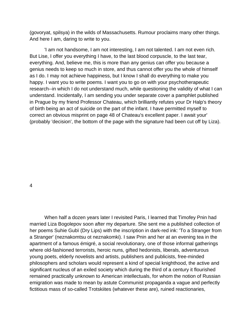(govoryat, spilsya) in the wilds of Massachusetts. Rumour proclaims many other things. And here I am, daring to write to you.

'I am not handsome, I am not interesting, I am not talented. I am not even rich. But Lise, I offer you everything I have, to the last blood corpuscle, to the last tear, everything. And, believe me, this is more than any genius can offer you because a genius needs to keep so much in store, and thus cannot offer you the whole of himself as I do. I may not achieve happiness, but I know I shall do everything to make you happy. I want you to write poems. I want you to go on with your psychotherapeutic research--in which I do not understand much, while questioning the validity of what I can understand. Incidentally, I am sending you under separate cover a pamphlet published in Prague by my friend Professor Chateau, which brilliantly refutes your Dr Halp's theory of birth being an act of suicide on the part of the infant. I have permitted myself to correct an obvious misprint on page 48 of Chateau's excellent paper. I await your' (probably 'decision', the bottom of the page with the signature had been cut off by Liza).

4

When half a dozen years later I revisited Paris, I learned that Timofey Pnin had married Liza Bogolepov soon after my departure. She sent me a published collection of her poems Suhie Gubï (Dry Lips) with the inscription in dark-red ink: 'To a Stranger from a Stranger' (neznakomtsu ot neznakomki). I saw Pnin and her at an evening tea in the apartment of a famous émigré, a social revolutionary, one of those informal gatherings where old-fashioned terrorists, heroic nuns, gifted hedonists, liberals, adventurous young poets, elderly novelists and artists, publishers and publicists, free-minded philosophers and scholars would represent a kind of special knighthood, the active and significant nucleus of an exiled society which during the third of a century it flourished remained practically unknown to American intellectuals, for whom the notion of Russian emigration was made to mean by astute Communist propaganda a vague and perfectly fictitious mass of so-called Trotskiites (whatever these are), ruined reactionaries,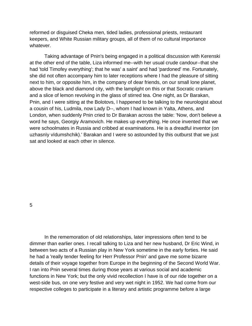reformed or disguised Cheka men, tided ladies, professional priests, restaurant keepers, and White Russian military groups, all of them of no cultural importance whatever.

Taking advantage of Pnin's being engaged in a political discussion with Kerenski at the other end of the table, Liza informed me--with her usual crude candour--that she had 'told Timofey everything'; that he was' a saint' and had 'pardoned' me. Fortunately, she did not often accompany him to later receptions where I had the pleasure of sitting next to him, or opposite him, in the company of dear friends, on our small lone planet, above the black and diamond city, with the lamplight on this or that Socratic cranium and a slice of lemon revolving in the glass of stirred tea. One night, as Dr Barakan, Pnin, and I were sitting at the Bolotovs, I happened to be talking to the neurologist about a cousin of his, Ludmila, now Lady D--, whom I had known in Yalta, Athens, and London, when suddenly Pnin cried to Dr Barakan across the table: 'Now, don't believe a word he says, Georgiy Aramovich. He makes up everything. He once invented that we were schoolmates in Russia and cribbed at examinations. He is a dreadful inventor (on uzhasnïy vïdumshchik).' Barakan and I were so astounded by this outburst that we just sat and looked at each other in silence.

In the rememoration of old relationships, later impressions often tend to be dimmer than earlier ones. I recall talking to Liza and her new husband, Dr Eric Wind, in between two acts of a Russian play in New York sometime in the early forties. He said he had a 'really tender feeling for Herr Professor Pnin' and gave me some bizarre details of their voyage together from Europe in the beginning of the Second World War. I ran into Pnin several times during those years at various social and academic functions in New York; but the only vivid recollection I have is of our ride together on a west-side bus, on one very festive and very wet night in 1952. We had come from our respective colleges to participate in a literary and artistic programme before a large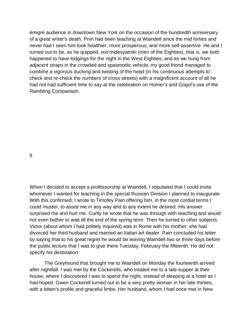émigré audience in downtown New York on the occasion of the hundredth anniversary of a great writer's death. Pnin had been teaching at Waindell since the mid forties and never had I seen him look healthier, more prosperous, and more self-assertive. He and I turned out to be, as he quipped, vos'midesyatniki (men of the Eighties), that is, we both happened to have lodgings for the night in the West Eighties; and as we hung from adjacent straps in the crowded and spasmodic vehicle, my good friend managed to combine a vigorous ducking and twisting of the head (in his continuous attempts to check and re-check the numbers of cross streets) with a magnificent account of all he had not had sufficient time to say at the celebration on Homer's and Gogol's use of the Rambling Comparison.

6

When I decided to accept a professorship at Waindell, I stipulated that I could invite whomever I wanted for teaching in the special Russian Division I planned to inaugurate. With this confirmed, I wrote to Timofey Pain offering him, in the most cordial terms I could muster, to assist me in any way and to any extent he desired. His answer surprised me and hurt me. Curtly he wrote that he was through with teaching and would not even bother to wait till the end of the spring term. Then he turned to other subjects. Victor (about whom I had politely inquired) was in Rome with his mother; she had divorced her third husband and married an Italian art dealer. Pain concluded his letter by saying that to his great regret he would be leaving Waindell two or three days before the public lecture that I was to give there Tuesday, February the fifteenth. He did not specify his destination.

The Greyhound that brought me to Waindell on Monday the fourteenth arrived after nightfall. I was met by the Cockerells, who treated me to a late supper at their house, where I discovered I was to spend the night, instead of sleeping at a hotel as I had hoped. Gwen Cockerell turned out to be a very pretty woman in her late thirties, with a kitten's profile and graceful limbs. Her husband, whom I had once met in New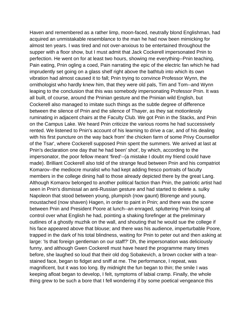Haven and remembered as a rather limp, moon-faced, neutrally blond Englishman, had acquired an unmistakable resemblance to the man he had now been mimicking for almost ten years. I was tired and not over-anxious to be entertained throughout the supper with a floor show, but I must admit that Jack Cockerell impersonated Pnin to perfection. He went on for at least two hours, showing me everything--Pnin teaching, Pain eating, Pnin ogling a coed, Pain narrating the epic of the electric fan which he had imprudently set going on a glass shelf right above the bathtub into which its own vibration had almost caused it to fall; Pnin trying to convince Professor Wynn, the ornithologist who hardly knew him, that they were old pals, Tim and Tom--and Wynn leaping to the conclusion that this was somebody impersonating Professor Pnin. It was all built, of course, around the Pninian gesture and the Pninian wild English, but Cockerell also managed to imitate such things as the subtle degree of difference between the silence of Pnin and the silence of Thayer, as they sat motionlessly ruminating in adjacent chairs at the Faculty Club. We got Pnin in the Stacks, and Pnin on the Campus Lake. We heard Pnin criticize the various rooms he had successively rented. We listened to Pnin's account of his learning to drive a car, and of his dealing with his first puncture on the way back from' the chicken farm of some Privy Counsellor of the Tsar', where Cockerell supposed Pnin spent the summers. We arrived at last at Pnin's declaration one day that he had been' shot', by which, according to the impersonator, the poor fellow meant 'fired'--(a mistake I doubt my friend could have made). Brilliant Cockerell also told of the strange feud between Pnin and his compatriot Komarov--the mediocre muralist who had kept adding fresco portraits of faculty members in the college dining hall to those already depicted there by the great Lang. Although Komarov belonged to another political faction than Pnin, the patriotic artist had seen in Pnin's dismissal an anti-Russian gesture and had started to delete a. sulky Napoleon that stood between young, plumpish (now gaunt) Blorenge and young, moustached (now shaven) Hagen, in order to paint in Pnin; and there was the scene between Pnin and President Poore at lunch--an enraged, spluttering Pnin losing all control over what English he had, pointing a shaking forefinger at the preliminary outlines of a ghostly muzhik on the wall, and shouting that he would sue the college if his face appeared above that blouse; and there was his audience, imperturbable Poore, trapped in the dark of his total blindness, waiting for Pnin to peter out and then asking at large: 'Is that foreign gentleman on our staff?' Dh, the impersonation was deliciously funny, and although Gwen Cockerell must have heard the programme many times before, she laughed so loud that their old dog Sobakevich, a brown cocker with a tearstained face, began to fidget and sniff at me. The performance, I repeat, was magnificent, but it was too long. By midnight the fun began to thin; the smile I was keeping afloat began to develop, I felt, symptoms of labial cramp. Finally, the whole thing grew to be such a bore that I fell wondering if by some poetical vengeance this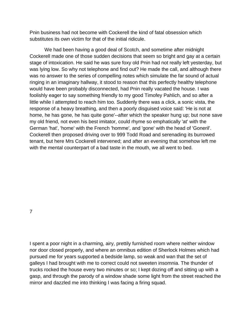Pnin business had not become with Cockerell the kind of fatal obsession which substitutes its own victim for that of the initial ridicule.

We had been having a good deal of Scotch, and sometime after midnight Cockerell made one of those sudden decisions that seem so bright and gay at a certain stage of intoxication. He said he was sure foxy old Pnin had not really left yesterday, but was lying low. So why not telephone and find out? He made the call, and although there was no answer to the series of compelling notes which simulate the far sound of actual ringing in an imaginary hallway, it stood to reason that this perfectly healthy telephone would have been probably disconnected, had Pnin really vacated the house. I was foolishly eager to say something friendly to my good Timofey Pahlich, and so after a little while I attempted to reach him too. Suddenly there was a click, a sonic vista, the response of a heavy breathing, and then a poorly disguised voice said: 'He is not at home, he has gone, he has quite gone'--after which the speaker hung up; but none save my old friend, not even his best imitator, could rhyme so emphatically 'at' with the German 'hat', 'home' with the French 'homme', and 'gone' with the head of 'Goneril'. Cockerell then proposed driving over to 999 Todd Road and serenading its burrowed tenant, but here Mrs Cockerell intervened; and after an evening that somehow left me with the mental counterpart of a bad taste in the mouth, we all went to bed.

7

I spent a poor night in a charming, airy, prettily furnished room where neither window nor door closed properly, and where an omnibus edition of Sherlock Holmes which had pursued me for years supported a bedside lamp, so weak and wan that the set of galleys I had brought with me to correct could not sweeten insomnia. The thunder of trucks rocked the house every two minutes or so; I kept dozing off and sitting up with a gasp, and through the parody of a window shade some light from the street reached the mirror and dazzled me into thinking I was facing a firing squad.